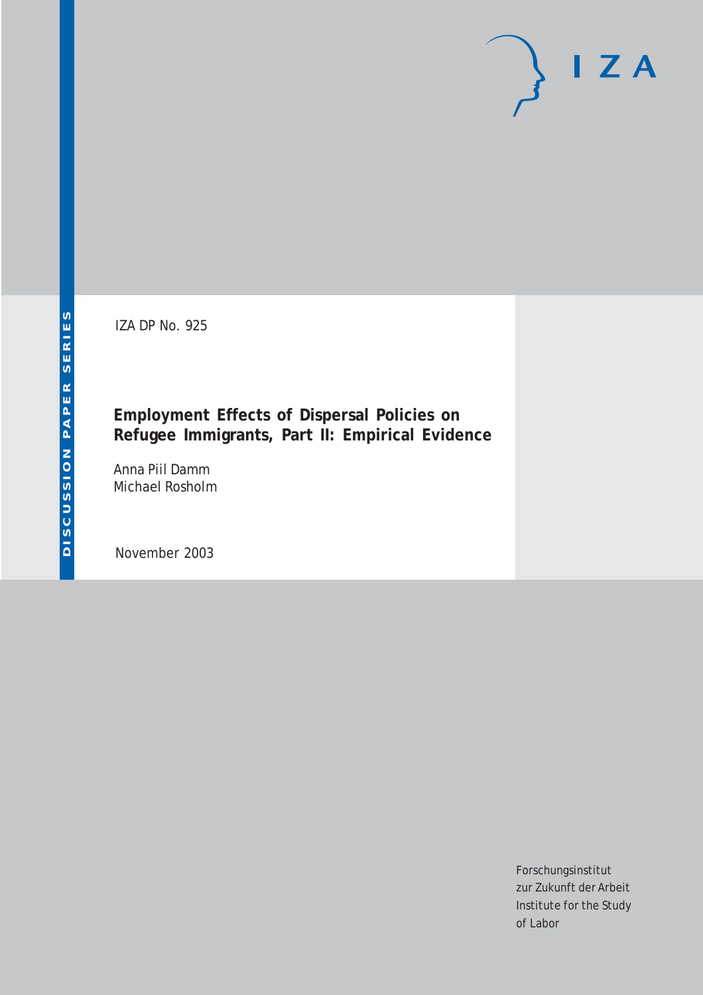IZA DP No. 925

**Employment Effects of Dispersal Policies on Refugee Immigrants, Part II: Empirical Evidence**

Anna Piil Damm Michael Rosholm

November 2003

Forschungsinstitut zur Zukunft der Arbeit Institute for the Study of Labor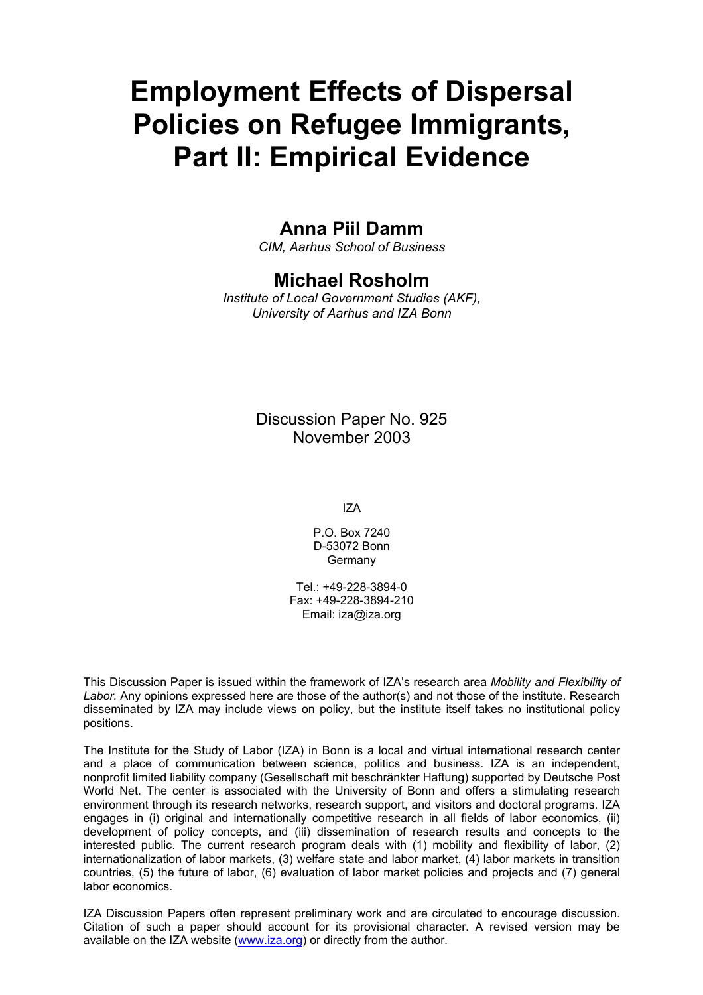# **Employment Effects of Dispersal Policies on Refugee Immigrants, Part II: Empirical Evidence**

## **Anna Piil Damm**

*CIM, Aarhus School of Business* 

## **Michael Rosholm**

*Institute of Local Government Studies (AKF), University of Aarhus and IZA Bonn*

## Discussion Paper No. 925 November 2003

IZA

P.O. Box 7240 D-53072 Bonn Germany

Tel.: +49-228-3894-0 Fax: +49-228-3894-210 Email: [iza@iza.org](mailto:iza@iza.org)

This Discussion Paper is issued within the framework of IZA's research area *Mobility and Flexibility of Labor.* Any opinions expressed here are those of the author(s) and not those of the institute. Research disseminated by IZA may include views on policy, but the institute itself takes no institutional policy positions.

The Institute for the Study of Labor (IZA) in Bonn is a local and virtual international research center and a place of communication between science, politics and business. IZA is an independent, nonprofit limited liability company (Gesellschaft mit beschränkter Haftung) supported by Deutsche Post World Net. The center is associated with the University of Bonn and offers a stimulating research environment through its research networks, research support, and visitors and doctoral programs. IZA engages in (i) original and internationally competitive research in all fields of labor economics, (ii) development of policy concepts, and (iii) dissemination of research results and concepts to the interested public. The current research program deals with (1) mobility and flexibility of labor, (2) internationalization of labor markets, (3) welfare state and labor market, (4) labor markets in transition countries, (5) the future of labor, (6) evaluation of labor market policies and projects and (7) general labor economics.

IZA Discussion Papers often represent preliminary work and are circulated to encourage discussion. Citation of such a paper should account for its provisional character. A revised version may be available on the IZA website ([www.iza.org](http://www.iza.org/)) or directly from the author.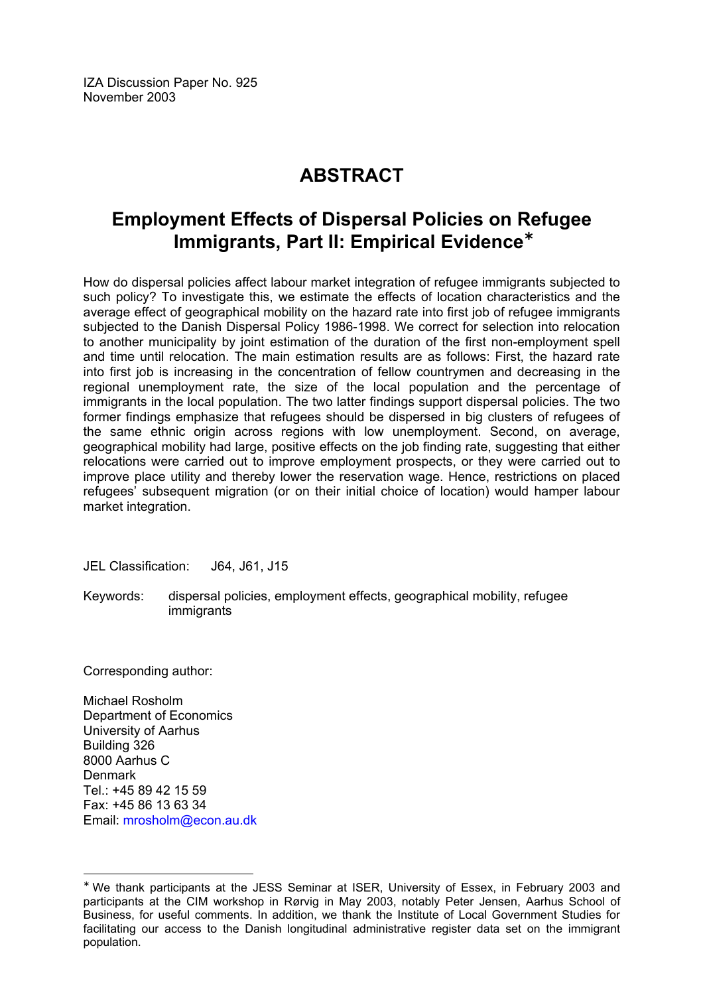IZA Discussion Paper No. 925 November 2003

## **ABSTRACT**

## **Employment Effects of Dispersal Policies on Refugee Immigrants, Part II: Empirical Evidence**[∗](#page-2-0)

How do dispersal policies affect labour market integration of refugee immigrants subjected to such policy? To investigate this, we estimate the effects of location characteristics and the average effect of geographical mobility on the hazard rate into first job of refugee immigrants subjected to the Danish Dispersal Policy 1986-1998. We correct for selection into relocation to another municipality by joint estimation of the duration of the first non-employment spell and time until relocation. The main estimation results are as follows: First, the hazard rate into first job is increasing in the concentration of fellow countrymen and decreasing in the regional unemployment rate, the size of the local population and the percentage of immigrants in the local population. The two latter findings support dispersal policies. The two former findings emphasize that refugees should be dispersed in big clusters of refugees of the same ethnic origin across regions with low unemployment. Second, on average, geographical mobility had large, positive effects on the job finding rate, suggesting that either relocations were carried out to improve employment prospects, or they were carried out to improve place utility and thereby lower the reservation wage. Hence, restrictions on placed refugees' subsequent migration (or on their initial choice of location) would hamper labour market integration.

JEL Classification: J64, J61, J15

Keywords: dispersal policies, employment effects, geographical mobility, refugee immigrants

Corresponding author:

 $\overline{a}$ 

Michael Rosholm Department of Economics University of Aarhus Building 326 8000 Aarhus C Denmark Tel.: +45 89 42 15 59 Fax: +45 86 13 63 34 Email: [mrosholm@econ.au.dk](mailto:mrosholm@econ.au.dk)

<span id="page-2-0"></span><sup>∗</sup> We thank participants at the JESS Seminar at ISER, University of Essex, in February 2003 and participants at the CIM workshop in Rørvig in May 2003, notably Peter Jensen, Aarhus School of Business, for useful comments. In addition, we thank the Institute of Local Government Studies for facilitating our access to the Danish longitudinal administrative register data set on the immigrant population.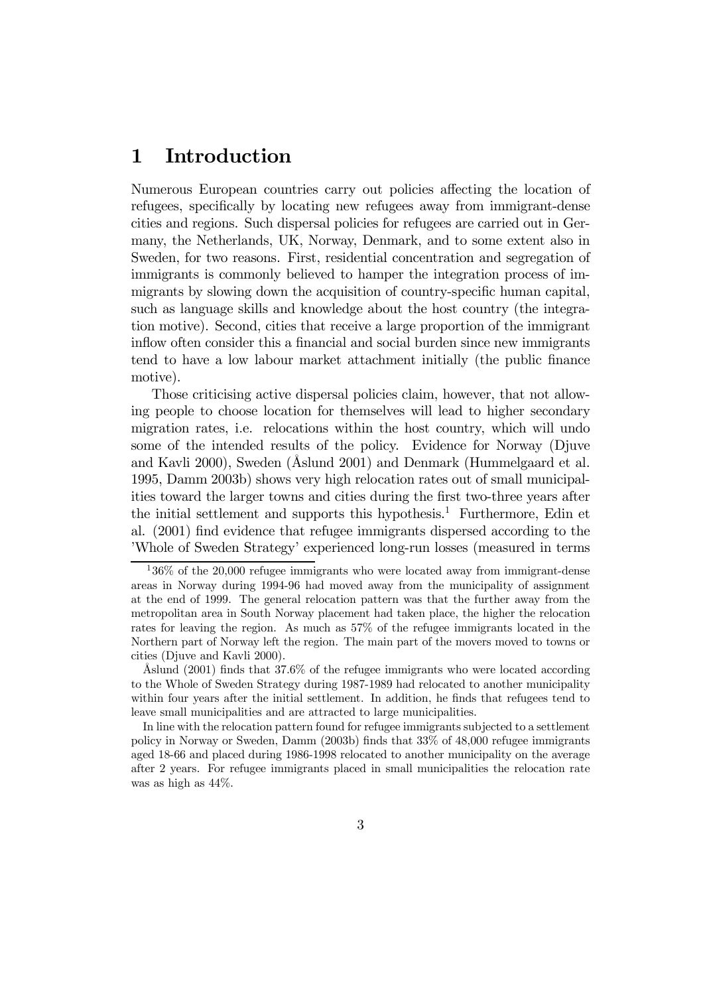## 1 Introduction

Numerous European countries carry out policies affecting the location of refugees, specifically by locating new refugees away from immigrant-dense cities and regions. Such dispersal policies for refugees are carried out in Germany, the Netherlands, UK, Norway, Denmark, and to some extent also in Sweden, for two reasons. First, residential concentration and segregation of immigrants is commonly believed to hamper the integration process of immigrants by slowing down the acquisition of country-specific human capital, such as language skills and knowledge about the host country (the integration motive). Second, cities that receive a large proportion of the immigrant inflow often consider this a financial and social burden since new immigrants tend to have a low labour market attachment initially (the public finance motive).

Those criticising active dispersal policies claim, however, that not allowing people to choose location for themselves will lead to higher secondary migration rates, i.e. relocations within the host country, which will undo some of the intended results of the policy. Evidence for Norway (Djuve and Kavli 2000), Sweden (Åslund 2001) and Denmark (Hummelgaard et al. 1995, Damm 2003b) shows very high relocation rates out of small municipalities toward the larger towns and cities during the first two-three years after the initial settlement and supports this hypothesis.<sup>1</sup> Furthermore, Edin et al. (2001) find evidence that refugee immigrants dispersed according to the 'Whole of Sweden Strategy' experienced long-run losses (measured in terms

In line with the relocation pattern found for refugee immigrants subjected to a settlement policy in Norway or Sweden, Damm (2003b) finds that 33% of 48,000 refugee immigrants aged 18-66 and placed during 1986-1998 relocated to another municipality on the average after 2 years. For refugee immigrants placed in small municipalities the relocation rate was as high as 44%.

 $136\%$  of the 20,000 refugee immigrants who were located away from immigrant-dense areas in Norway during 1994-96 had moved away from the municipality of assignment at the end of 1999. The general relocation pattern was that the further away from the metropolitan area in South Norway placement had taken place, the higher the relocation rates for leaving the region. As much as 57% of the refugee immigrants located in the Northern part of Norway left the region. The main part of the movers moved to towns or cities (Djuve and Kavli 2000).

Åslund (2001) finds that 37.6% of the refugee immigrants who were located according to the Whole of Sweden Strategy during 1987-1989 had relocated to another municipality within four years after the initial settlement. In addition, he finds that refugees tend to leave small municipalities and are attracted to large municipalities.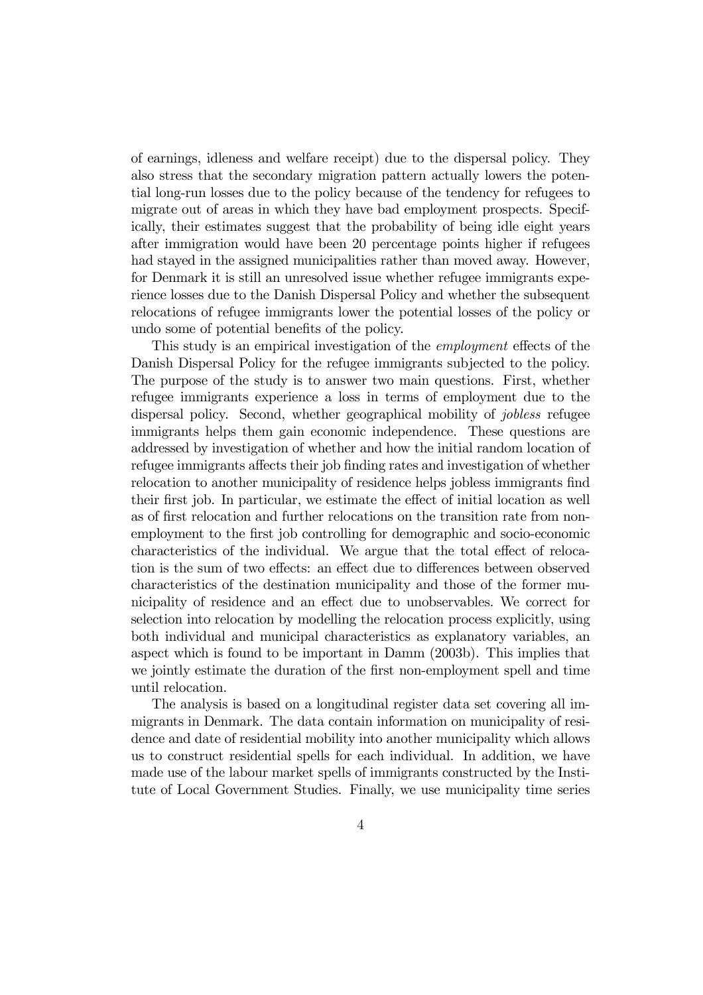of earnings, idleness and welfare receipt) due to the dispersal policy. They also stress that the secondary migration pattern actually lowers the potential long-run losses due to the policy because of the tendency for refugees to migrate out of areas in which they have bad employment prospects. Specifically, their estimates suggest that the probability of being idle eight years after immigration would have been 20 percentage points higher if refugees had stayed in the assigned municipalities rather than moved away. However, for Denmark it is still an unresolved issue whether refugee immigrants experience losses due to the Danish Dispersal Policy and whether the subsequent relocations of refugee immigrants lower the potential losses of the policy or undo some of potential benefits of the policy.

This study is an empirical investigation of the employment effects of the Danish Dispersal Policy for the refugee immigrants subjected to the policy. The purpose of the study is to answer two main questions. First, whether refugee immigrants experience a loss in terms of employment due to the dispersal policy. Second, whether geographical mobility of *jobless* refugee immigrants helps them gain economic independence. These questions are addressed by investigation of whether and how the initial random location of refugee immigrants affects their job finding rates and investigation of whether relocation to another municipality of residence helps jobless immigrants find their first job. In particular, we estimate the effect of initial location as well as of first relocation and further relocations on the transition rate from nonemployment to the first job controlling for demographic and socio-economic characteristics of the individual. We argue that the total effect of relocation is the sum of two effects: an effect due to differences between observed characteristics of the destination municipality and those of the former municipality of residence and an effect due to unobservables. We correct for selection into relocation by modelling the relocation process explicitly, using both individual and municipal characteristics as explanatory variables, an aspect which is found to be important in Damm (2003b). This implies that we jointly estimate the duration of the first non-employment spell and time until relocation.

The analysis is based on a longitudinal register data set covering all immigrants in Denmark. The data contain information on municipality of residence and date of residential mobility into another municipality which allows us to construct residential spells for each individual. In addition, we have made use of the labour market spells of immigrants constructed by the Institute of Local Government Studies. Finally, we use municipality time series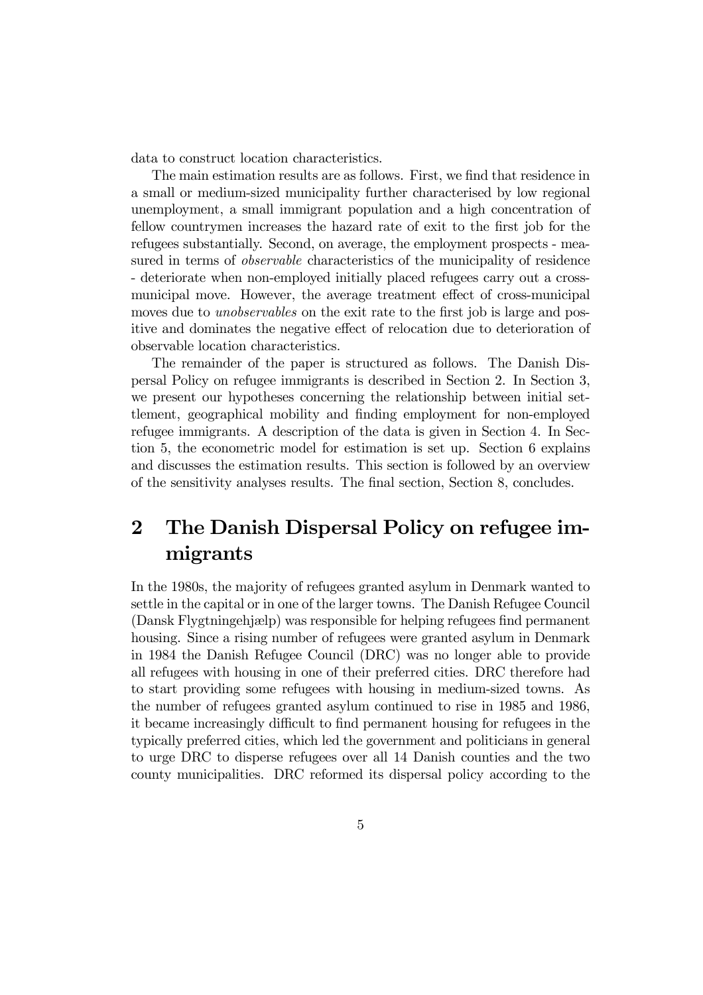data to construct location characteristics.

The main estimation results are as follows. First, we find that residence in a small or medium-sized municipality further characterised by low regional unemployment, a small immigrant population and a high concentration of fellow countrymen increases the hazard rate of exit to the first job for the refugees substantially. Second, on average, the employment prospects - measured in terms of observable characteristics of the municipality of residence - deteriorate when non-employed initially placed refugees carry out a crossmunicipal move. However, the average treatment effect of cross-municipal moves due to *unobservables* on the exit rate to the first job is large and positive and dominates the negative effect of relocation due to deterioration of observable location characteristics.

The remainder of the paper is structured as follows. The Danish Dispersal Policy on refugee immigrants is described in Section 2. In Section 3, we present our hypotheses concerning the relationship between initial settlement, geographical mobility and finding employment for non-employed refugee immigrants. A description of the data is given in Section 4. In Section 5, the econometric model for estimation is set up. Section 6 explains and discusses the estimation results. This section is followed by an overview of the sensitivity analyses results. The final section, Section 8, concludes.

## 2 The Danish Dispersal Policy on refugee immigrants

In the 1980s, the majority of refugees granted asylum in Denmark wanted to settle in the capital or in one of the larger towns. The Danish Refugee Council (Dansk Flygtningehjælp) was responsible for helping refugees find permanent housing. Since a rising number of refugees were granted asylum in Denmark in 1984 the Danish Refugee Council (DRC) was no longer able to provide all refugees with housing in one of their preferred cities. DRC therefore had to start providing some refugees with housing in medium-sized towns. As the number of refugees granted asylum continued to rise in 1985 and 1986, it became increasingly difficult to find permanent housing for refugees in the typically preferred cities, which led the government and politicians in general to urge DRC to disperse refugees over all 14 Danish counties and the two county municipalities. DRC reformed its dispersal policy according to the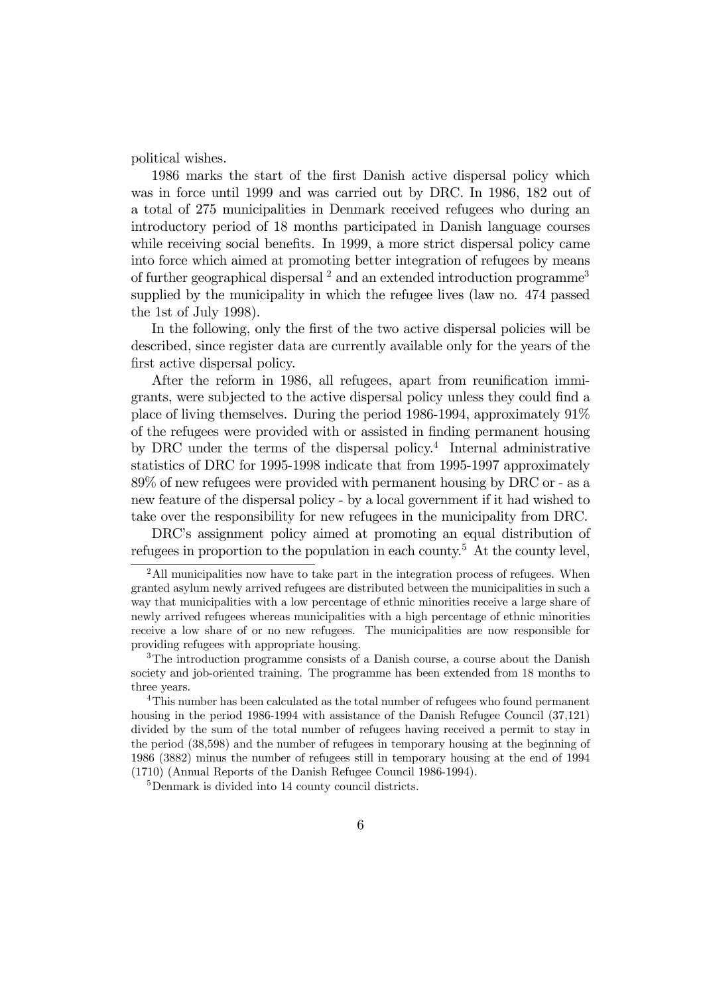political wishes.

1986 marks the start of the first Danish active dispersal policy which was in force until 1999 and was carried out by DRC. In 1986, 182 out of a total of 275 municipalities in Denmark received refugees who during an introductory period of 18 months participated in Danish language courses while receiving social benefits. In 1999, a more strict dispersal policy came into force which aimed at promoting better integration of refugees by means of further geographical dispersal  $^2$  and an extended introduction programme<sup>3</sup> supplied by the municipality in which the refugee lives (law no. 474 passed the 1st of July 1998).

In the following, only the first of the two active dispersal policies will be described, since register data are currently available only for the years of the first active dispersal policy.

After the reform in 1986, all refugees, apart from reunification immigrants, were subjected to the active dispersal policy unless they could find a place of living themselves. During the period 1986-1994, approximately 91% of the refugees were provided with or assisted in finding permanent housing by DRC under the terms of the dispersal policy.<sup>4</sup> Internal administrative statistics of DRC for 1995-1998 indicate that from 1995-1997 approximately 89% of new refugees were provided with permanent housing by DRC or - as a new feature of the dispersal policy - by a local government if it had wished to take over the responsibility for new refugees in the municipality from DRC.

DRC's assignment policy aimed at promoting an equal distribution of refugees in proportion to the population in each county.<sup>5</sup> At the county level,

<sup>&</sup>lt;sup>2</sup>All municipalities now have to take part in the integration process of refugees. When granted asylum newly arrived refugees are distributed between the municipalities in such a way that municipalities with a low percentage of ethnic minorities receive a large share of newly arrived refugees whereas municipalities with a high percentage of ethnic minorities receive a low share of or no new refugees. The municipalities are now responsible for providing refugees with appropriate housing.

<sup>&</sup>lt;sup>3</sup>The introduction programme consists of a Danish course, a course about the Danish society and job-oriented training. The programme has been extended from 18 months to three years.

<sup>&</sup>lt;sup>4</sup>This number has been calculated as the total number of refugees who found permanent housing in the period 1986-1994 with assistance of the Danish Refugee Council (37,121) divided by the sum of the total number of refugees having received a permit to stay in the period (38,598) and the number of refugees in temporary housing at the beginning of 1986 (3882) minus the number of refugees still in temporary housing at the end of 1994 (1710) (Annual Reports of the Danish Refugee Council 1986-1994).

<sup>5</sup>Denmark is divided into 14 county council districts.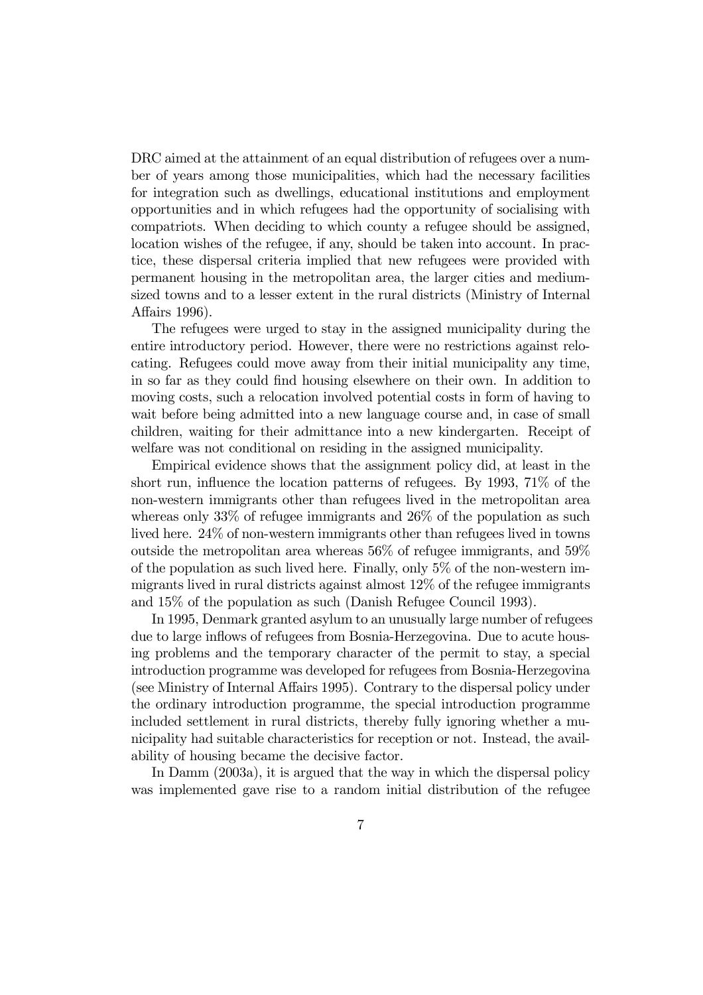DRC aimed at the attainment of an equal distribution of refugees over a number of years among those municipalities, which had the necessary facilities for integration such as dwellings, educational institutions and employment opportunities and in which refugees had the opportunity of socialising with compatriots. When deciding to which county a refugee should be assigned, location wishes of the refugee, if any, should be taken into account. In practice, these dispersal criteria implied that new refugees were provided with permanent housing in the metropolitan area, the larger cities and mediumsized towns and to a lesser extent in the rural districts (Ministry of Internal Affairs 1996).

The refugees were urged to stay in the assigned municipality during the entire introductory period. However, there were no restrictions against relocating. Refugees could move away from their initial municipality any time, in so far as they could find housing elsewhere on their own. In addition to moving costs, such a relocation involved potential costs in form of having to wait before being admitted into a new language course and, in case of small children, waiting for their admittance into a new kindergarten. Receipt of welfare was not conditional on residing in the assigned municipality.

Empirical evidence shows that the assignment policy did, at least in the short run, influence the location patterns of refugees. By 1993, 71% of the non-western immigrants other than refugees lived in the metropolitan area whereas only 33% of refugee immigrants and 26% of the population as such lived here. 24% of non-western immigrants other than refugees lived in towns outside the metropolitan area whereas 56% of refugee immigrants, and 59% of the population as such lived here. Finally, only 5% of the non-western immigrants lived in rural districts against almost 12% of the refugee immigrants and 15% of the population as such (Danish Refugee Council 1993).

In 1995, Denmark granted asylum to an unusually large number of refugees due to large inflows of refugees from Bosnia-Herzegovina. Due to acute housing problems and the temporary character of the permit to stay, a special introduction programme was developed for refugees from Bosnia-Herzegovina (see Ministry of Internal Affairs 1995). Contrary to the dispersal policy under the ordinary introduction programme, the special introduction programme included settlement in rural districts, thereby fully ignoring whether a municipality had suitable characteristics for reception or not. Instead, the availability of housing became the decisive factor.

In Damm (2003a), it is argued that the way in which the dispersal policy was implemented gave rise to a random initial distribution of the refugee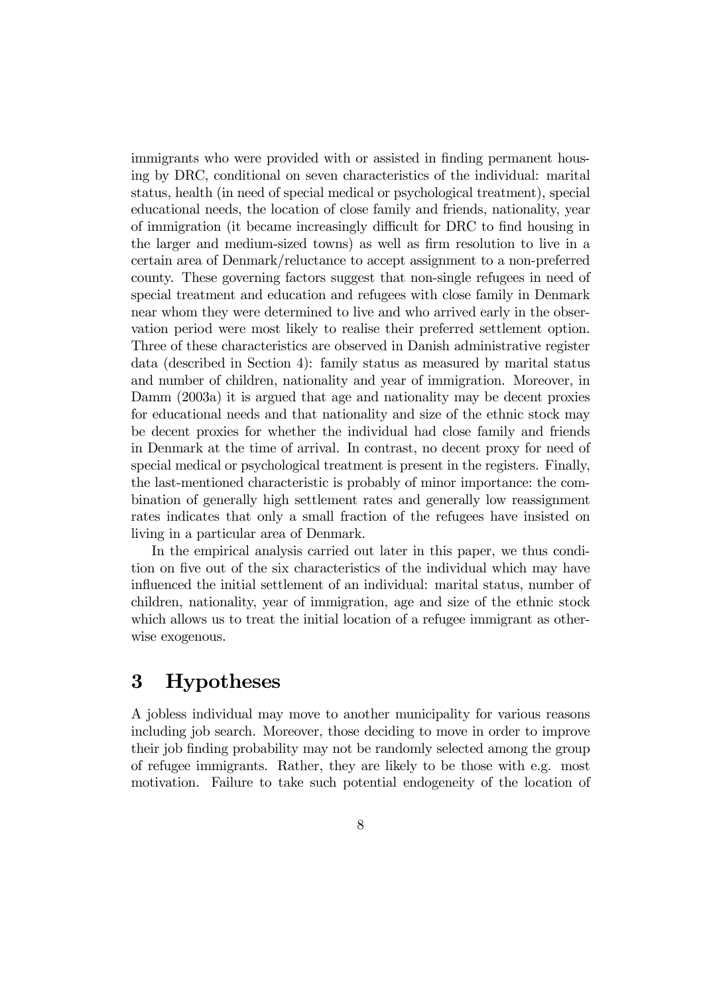immigrants who were provided with or assisted in finding permanent housing by DRC, conditional on seven characteristics of the individual: marital status, health (in need of special medical or psychological treatment), special educational needs, the location of close family and friends, nationality, year of immigration (it became increasingly difficult for DRC to find housing in the larger and medium-sized towns) as well as firm resolution to live in a certain area of Denmark/reluctance to accept assignment to a non-preferred county. These governing factors suggest that non-single refugees in need of special treatment and education and refugees with close family in Denmark near whom they were determined to live and who arrived early in the observation period were most likely to realise their preferred settlement option. Three of these characteristics are observed in Danish administrative register data (described in Section 4): family status as measured by marital status and number of children, nationality and year of immigration. Moreover, in Damm (2003a) it is argued that age and nationality may be decent proxies for educational needs and that nationality and size of the ethnic stock may be decent proxies for whether the individual had close family and friends in Denmark at the time of arrival. In contrast, no decent proxy for need of special medical or psychological treatment is present in the registers. Finally, the last-mentioned characteristic is probably of minor importance: the combination of generally high settlement rates and generally low reassignment rates indicates that only a small fraction of the refugees have insisted on living in a particular area of Denmark.

In the empirical analysis carried out later in this paper, we thus condition on five out of the six characteristics of the individual which may have influenced the initial settlement of an individual: marital status, number of children, nationality, year of immigration, age and size of the ethnic stock which allows us to treat the initial location of a refugee immigrant as otherwise exogenous.

## 3 Hypotheses

A jobless individual may move to another municipality for various reasons including job search. Moreover, those deciding to move in order to improve their job finding probability may not be randomly selected among the group of refugee immigrants. Rather, they are likely to be those with e.g. most motivation. Failure to take such potential endogeneity of the location of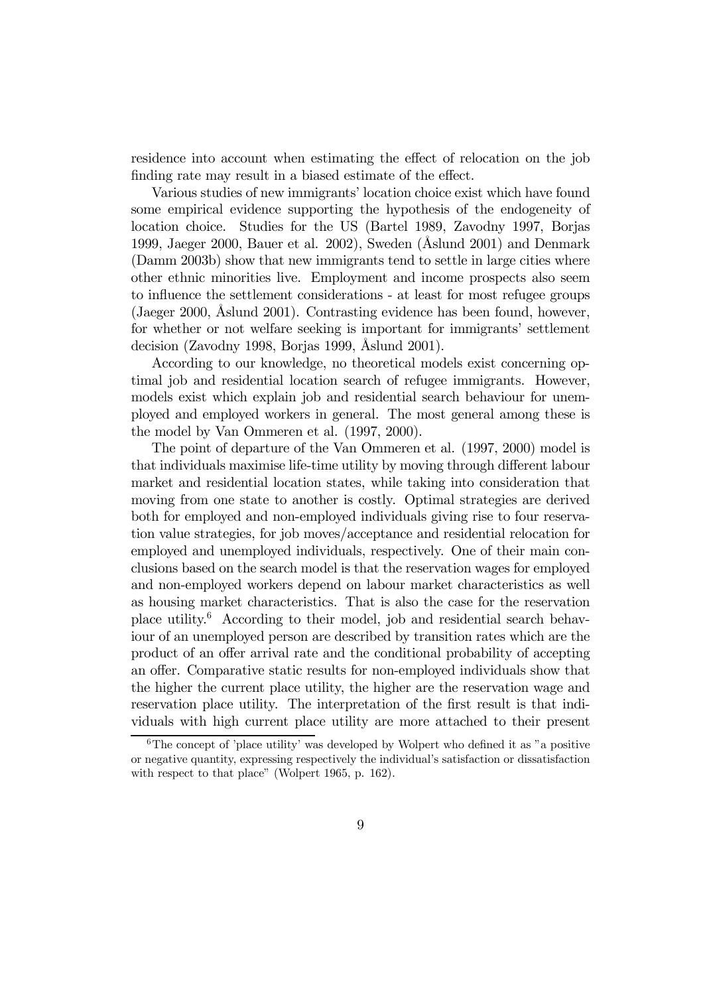residence into account when estimating the effect of relocation on the job finding rate may result in a biased estimate of the effect.

Various studies of new immigrants' location choice exist which have found some empirical evidence supporting the hypothesis of the endogeneity of location choice. Studies for the US (Bartel 1989, Zavodny 1997, Borjas 1999, Jaeger 2000, Bauer et al. 2002), Sweden (Åslund 2001) and Denmark (Damm 2003b) show that new immigrants tend to settle in large cities where other ethnic minorities live. Employment and income prospects also seem to influence the settlement considerations - at least for most refugee groups (Jaeger 2000, Åslund 2001). Contrasting evidence has been found, however, for whether or not welfare seeking is important for immigrants' settlement decision (Zavodny 1998, Borjas 1999, Åslund 2001).

According to our knowledge, no theoretical models exist concerning optimal job and residential location search of refugee immigrants. However, models exist which explain job and residential search behaviour for unemployed and employed workers in general. The most general among these is the model by Van Ommeren et al. (1997, 2000).

The point of departure of the Van Ommeren et al. (1997, 2000) model is that individuals maximise life-time utility by moving through different labour market and residential location states, while taking into consideration that moving from one state to another is costly. Optimal strategies are derived both for employed and non-employed individuals giving rise to four reservation value strategies, for job moves/acceptance and residential relocation for employed and unemployed individuals, respectively. One of their main conclusions based on the search model is that the reservation wages for employed and non-employed workers depend on labour market characteristics as well as housing market characteristics. That is also the case for the reservation place utility.6 According to their model, job and residential search behaviour of an unemployed person are described by transition rates which are the product of an offer arrival rate and the conditional probability of accepting an offer. Comparative static results for non-employed individuals show that the higher the current place utility, the higher are the reservation wage and reservation place utility. The interpretation of the first result is that individuals with high current place utility are more attached to their present

 $6$ The concept of 'place utility' was developed by Wolpert who defined it as "a positive" or negative quantity, expressing respectively the individual's satisfaction or dissatisfaction with respect to that place" (Wolpert 1965, p. 162).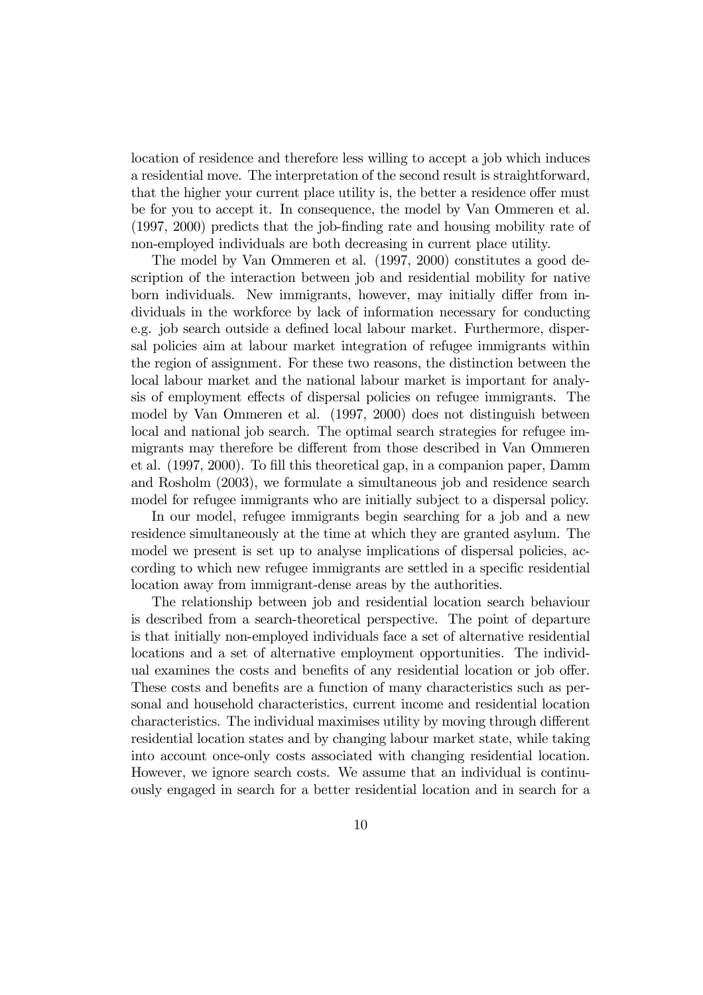location of residence and therefore less willing to accept a job which induces a residential move. The interpretation of the second result is straightforward, that the higher your current place utility is, the better a residence offer must be for you to accept it. In consequence, the model by Van Ommeren et al. (1997, 2000) predicts that the job-finding rate and housing mobility rate of non-employed individuals are both decreasing in current place utility.

The model by Van Ommeren et al. (1997, 2000) constitutes a good description of the interaction between job and residential mobility for native born individuals. New immigrants, however, may initially differ from individuals in the workforce by lack of information necessary for conducting e.g. job search outside a defined local labour market. Furthermore, dispersal policies aim at labour market integration of refugee immigrants within the region of assignment. For these two reasons, the distinction between the local labour market and the national labour market is important for analysis of employment effects of dispersal policies on refugee immigrants. The model by Van Ommeren et al. (1997, 2000) does not distinguish between local and national job search. The optimal search strategies for refugee immigrants may therefore be different from those described in Van Ommeren et al. (1997, 2000). To fill this theoretical gap, in a companion paper, Damm and Rosholm (2003), we formulate a simultaneous job and residence search model for refugee immigrants who are initially subject to a dispersal policy.

In our model, refugee immigrants begin searching for a job and a new residence simultaneously at the time at which they are granted asylum. The model we present is set up to analyse implications of dispersal policies, according to which new refugee immigrants are settled in a specific residential location away from immigrant-dense areas by the authorities.

The relationship between job and residential location search behaviour is described from a search-theoretical perspective. The point of departure is that initially non-employed individuals face a set of alternative residential locations and a set of alternative employment opportunities. The individual examines the costs and benefits of any residential location or job offer. These costs and benefits are a function of many characteristics such as personal and household characteristics, current income and residential location characteristics. The individual maximises utility by moving through different residential location states and by changing labour market state, while taking into account once-only costs associated with changing residential location. However, we ignore search costs. We assume that an individual is continuously engaged in search for a better residential location and in search for a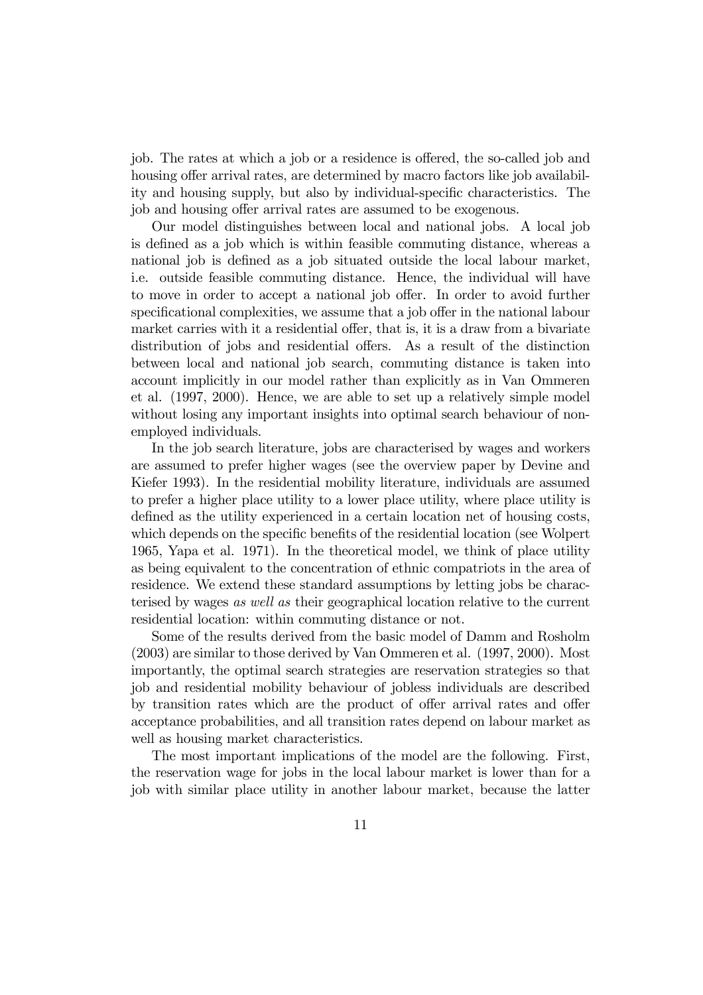job. The rates at which a job or a residence is offered, the so-called job and housing offer arrival rates, are determined by macro factors like job availability and housing supply, but also by individual-specific characteristics. The job and housing offer arrival rates are assumed to be exogenous.

Our model distinguishes between local and national jobs. A local job is defined as a job which is within feasible commuting distance, whereas a national job is defined as a job situated outside the local labour market, i.e. outside feasible commuting distance. Hence, the individual will have to move in order to accept a national job offer. In order to avoid further specificational complexities, we assume that a job offer in the national labour market carries with it a residential offer, that is, it is a draw from a bivariate distribution of jobs and residential offers. As a result of the distinction between local and national job search, commuting distance is taken into account implicitly in our model rather than explicitly as in Van Ommeren et al. (1997, 2000). Hence, we are able to set up a relatively simple model without losing any important insights into optimal search behaviour of nonemployed individuals.

In the job search literature, jobs are characterised by wages and workers are assumed to prefer higher wages (see the overview paper by Devine and Kiefer 1993). In the residential mobility literature, individuals are assumed to prefer a higher place utility to a lower place utility, where place utility is defined as the utility experienced in a certain location net of housing costs, which depends on the specific benefits of the residential location (see Wolpert 1965, Yapa et al. 1971). In the theoretical model, we think of place utility as being equivalent to the concentration of ethnic compatriots in the area of residence. We extend these standard assumptions by letting jobs be characterised by wages as well as their geographical location relative to the current residential location: within commuting distance or not.

Some of the results derived from the basic model of Damm and Rosholm (2003) are similar to those derived by Van Ommeren et al. (1997, 2000). Most importantly, the optimal search strategies are reservation strategies so that job and residential mobility behaviour of jobless individuals are described by transition rates which are the product of offer arrival rates and offer acceptance probabilities, and all transition rates depend on labour market as well as housing market characteristics.

The most important implications of the model are the following. First, the reservation wage for jobs in the local labour market is lower than for a job with similar place utility in another labour market, because the latter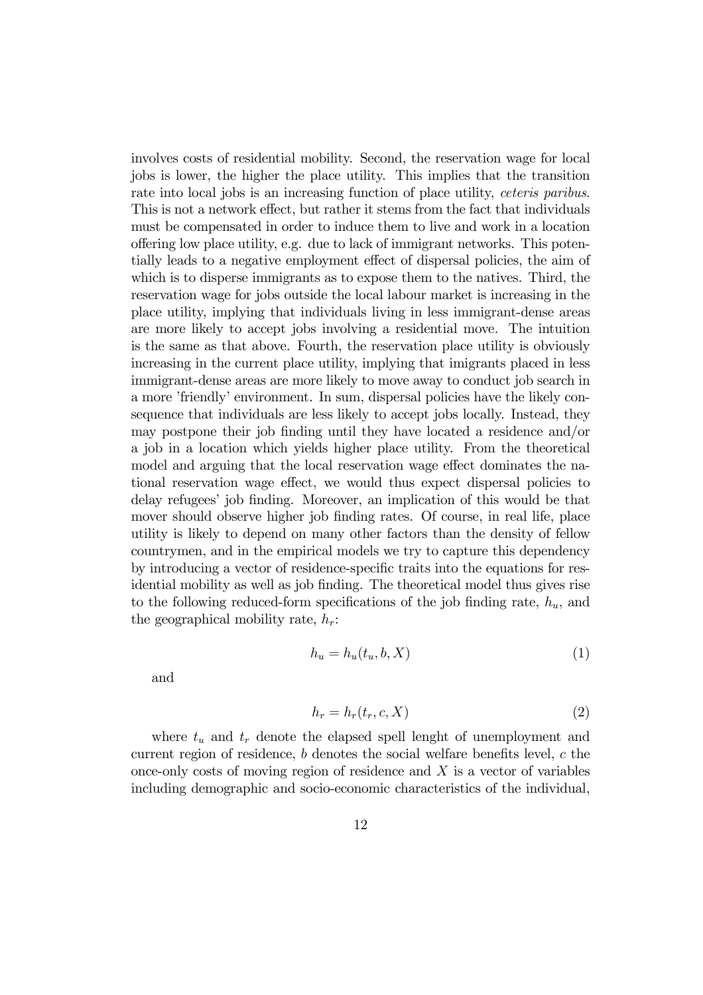involves costs of residential mobility. Second, the reservation wage for local jobs is lower, the higher the place utility. This implies that the transition rate into local jobs is an increasing function of place utility, *ceteris paribus*. This is not a network effect, but rather it stems from the fact that individuals must be compensated in order to induce them to live and work in a location offering low place utility, e.g. due to lack of immigrant networks. This potentially leads to a negative employment effect of dispersal policies, the aim of which is to disperse immigrants as to expose them to the natives. Third, the reservation wage for jobs outside the local labour market is increasing in the place utility, implying that individuals living in less immigrant-dense areas are more likely to accept jobs involving a residential move. The intuition is the same as that above. Fourth, the reservation place utility is obviously increasing in the current place utility, implying that imigrants placed in less immigrant-dense areas are more likely to move away to conduct job search in a more 'friendly' environment. In sum, dispersal policies have the likely consequence that individuals are less likely to accept jobs locally. Instead, they may postpone their job finding until they have located a residence and/or a job in a location which yields higher place utility. From the theoretical model and arguing that the local reservation wage effect dominates the national reservation wage effect, we would thus expect dispersal policies to delay refugees' job finding. Moreover, an implication of this would be that mover should observe higher job finding rates. Of course, in real life, place utility is likely to depend on many other factors than the density of fellow countrymen, and in the empirical models we try to capture this dependency by introducing a vector of residence-specific traits into the equations for residential mobility as well as job finding. The theoretical model thus gives rise to the following reduced-form specifications of the job finding rate,  $h_u$ , and the geographical mobility rate,  $h_r$ :

$$
h_u = h_u(t_u, b, X) \tag{1}
$$

and

$$
h_r = h_r(t_r, c, X) \tag{2}
$$

where  $t_u$  and  $t_r$  denote the elapsed spell lenght of unemployment and current region of residence, b denotes the social welfare benefits level, c the once-only costs of moving region of residence and  $X$  is a vector of variables including demographic and socio-economic characteristics of the individual,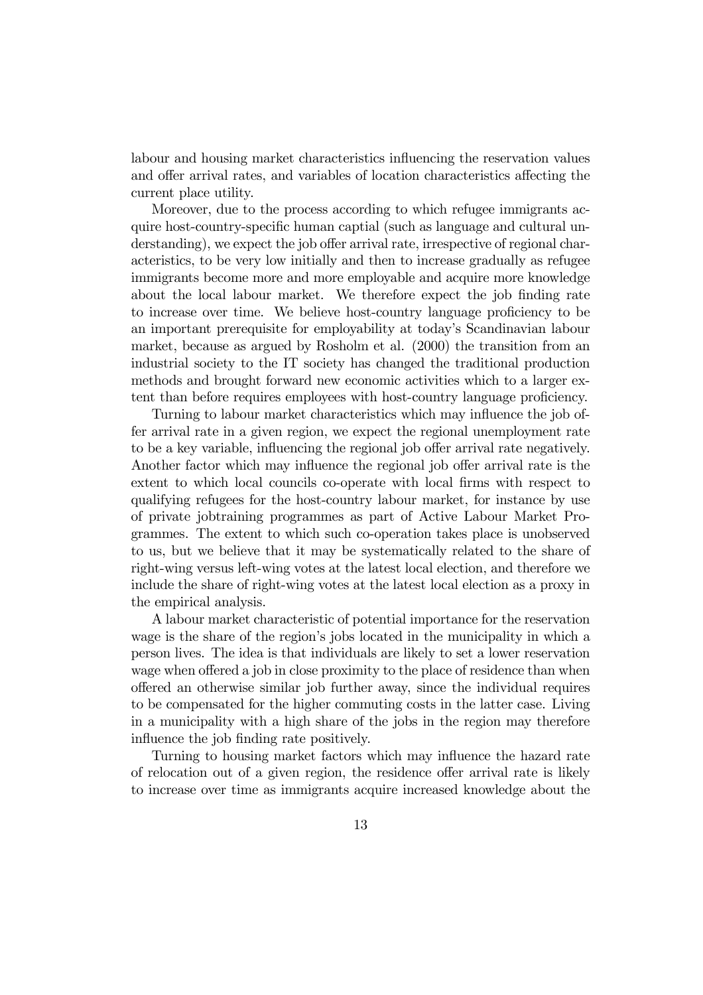labour and housing market characteristics influencing the reservation values and offer arrival rates, and variables of location characteristics affecting the current place utility.

Moreover, due to the process according to which refugee immigrants acquire host-country-specific human captial (such as language and cultural understanding), we expect the job offer arrival rate, irrespective of regional characteristics, to be very low initially and then to increase gradually as refugee immigrants become more and more employable and acquire more knowledge about the local labour market. We therefore expect the job finding rate to increase over time. We believe host-country language proficiency to be an important prerequisite for employability at today's Scandinavian labour market, because as argued by Rosholm et al. (2000) the transition from an industrial society to the IT society has changed the traditional production methods and brought forward new economic activities which to a larger extent than before requires employees with host-country language proficiency.

Turning to labour market characteristics which may influence the job offer arrival rate in a given region, we expect the regional unemployment rate to be a key variable, influencing the regional job offer arrival rate negatively. Another factor which may influence the regional job offer arrival rate is the extent to which local councils co-operate with local firms with respect to qualifying refugees for the host-country labour market, for instance by use of private jobtraining programmes as part of Active Labour Market Programmes. The extent to which such co-operation takes place is unobserved to us, but we believe that it may be systematically related to the share of right-wing versus left-wing votes at the latest local election, and therefore we include the share of right-wing votes at the latest local election as a proxy in the empirical analysis.

A labour market characteristic of potential importance for the reservation wage is the share of the region's jobs located in the municipality in which a person lives. The idea is that individuals are likely to set a lower reservation wage when offered a job in close proximity to the place of residence than when offered an otherwise similar job further away, since the individual requires to be compensated for the higher commuting costs in the latter case. Living in a municipality with a high share of the jobs in the region may therefore influence the job finding rate positively.

Turning to housing market factors which may influence the hazard rate of relocation out of a given region, the residence offer arrival rate is likely to increase over time as immigrants acquire increased knowledge about the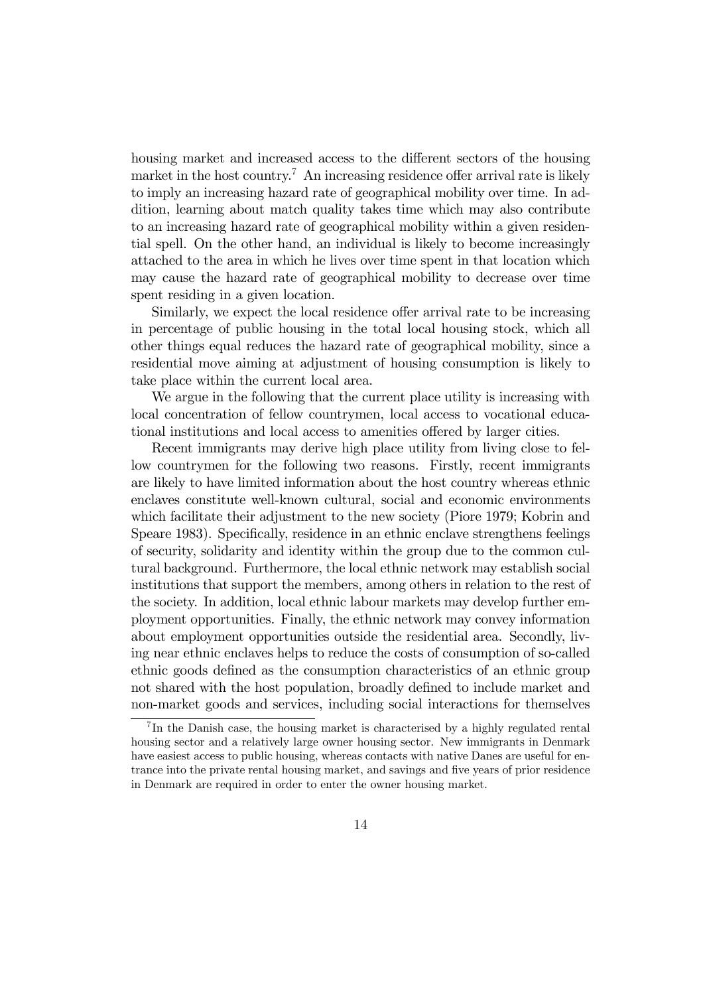housing market and increased access to the different sectors of the housing market in the host country.<sup>7</sup> An increasing residence offer arrival rate is likely to imply an increasing hazard rate of geographical mobility over time. In addition, learning about match quality takes time which may also contribute to an increasing hazard rate of geographical mobility within a given residential spell. On the other hand, an individual is likely to become increasingly attached to the area in which he lives over time spent in that location which may cause the hazard rate of geographical mobility to decrease over time spent residing in a given location.

Similarly, we expect the local residence offer arrival rate to be increasing in percentage of public housing in the total local housing stock, which all other things equal reduces the hazard rate of geographical mobility, since a residential move aiming at adjustment of housing consumption is likely to take place within the current local area.

We argue in the following that the current place utility is increasing with local concentration of fellow countrymen, local access to vocational educational institutions and local access to amenities offered by larger cities.

Recent immigrants may derive high place utility from living close to fellow countrymen for the following two reasons. Firstly, recent immigrants are likely to have limited information about the host country whereas ethnic enclaves constitute well-known cultural, social and economic environments which facilitate their adjustment to the new society (Piore 1979; Kobrin and Speare 1983). Specifically, residence in an ethnic enclave strengthens feelings of security, solidarity and identity within the group due to the common cultural background. Furthermore, the local ethnic network may establish social institutions that support the members, among others in relation to the rest of the society. In addition, local ethnic labour markets may develop further employment opportunities. Finally, the ethnic network may convey information about employment opportunities outside the residential area. Secondly, living near ethnic enclaves helps to reduce the costs of consumption of so-called ethnic goods defined as the consumption characteristics of an ethnic group not shared with the host population, broadly defined to include market and non-market goods and services, including social interactions for themselves

<sup>&</sup>lt;sup>7</sup>In the Danish case, the housing market is characterised by a highly regulated rental housing sector and a relatively large owner housing sector. New immigrants in Denmark have easiest access to public housing, whereas contacts with native Danes are useful for entrance into the private rental housing market, and savings and five years of prior residence in Denmark are required in order to enter the owner housing market.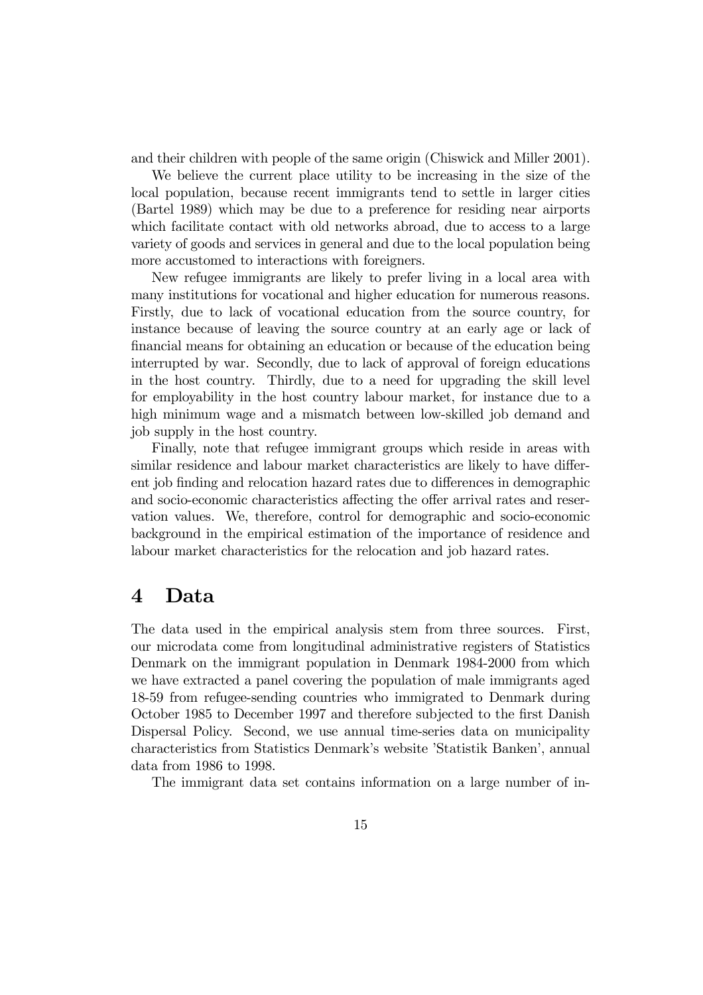and their children with people of the same origin (Chiswick and Miller 2001).

We believe the current place utility to be increasing in the size of the local population, because recent immigrants tend to settle in larger cities (Bartel 1989) which may be due to a preference for residing near airports which facilitate contact with old networks abroad, due to access to a large variety of goods and services in general and due to the local population being more accustomed to interactions with foreigners.

New refugee immigrants are likely to prefer living in a local area with many institutions for vocational and higher education for numerous reasons. Firstly, due to lack of vocational education from the source country, for instance because of leaving the source country at an early age or lack of financial means for obtaining an education or because of the education being interrupted by war. Secondly, due to lack of approval of foreign educations in the host country. Thirdly, due to a need for upgrading the skill level for employability in the host country labour market, for instance due to a high minimum wage and a mismatch between low-skilled job demand and job supply in the host country.

Finally, note that refugee immigrant groups which reside in areas with similar residence and labour market characteristics are likely to have different job finding and relocation hazard rates due to differences in demographic and socio-economic characteristics affecting the offer arrival rates and reservation values. We, therefore, control for demographic and socio-economic background in the empirical estimation of the importance of residence and labour market characteristics for the relocation and job hazard rates.

#### 4 Data

The data used in the empirical analysis stem from three sources. First, our microdata come from longitudinal administrative registers of Statistics Denmark on the immigrant population in Denmark 1984-2000 from which we have extracted a panel covering the population of male immigrants aged 18-59 from refugee-sending countries who immigrated to Denmark during October 1985 to December 1997 and therefore subjected to the first Danish Dispersal Policy. Second, we use annual time-series data on municipality characteristics from Statistics Denmark's website 'Statistik Banken', annual data from 1986 to 1998.

The immigrant data set contains information on a large number of in-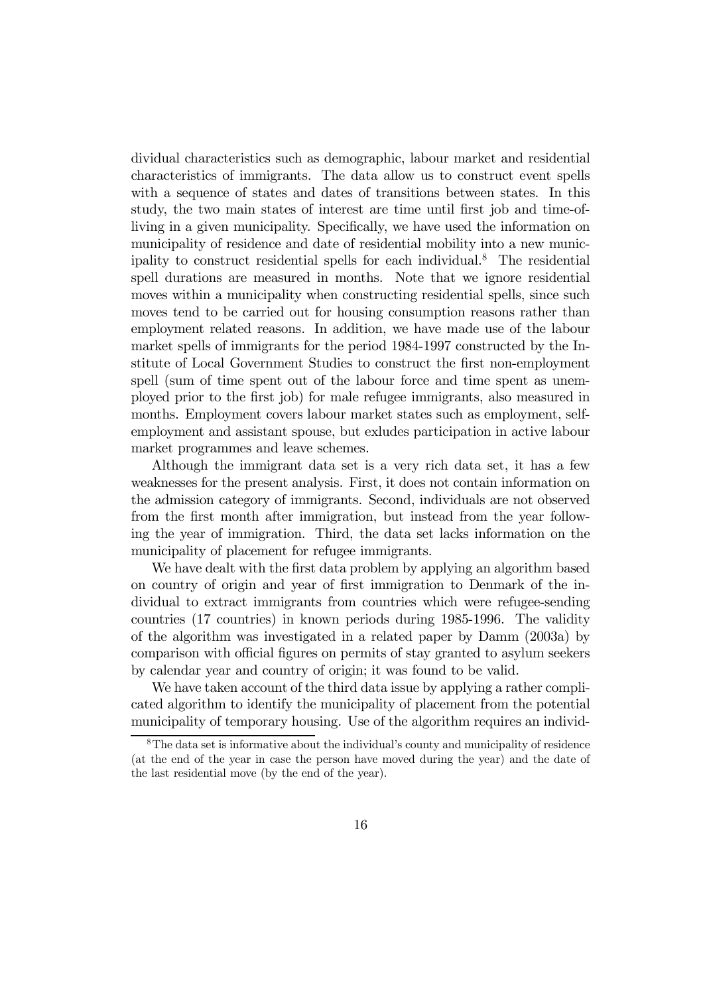dividual characteristics such as demographic, labour market and residential characteristics of immigrants. The data allow us to construct event spells with a sequence of states and dates of transitions between states. In this study, the two main states of interest are time until first job and time-ofliving in a given municipality. Specifically, we have used the information on municipality of residence and date of residential mobility into a new municipality to construct residential spells for each individual.8 The residential spell durations are measured in months. Note that we ignore residential moves within a municipality when constructing residential spells, since such moves tend to be carried out for housing consumption reasons rather than employment related reasons. In addition, we have made use of the labour market spells of immigrants for the period 1984-1997 constructed by the Institute of Local Government Studies to construct the first non-employment spell (sum of time spent out of the labour force and time spent as unemployed prior to the first job) for male refugee immigrants, also measured in months. Employment covers labour market states such as employment, selfemployment and assistant spouse, but exludes participation in active labour market programmes and leave schemes.

Although the immigrant data set is a very rich data set, it has a few weaknesses for the present analysis. First, it does not contain information on the admission category of immigrants. Second, individuals are not observed from the first month after immigration, but instead from the year following the year of immigration. Third, the data set lacks information on the municipality of placement for refugee immigrants.

We have dealt with the first data problem by applying an algorithm based on country of origin and year of first immigration to Denmark of the individual to extract immigrants from countries which were refugee-sending countries (17 countries) in known periods during 1985-1996. The validity of the algorithm was investigated in a related paper by Damm (2003a) by comparison with official figures on permits of stay granted to asylum seekers by calendar year and country of origin; it was found to be valid.

We have taken account of the third data issue by applying a rather complicated algorithm to identify the municipality of placement from the potential municipality of temporary housing. Use of the algorithm requires an individ-

<sup>8</sup>The data set is informative about the individual's county and municipality of residence (at the end of the year in case the person have moved during the year) and the date of the last residential move (by the end of the year).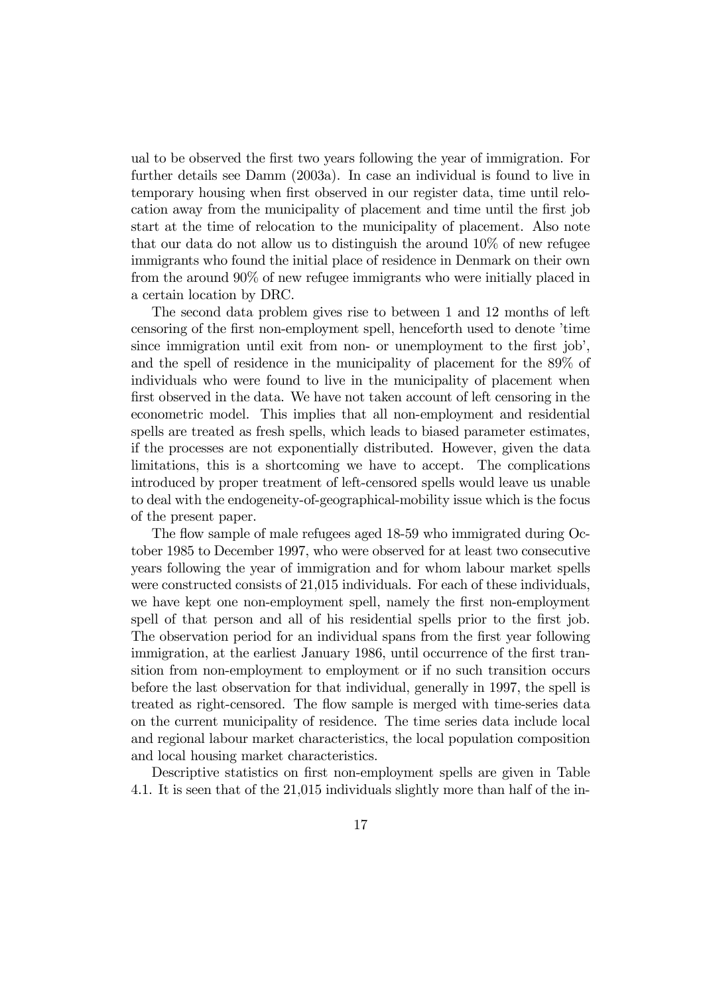ual to be observed the first two years following the year of immigration. For further details see Damm (2003a). In case an individual is found to live in temporary housing when first observed in our register data, time until relocation away from the municipality of placement and time until the first job start at the time of relocation to the municipality of placement. Also note that our data do not allow us to distinguish the around 10% of new refugee immigrants who found the initial place of residence in Denmark on their own from the around 90% of new refugee immigrants who were initially placed in a certain location by DRC.

The second data problem gives rise to between 1 and 12 months of left censoring of the first non-employment spell, henceforth used to denote 'time since immigration until exit from non- or unemployment to the first job', and the spell of residence in the municipality of placement for the 89% of individuals who were found to live in the municipality of placement when first observed in the data. We have not taken account of left censoring in the econometric model. This implies that all non-employment and residential spells are treated as fresh spells, which leads to biased parameter estimates, if the processes are not exponentially distributed. However, given the data limitations, this is a shortcoming we have to accept. The complications introduced by proper treatment of left-censored spells would leave us unable to deal with the endogeneity-of-geographical-mobility issue which is the focus of the present paper.

The flow sample of male refugees aged 18-59 who immigrated during October 1985 to December 1997, who were observed for at least two consecutive years following the year of immigration and for whom labour market spells were constructed consists of 21,015 individuals. For each of these individuals, we have kept one non-employment spell, namely the first non-employment spell of that person and all of his residential spells prior to the first job. The observation period for an individual spans from the first year following immigration, at the earliest January 1986, until occurrence of the first transition from non-employment to employment or if no such transition occurs before the last observation for that individual, generally in 1997, the spell is treated as right-censored. The flow sample is merged with time-series data on the current municipality of residence. The time series data include local and regional labour market characteristics, the local population composition and local housing market characteristics.

Descriptive statistics on first non-employment spells are given in Table 4.1. It is seen that of the 21,015 individuals slightly more than half of the in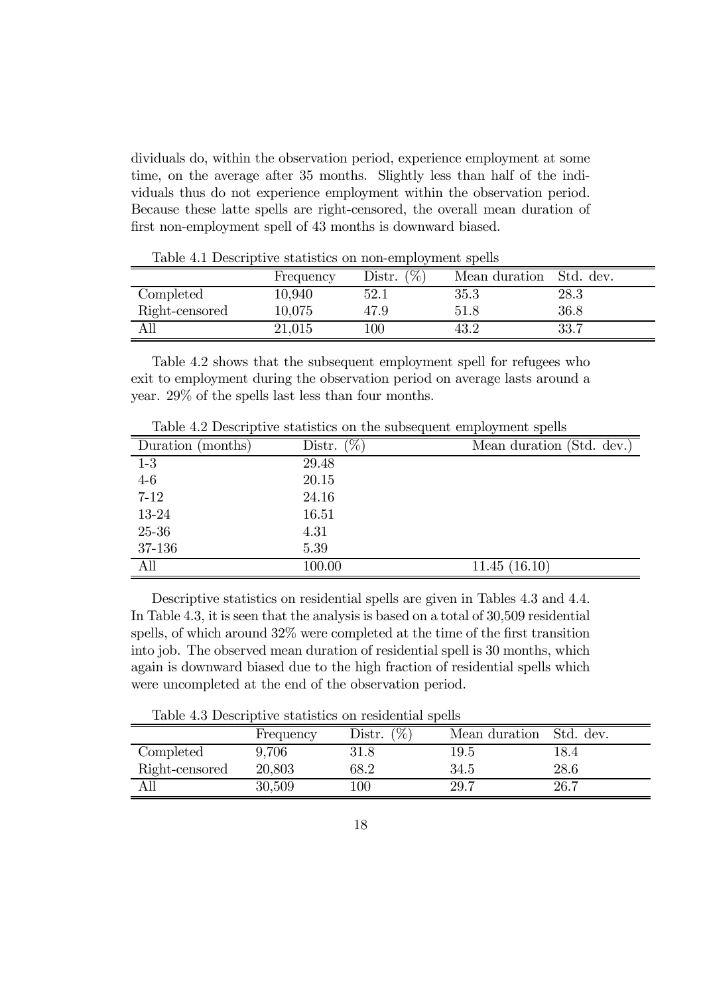dividuals do, within the observation period, experience employment at some time, on the average after 35 months. Slightly less than half of the individuals thus do not experience employment within the observation period. Because these latte spells are right-censored, the overall mean duration of first non-employment spell of 43 months is downward biased.

|                | Frequency | $($ %)<br>Distr. | Mean duration | Std. dev. |
|----------------|-----------|------------------|---------------|-----------|
| Completed      | 10,940    | 52.1             | $35.3\,$      | $28.3\,$  |
| Right-censored | 10,075    | 47.9             | 51.8          | 36.8      |
| All            | 21,015    | $100\,$          | 43.2          | 33.7      |

Table 4.1 Descriptive statistics on non-employment spells

Table 4.2 shows that the subsequent employment spell for refugees who exit to employment during the observation period on average lasts around a year. 29% of the spells last less than four months.

|                   | rapid its populperto beautiques on eno babboqueile emprogramme spons |                           |
|-------------------|----------------------------------------------------------------------|---------------------------|
| Duration (months) | Distr. $(\%)$                                                        | Mean duration (Std. dev.) |
| $1-3$             | 29.48                                                                |                           |
| $4-6$             | 20.15                                                                |                           |
| $7 - 12$          | 24.16                                                                |                           |
| 13-24             | 16.51                                                                |                           |
| $25 - 36$         | 4.31                                                                 |                           |
| 37-136            | 5.39                                                                 |                           |
| All               | 100.00                                                               | 11.45(16.10)              |

Table 4.2 Descriptive statistics on the subsequent employment spells

Descriptive statistics on residential spells are given in Tables 4.3 and 4.4. In Table 4.3, it is seen that the analysis is based on a total of 30,509 residential spells, of which around 32% were completed at the time of the first transition into job. The observed mean duration of residential spell is 30 months, which again is downward biased due to the high fraction of residential spells which were uncompleted at the end of the observation period.

Table 4.3 Descriptive statistics on residential spells

|                | Frequency | $(\%$<br>Distr. | Mean duration | Std. dev. |
|----------------|-----------|-----------------|---------------|-----------|
| Completed      | 9.706     | $31.8\,$        | $19.5\,$      | 18.4      |
| Right-censored | 20,803    | $68.2\,$        | 34.5          | 28.6      |
| All            | 30,509    | $100\,$         | -29.7         | 26.7      |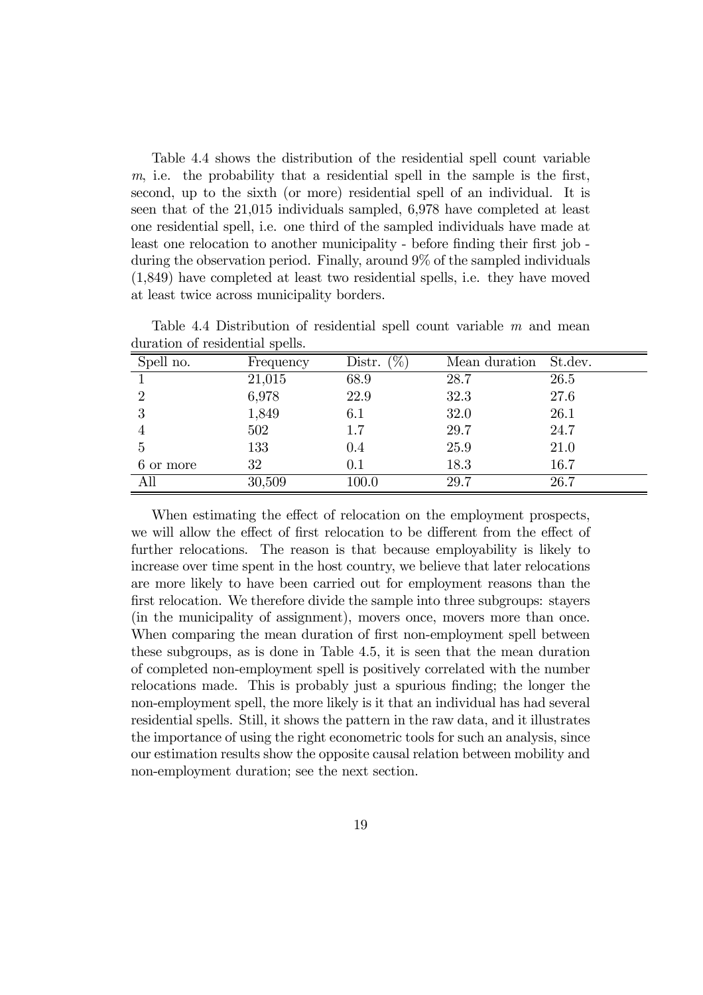Table 4.4 shows the distribution of the residential spell count variable m, i.e. the probability that a residential spell in the sample is the first, second, up to the sixth (or more) residential spell of an individual. It is seen that of the 21,015 individuals sampled, 6,978 have completed at least one residential spell, i.e. one third of the sampled individuals have made at least one relocation to another municipality - before finding their first job during the observation period. Finally, around 9% of the sampled individuals (1,849) have completed at least two residential spells, i.e. they have moved at least twice across municipality borders.

| $\alpha$ and $\alpha$ and $\alpha$ is a contracted by $\alpha$ . |           |                        |               |         |
|------------------------------------------------------------------|-----------|------------------------|---------------|---------|
| Spell no.                                                        | Frequency | $(\sqrt{2})$<br>Distr. | Mean duration | St.dev. |
|                                                                  | 21,015    | 68.9                   | 28.7          | 26.5    |
| $\mathfrak{D}$                                                   | 6,978     | 22.9                   | 32.3          | 27.6    |
| 3                                                                | 1,849     | 6.1                    | 32.0          | 26.1    |
|                                                                  | 502       | $1.7\,$                | 29.7          | 24.7    |
| 5                                                                | 133       | 0.4                    | 25.9          | 21.0    |
| 6 or more                                                        | 32        | 0.1                    | 18.3          | 16.7    |
| All                                                              | 30,509    | 100.0                  | 29.7          | 26.7    |

Table 4.4 Distribution of residential spell count variable m and mean duration of residential spells.

When estimating the effect of relocation on the employment prospects, we will allow the effect of first relocation to be different from the effect of further relocations. The reason is that because employability is likely to increase over time spent in the host country, we believe that later relocations are more likely to have been carried out for employment reasons than the first relocation. We therefore divide the sample into three subgroups: stayers (in the municipality of assignment), movers once, movers more than once. When comparing the mean duration of first non-employment spell between these subgroups, as is done in Table 4.5, it is seen that the mean duration of completed non-employment spell is positively correlated with the number relocations made. This is probably just a spurious finding; the longer the non-employment spell, the more likely is it that an individual has had several residential spells. Still, it shows the pattern in the raw data, and it illustrates the importance of using the right econometric tools for such an analysis, since our estimation results show the opposite causal relation between mobility and non-employment duration; see the next section.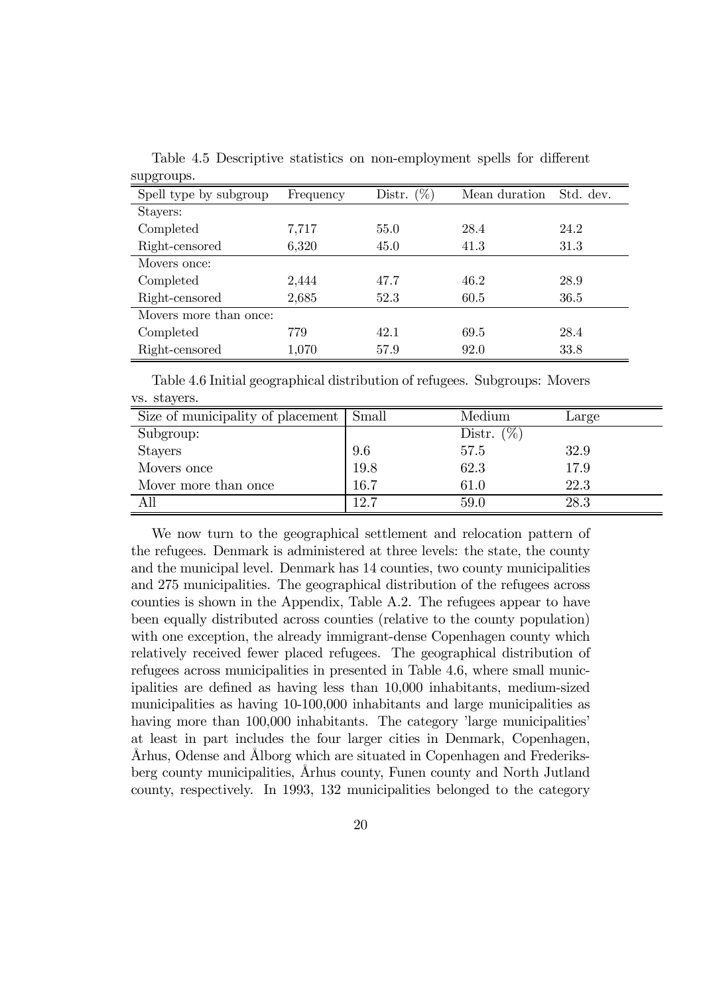| $v$ upatoup $v$        |           |                  |               |           |
|------------------------|-----------|------------------|---------------|-----------|
| Spell type by subgroup | Frequency | $(\%)$<br>Distr. | Mean duration | Std. dev. |
| Stayers:               |           |                  |               |           |
| Completed              | 7,717     | 55.0             | 28.4          | 24.2      |
| Right-censored         | 6,320     | 45.0             | 41.3          | 31.3      |
| Movers once:           |           |                  |               |           |
| Completed              | 2,444     | 47.7             | 46.2          | 28.9      |
| Right-censored         | 2,685     | 52.3             | 60.5          | 36.5      |
| Movers more than once: |           |                  |               |           |
| Completed              | 779       | 42.1             | 69.5          | 28.4      |
| Right-censored         | 1,070     | 57.9             | 92.0          | 33.8      |

Table 4.5 Descriptive statistics on non-employment spells for different supgroups.

Table 4.6 Initial geographical distribution of refugees. Subgroups: Movers vs. stayers.

| Size of municipality of placement | Small | Medium            | Large |
|-----------------------------------|-------|-------------------|-------|
| Subgroup:                         |       | $(\% )$<br>Distr. |       |
| <b>Stayers</b>                    | 9.6   | 57.5              | 32.9  |
| Movers once                       | 19.8  | 62.3              | 17.9  |
| Mover more than once              | 16.7  | 61.0              | 22.3  |
| All                               | 12.7  | 59.0              | 28.3  |

We now turn to the geographical settlement and relocation pattern of the refugees. Denmark is administered at three levels: the state, the county and the municipal level. Denmark has 14 counties, two county municipalities and 275 municipalities. The geographical distribution of the refugees across counties is shown in the Appendix, Table A.2. The refugees appear to have been equally distributed across counties (relative to the county population) with one exception, the already immigrant-dense Copenhagen county which relatively received fewer placed refugees. The geographical distribution of refugees across municipalities in presented in Table 4.6, where small municipalities are defined as having less than 10,000 inhabitants, medium-sized municipalities as having 10-100,000 inhabitants and large municipalities as having more than 100,000 inhabitants. The category 'large municipalities' at least in part includes the four larger cities in Denmark, Copenhagen, Århus, Odense and Ålborg which are situated in Copenhagen and Frederiksberg county municipalities, Århus county, Funen county and North Jutland county, respectively. In 1993, 132 municipalities belonged to the category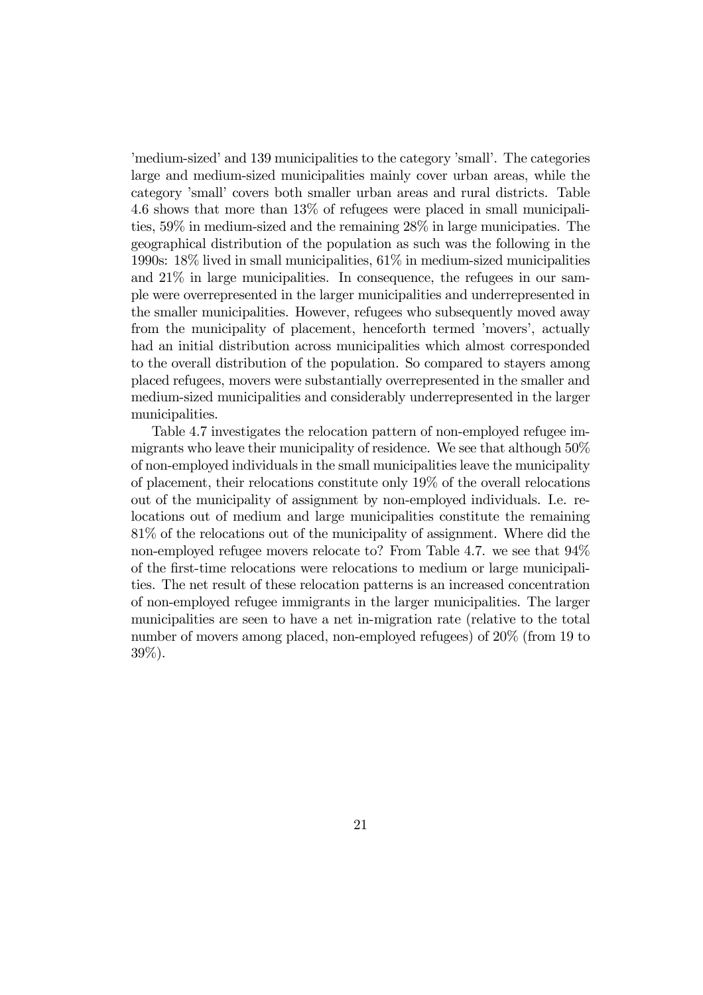'medium-sized' and 139 municipalities to the category 'small'. The categories large and medium-sized municipalities mainly cover urban areas, while the category 'small' covers both smaller urban areas and rural districts. Table 4.6 shows that more than 13% of refugees were placed in small municipalities, 59% in medium-sized and the remaining 28% in large municipaties. The geographical distribution of the population as such was the following in the 1990s: 18% lived in small municipalities, 61% in medium-sized municipalities and 21% in large municipalities. In consequence, the refugees in our sample were overrepresented in the larger municipalities and underrepresented in the smaller municipalities. However, refugees who subsequently moved away from the municipality of placement, henceforth termed 'movers', actually had an initial distribution across municipalities which almost corresponded to the overall distribution of the population. So compared to stayers among placed refugees, movers were substantially overrepresented in the smaller and medium-sized municipalities and considerably underrepresented in the larger municipalities.

Table 4.7 investigates the relocation pattern of non-employed refugee immigrants who leave their municipality of residence. We see that although 50% of non-employed individuals in the small municipalities leave the municipality of placement, their relocations constitute only 19% of the overall relocations out of the municipality of assignment by non-employed individuals. I.e. relocations out of medium and large municipalities constitute the remaining 81% of the relocations out of the municipality of assignment. Where did the non-employed refugee movers relocate to? From Table 4.7. we see that 94% of the first-time relocations were relocations to medium or large municipalities. The net result of these relocation patterns is an increased concentration of non-employed refugee immigrants in the larger municipalities. The larger municipalities are seen to have a net in-migration rate (relative to the total number of movers among placed, non-employed refugees) of 20% (from 19 to 39%).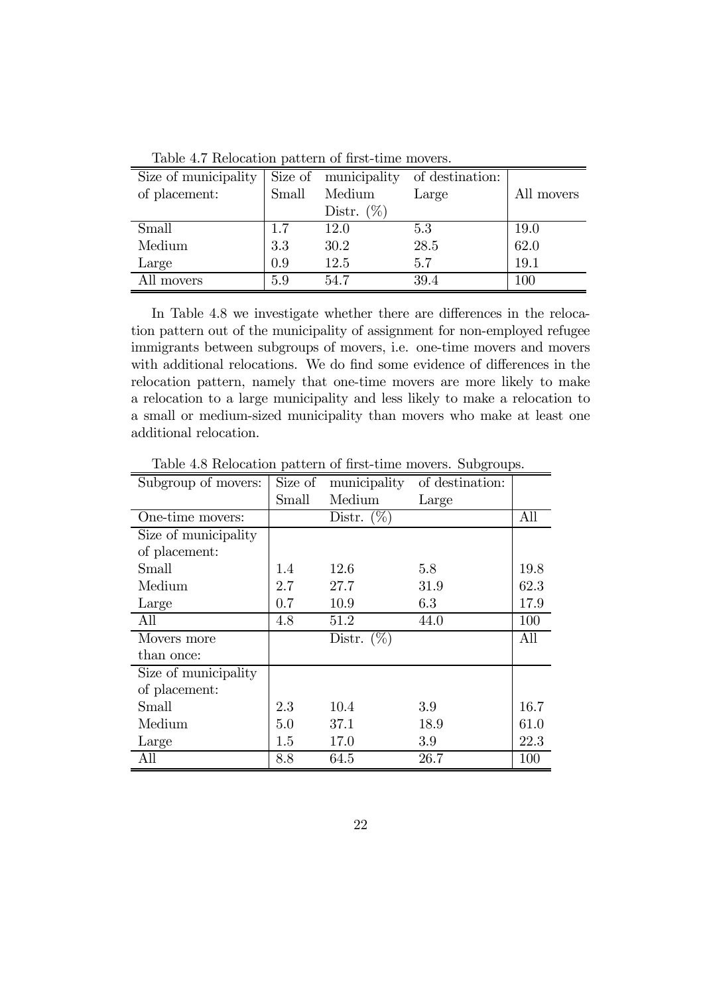| Size of municipality |       | Size of municipality | of destination: |            |
|----------------------|-------|----------------------|-----------------|------------|
| of placement:        | Small | Medium               | Large           | All movers |
|                      |       | Distr. $(\%)$        |                 |            |
| Small                | 1.7   | 12.0                 | 5.3             | 19.0       |
| Medium               | 3.3   | 30.2                 | 28.5            | 62.0       |
| Large                | 0.9   | 12.5                 | 5.7             | 19.1       |
| All movers           | 5.9   | 54 7                 | 39.4            | 100        |

Table 4.7 Relocation pattern of first-time movers.

In Table 4.8 we investigate whether there are differences in the relocation pattern out of the municipality of assignment for non-employed refugee immigrants between subgroups of movers, i.e. one-time movers and movers with additional relocations. We do find some evidence of differences in the relocation pattern, namely that one-time movers are more likely to make a relocation to a large municipality and less likely to make a relocation to a small or medium-sized municipality than movers who make at least one additional relocation.

| Subgroup of movers:  | Size of | municipality  | of destination: |      |
|----------------------|---------|---------------|-----------------|------|
|                      | Small   | Medium        | Large           |      |
| One-time movers:     |         | Distr. $(\%)$ |                 | All  |
| Size of municipality |         |               |                 |      |
| of placement:        |         |               |                 |      |
| Small                | 1.4     | 12.6          | 5.8             | 19.8 |
| Medium               | 2.7     | 27.7          | 31.9            | 62.3 |
| Large                | 0.7     | 10.9          | 6.3             | 17.9 |
| All                  | 4.8     | 51.2          | 44.0            | 100  |
| Movers more          |         | Distr. $(\%)$ |                 | All  |
| than once:           |         |               |                 |      |
| Size of municipality |         |               |                 |      |
| of placement:        |         |               |                 |      |
| Small                | 2.3     | 10.4          | 3.9             | 16.7 |
| Medium               | 5.0     | 37.1          | 18.9            | 61.0 |
| Large                | 1.5     | 17.0          | 3.9             | 22.3 |
| All                  | 8.8     | 64.5          | 26.7            | 100  |

Table 4.8 Relocation pattern of first-time movers. Subgroups.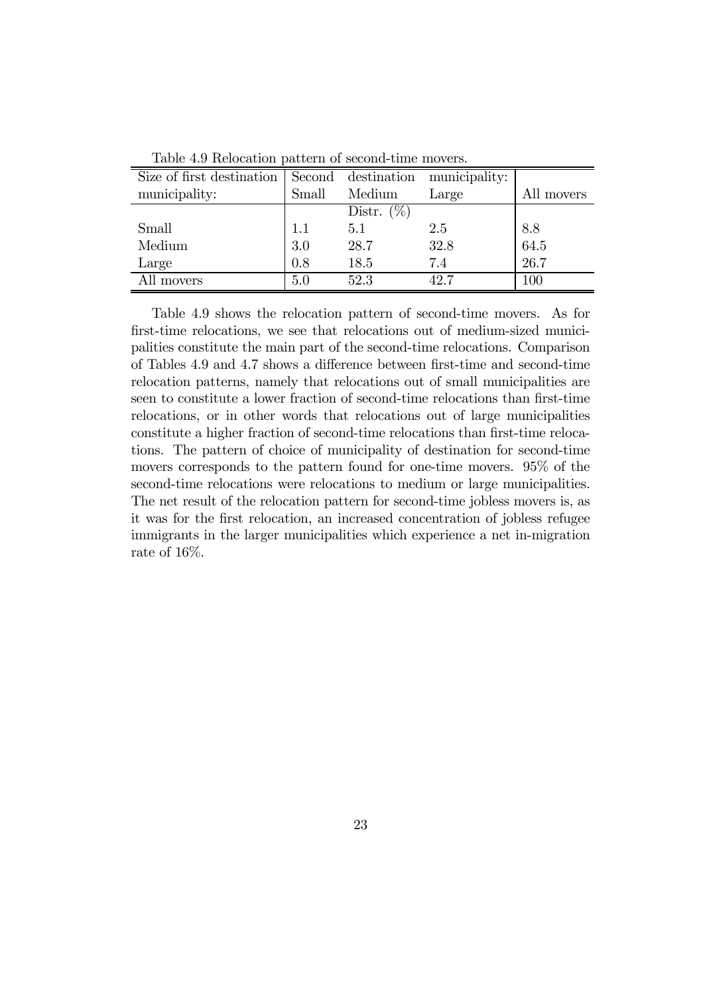| Size of first destination |         | Second destination | municipality: |            |
|---------------------------|---------|--------------------|---------------|------------|
| municipality:             | Small   | Medium             | Large         | All movers |
|                           |         | Distr. $(\%)$      |               |            |
| Small                     | $1.1\,$ | 5.1                | 2.5           | 8.8        |
| Medium                    | 3.0     | 28.7               | 32.8          | 64.5       |
| Large                     | 0.8     | 18.5               | 7.4           | 26.7       |
| All movers                | 5.0     | 52.3               | 42.7          | $100\,$    |

Table 4.9 Relocation pattern of second-time movers.

Table 4.9 shows the relocation pattern of second-time movers. As for first-time relocations, we see that relocations out of medium-sized municipalities constitute the main part of the second-time relocations. Comparison of Tables 4.9 and 4.7 shows a difference between first-time and second-time relocation patterns, namely that relocations out of small municipalities are seen to constitute a lower fraction of second-time relocations than first-time relocations, or in other words that relocations out of large municipalities constitute a higher fraction of second-time relocations than first-time relocations. The pattern of choice of municipality of destination for second-time movers corresponds to the pattern found for one-time movers. 95% of the second-time relocations were relocations to medium or large municipalities. The net result of the relocation pattern for second-time jobless movers is, as it was for the first relocation, an increased concentration of jobless refugee immigrants in the larger municipalities which experience a net in-migration rate of 16%.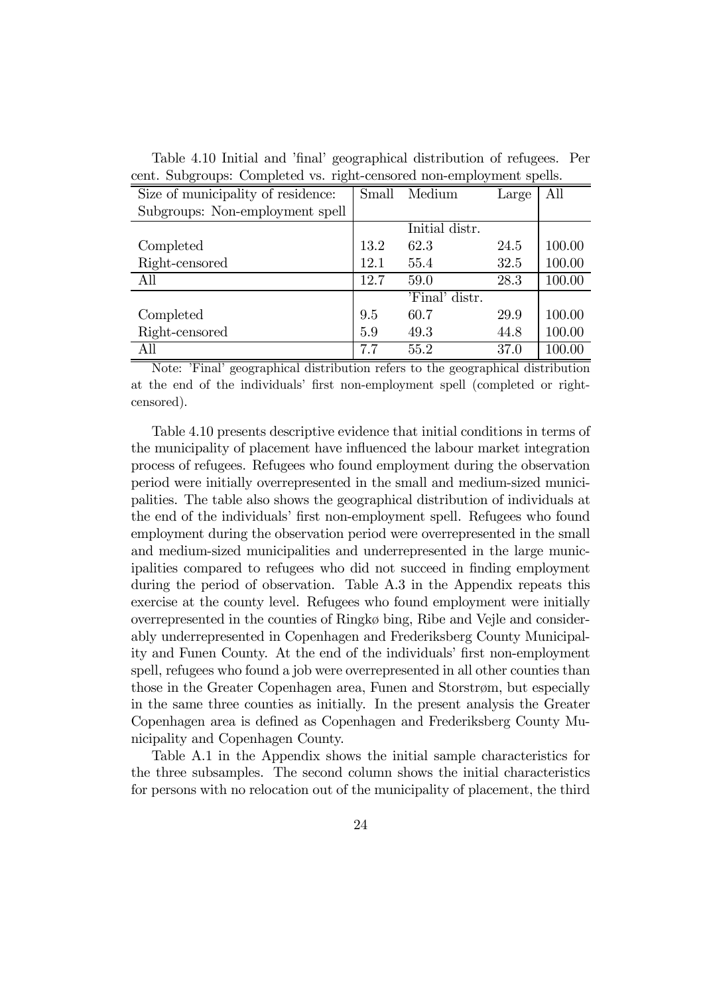| cent. Subgroups. Completed vs. right-censored hon-employment spens. |       |                |       |        |  |
|---------------------------------------------------------------------|-------|----------------|-------|--------|--|
| Size of municipality of residence:                                  | Small | Medium         | Large | All    |  |
| Subgroups: Non-employment spell                                     |       |                |       |        |  |
|                                                                     |       | Initial distr. |       |        |  |
| Completed                                                           | 13.2  | 62.3           | 24.5  | 100.00 |  |
| Right-censored                                                      | 12.1  | 55.4           | 32.5  | 100.00 |  |
| All                                                                 | 12.7  | 59.0           | 28.3  | 100.00 |  |
|                                                                     |       | 'Final' distr. |       |        |  |
| Completed                                                           | 9.5   | 60.7           | 29.9  | 100.00 |  |
| Right-censored                                                      | 5.9   | 49.3           | 44.8  | 100.00 |  |
| All                                                                 | 7.7   | 55.2           | 37.0  | 100.00 |  |

Table 4.10 Initial and 'final' geographical distribution of refugees. Per cent. Subgroups: Completed vs. right-censored non-employment spells.

Note: 'Final' geographical distribution refers to the geographical distribution at the end of the individuals' first non-employment spell (completed or rightcensored).

Table 4.10 presents descriptive evidence that initial conditions in terms of the municipality of placement have influenced the labour market integration process of refugees. Refugees who found employment during the observation period were initially overrepresented in the small and medium-sized municipalities. The table also shows the geographical distribution of individuals at the end of the individuals' first non-employment spell. Refugees who found employment during the observation period were overrepresented in the small and medium-sized municipalities and underrepresented in the large municipalities compared to refugees who did not succeed in finding employment during the period of observation. Table A.3 in the Appendix repeats this exercise at the county level. Refugees who found employment were initially overrepresented in the counties of Ringkø bing, Ribe and Vejle and considerably underrepresented in Copenhagen and Frederiksberg County Municipality and Funen County. At the end of the individuals' first non-employment spell, refugees who found a job were overrepresented in all other counties than those in the Greater Copenhagen area, Funen and Storstrøm, but especially in the same three counties as initially. In the present analysis the Greater Copenhagen area is defined as Copenhagen and Frederiksberg County Municipality and Copenhagen County.

Table A.1 in the Appendix shows the initial sample characteristics for the three subsamples. The second column shows the initial characteristics for persons with no relocation out of the municipality of placement, the third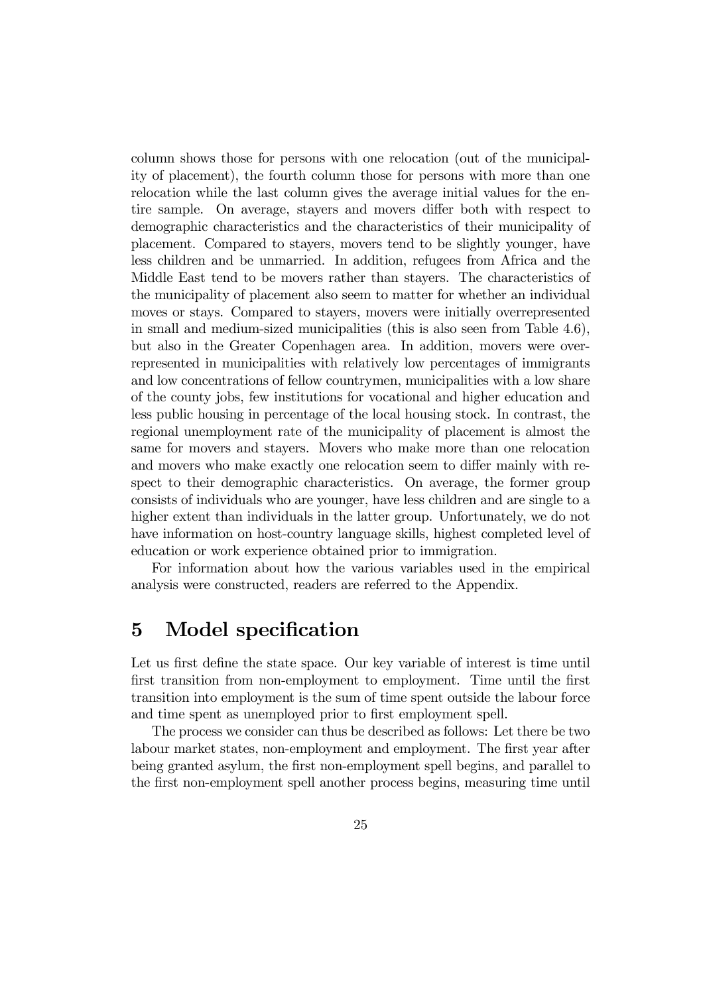column shows those for persons with one relocation (out of the municipality of placement), the fourth column those for persons with more than one relocation while the last column gives the average initial values for the entire sample. On average, stayers and movers differ both with respect to demographic characteristics and the characteristics of their municipality of placement. Compared to stayers, movers tend to be slightly younger, have less children and be unmarried. In addition, refugees from Africa and the Middle East tend to be movers rather than stayers. The characteristics of the municipality of placement also seem to matter for whether an individual moves or stays. Compared to stayers, movers were initially overrepresented in small and medium-sized municipalities (this is also seen from Table 4.6), but also in the Greater Copenhagen area. In addition, movers were overrepresented in municipalities with relatively low percentages of immigrants and low concentrations of fellow countrymen, municipalities with a low share of the county jobs, few institutions for vocational and higher education and less public housing in percentage of the local housing stock. In contrast, the regional unemployment rate of the municipality of placement is almost the same for movers and stayers. Movers who make more than one relocation and movers who make exactly one relocation seem to differ mainly with respect to their demographic characteristics. On average, the former group consists of individuals who are younger, have less children and are single to a higher extent than individuals in the latter group. Unfortunately, we do not have information on host-country language skills, highest completed level of education or work experience obtained prior to immigration.

For information about how the various variables used in the empirical analysis were constructed, readers are referred to the Appendix.

## 5 Model specification

Let us first define the state space. Our key variable of interest is time until first transition from non-employment to employment. Time until the first transition into employment is the sum of time spent outside the labour force and time spent as unemployed prior to first employment spell.

The process we consider can thus be described as follows: Let there be two labour market states, non-employment and employment. The first year after being granted asylum, the first non-employment spell begins, and parallel to the first non-employment spell another process begins, measuring time until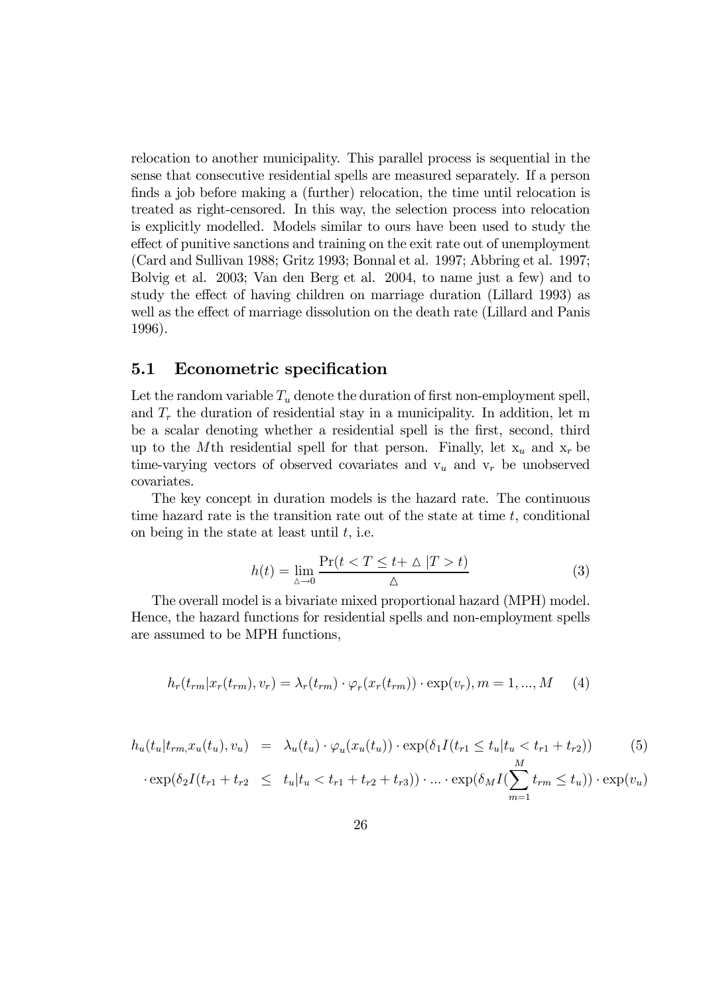relocation to another municipality. This parallel process is sequential in the sense that consecutive residential spells are measured separately. If a person finds a job before making a (further) relocation, the time until relocation is treated as right-censored. In this way, the selection process into relocation is explicitly modelled. Models similar to ours have been used to study the effect of punitive sanctions and training on the exit rate out of unemployment (Card and Sullivan 1988; Gritz 1993; Bonnal et al. 1997; Abbring et al. 1997; Bolvig et al. 2003; Van den Berg et al. 2004, to name just a few) and to study the effect of having children on marriage duration (Lillard 1993) as well as the effect of marriage dissolution on the death rate (Lillard and Panis 1996).

#### 5.1 Econometric specification

Let the random variable  $T_u$  denote the duration of first non-employment spell, and  $T_r$  the duration of residential stay in a municipality. In addition, let m be a scalar denoting whether a residential spell is the first, second, third up to the Mth residential spell for that person. Finally, let  $x_u$  and  $x_r$  be time-varying vectors of observed covariates and  $v_u$  and  $v_r$  be unobserved covariates.

The key concept in duration models is the hazard rate. The continuous time hazard rate is the transition rate out of the state at time  $t$ , conditional on being in the state at least until  $t$ , i.e.

$$
h(t) = \lim_{\Delta \to 0} \frac{\Pr(t < T \le t + \Delta \mid T > t)}{\Delta} \tag{3}
$$

The overall model is a bivariate mixed proportional hazard (MPH) model. Hence, the hazard functions for residential spells and non-employment spells are assumed to be MPH functions,

$$
h_r(t_{rm}|x_r(t_{rm}),v_r) = \lambda_r(t_{rm}) \cdot \varphi_r(x_r(t_{rm})) \cdot \exp(v_r), m = 1,...,M \quad (4)
$$

$$
h_u(t_u|t_{rm}, x_u(t_u), v_u) = \lambda_u(t_u) \cdot \varphi_u(x_u(t_u)) \cdot \exp(\delta_1 I(t_{r1} \le t_u | t_u < t_{r1} + t_{r2}))
$$
(5)

$$
\cdot \exp(\delta_2 I(t_{r1} + t_{r2} \le t_u | t_u < t_{r1} + t_{r2} + t_{r3})) \cdot ... \cdot \exp(\delta_M I(\sum_{m=1}^m t_{rm} \le t_u)) \cdot \exp(v_u)
$$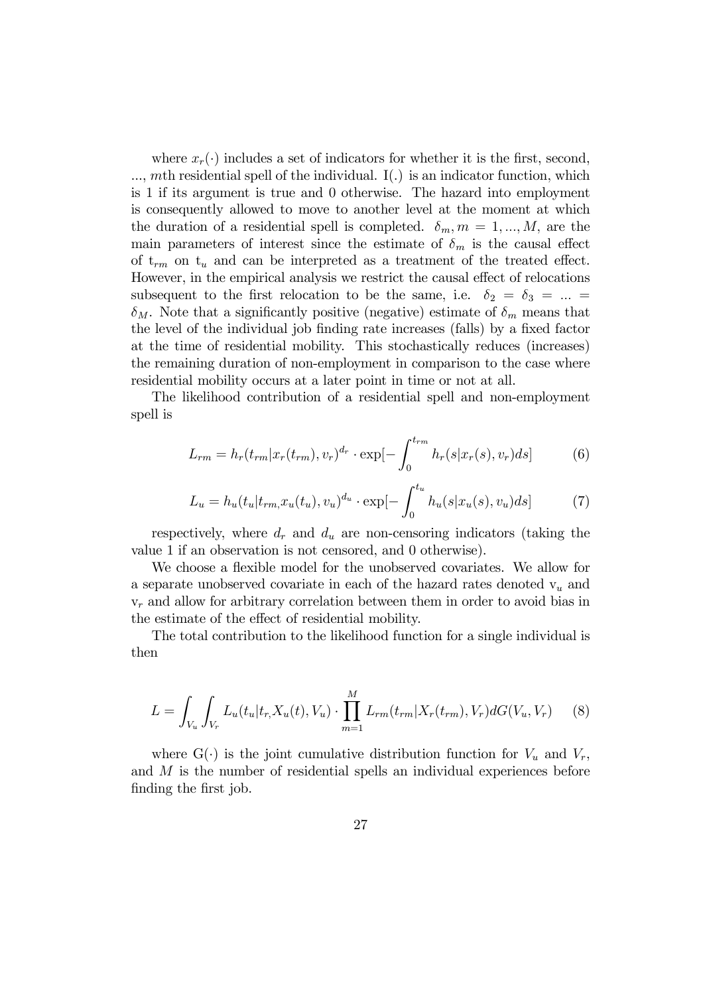where  $x_r(\cdot)$  includes a set of indicators for whether it is the first, second,  $...,$  mth residential spell of the individual. I(.) is an indicator function, which is 1 if its argument is true and 0 otherwise. The hazard into employment is consequently allowed to move to another level at the moment at which the duration of a residential spell is completed.  $\delta_m$ ,  $m = 1, ..., M$ , are the main parameters of interest since the estimate of  $\delta_m$  is the causal effect of  $t_{rm}$  on  $t_u$  and can be interpreted as a treatment of the treated effect. However, in the empirical analysis we restrict the causal effect of relocations subsequent to the first relocation to be the same, i.e.  $\delta_2 = \delta_3 = ... =$  $\delta_M$ . Note that a significantly positive (negative) estimate of  $\delta_m$  means that the level of the individual job finding rate increases (falls) by a fixed factor at the time of residential mobility. This stochastically reduces (increases) the remaining duration of non-employment in comparison to the case where residential mobility occurs at a later point in time or not at all.

The likelihood contribution of a residential spell and non-employment spell is

$$
L_{rm} = h_r(t_{rm}|x_r(t_{rm}), v_r)^{d_r} \cdot \exp[-\int_0^{t_{rm}} h_r(s|x_r(s), v_r)ds]
$$
(6)

$$
L_u = h_u(t_u | t_{rm}, x_u(t_u), v_u)^{d_u} \cdot \exp[-\int_0^{t_u} h_u(s | x_u(s), v_u) ds] \tag{7}
$$

respectively, where  $d_r$  and  $d_u$  are non-censoring indicators (taking the value 1 if an observation is not censored, and 0 otherwise).

We choose a flexible model for the unobserved covariates. We allow for a separate unobserved covariate in each of the hazard rates denoted  $v_u$  and  $v_r$  and allow for arbitrary correlation between them in order to avoid bias in the estimate of the effect of residential mobility.

The total contribution to the likelihood function for a single individual is then

$$
L = \int_{V_u} \int_{V_r} L_u(t_u | t_r, X_u(t), V_u) \cdot \prod_{m=1}^M L_{rm}(t_{rm} | X_r(t_{rm}), V_r) dG(V_u, V_r)
$$
(8)

where  $G(\cdot)$  is the joint cumulative distribution function for  $V_u$  and  $V_r$ , and M is the number of residential spells an individual experiences before finding the first job.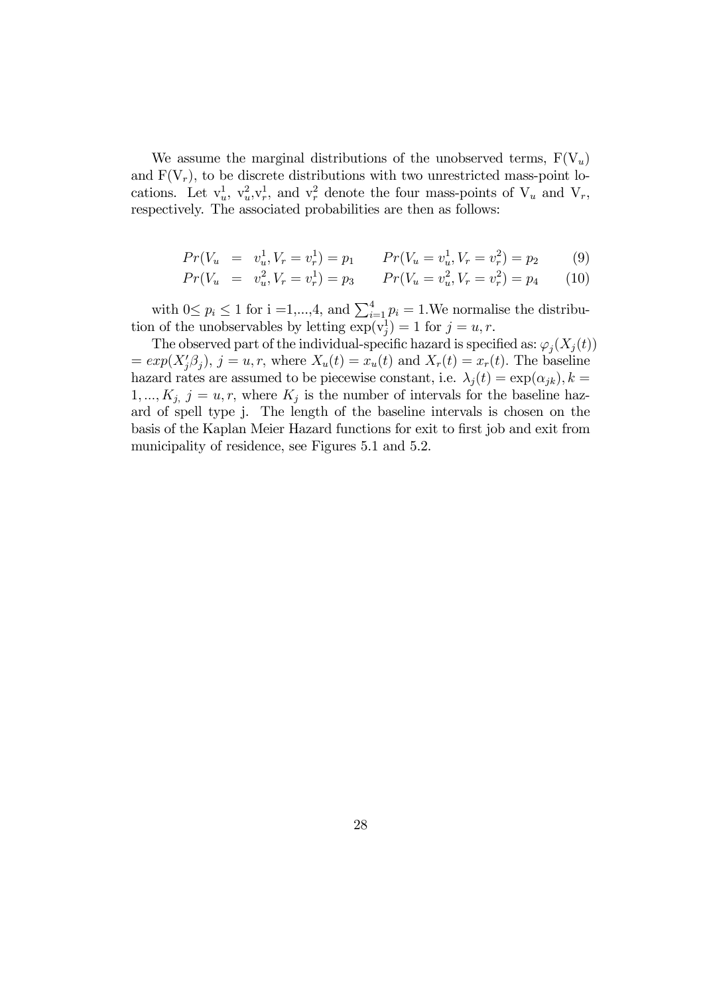We assume the marginal distributions of the unobserved terms,  $F(V_u)$ and  $F(V_r)$ , to be discrete distributions with two unrestricted mass-point locations. Let  $v_u^1$ ,  $v_u^2$ ,  $v_r^1$ , and  $v_r^2$  denote the four mass-points of  $V_u$  and  $V_r$ , respectively. The associated probabilities are then as follows:

$$
Pr(V_u = v_u^1, V_r = v_r^1) = p_1 \qquad Pr(V_u = v_u^1, V_r = v_r^2) = p_2 \tag{9}
$$

$$
Pr(V_u = v_u^2, V_r = v_r^1) = p_3 \qquad Pr(V_u = v_u^2, V_r = v_r^2) = p_4 \qquad (10)
$$

with  $0 \leq p_i \leq 1$  for  $i = 1, ..., 4$ , and  $\sum_{i=1}^{4} p_i = 1$ . We normalise the distribution of the unobservables by letting  $\exp(\mathbf{v}_j^1) = 1$  for  $j = u, r$ .

The observed part of the individual-specific hazard is specified as:  $\varphi_i(X_i(t))$  $= exp(X'_{j}\beta_{j}), j = u, r$ , where  $X_{u}(t) = x_{u}(t)$  and  $X_{r}(t) = x_{r}(t)$ . The baseline hazard rates are assumed to be piecewise constant, i.e.  $\lambda_j(t) = \exp(\alpha_{jk}), k =$  $1, ..., K_j$  j = u, r, where  $K_j$  is the number of intervals for the baseline hazard of spell type j. The length of the baseline intervals is chosen on the basis of the Kaplan Meier Hazard functions for exit to first job and exit from municipality of residence, see Figures 5.1 and 5.2.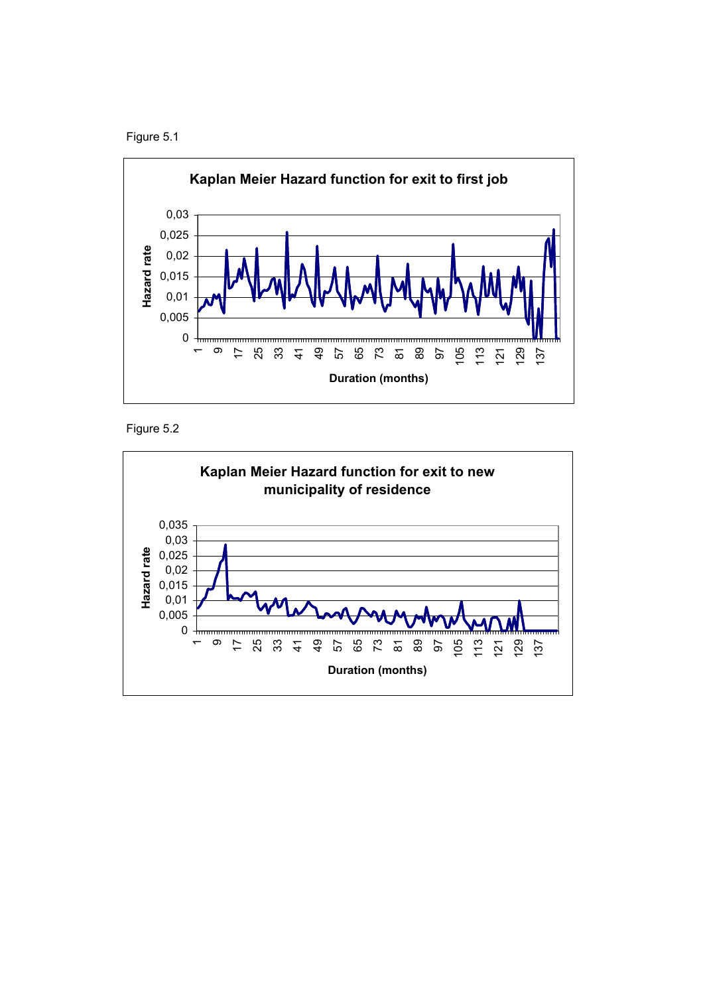





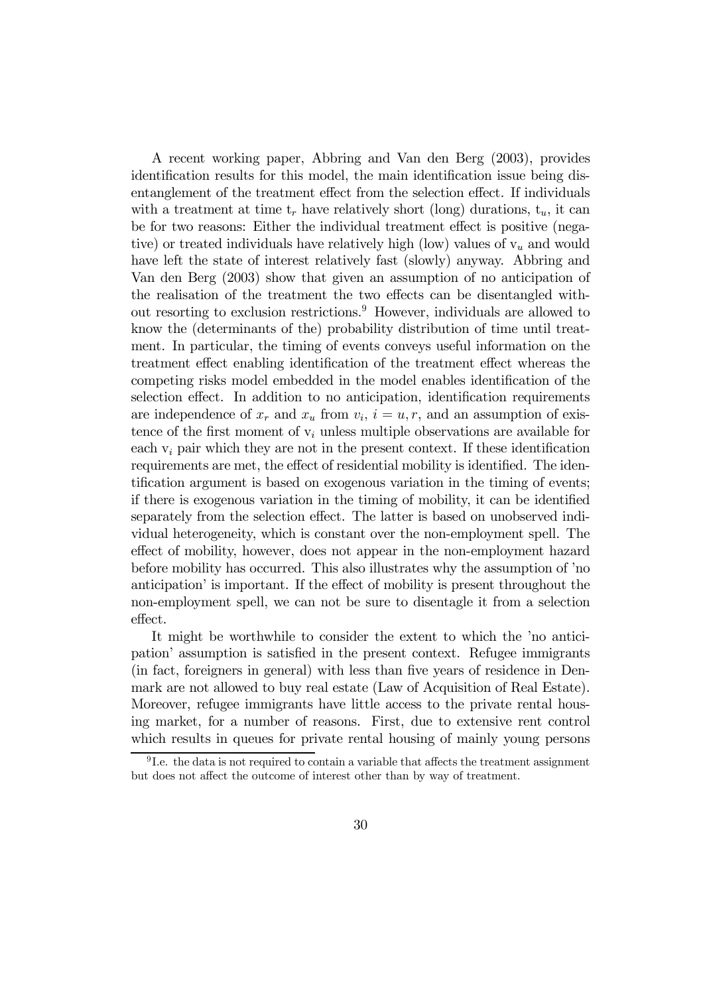A recent working paper, Abbring and Van den Berg (2003), provides identification results for this model, the main identification issue being disentanglement of the treatment effect from the selection effect. If individuals with a treatment at time  $t_r$  have relatively short (long) durations,  $t_u$ , it can be for two reasons: Either the individual treatment effect is positive (negative) or treated individuals have relatively high (low) values of  $v<sub>u</sub>$  and would have left the state of interest relatively fast (slowly) anyway. Abbring and Van den Berg (2003) show that given an assumption of no anticipation of the realisation of the treatment the two effects can be disentangled without resorting to exclusion restrictions.9 However, individuals are allowed to know the (determinants of the) probability distribution of time until treatment. In particular, the timing of events conveys useful information on the treatment effect enabling identification of the treatment effect whereas the competing risks model embedded in the model enables identification of the selection effect. In addition to no anticipation, identification requirements are independence of  $x_r$  and  $x_u$  from  $v_i$ ,  $i = u, r$ , and an assumption of existence of the first moment of  $v_i$  unless multiple observations are available for each  $v_i$  pair which they are not in the present context. If these identification requirements are met, the effect of residential mobility is identified. The identification argument is based on exogenous variation in the timing of events; if there is exogenous variation in the timing of mobility, it can be identified separately from the selection effect. The latter is based on unobserved individual heterogeneity, which is constant over the non-employment spell. The effect of mobility, however, does not appear in the non-employment hazard before mobility has occurred. This also illustrates why the assumption of 'no anticipation' is important. If the effect of mobility is present throughout the non-employment spell, we can not be sure to disentagle it from a selection effect.

It might be worthwhile to consider the extent to which the 'no anticipation' assumption is satisfied in the present context. Refugee immigrants (in fact, foreigners in general) with less than five years of residence in Denmark are not allowed to buy real estate (Law of Acquisition of Real Estate). Moreover, refugee immigrants have little access to the private rental housing market, for a number of reasons. First, due to extensive rent control which results in queues for private rental housing of mainly young persons

<sup>9</sup> I.e. the data is not required to contain a variable that affects the treatment assignment but does not affect the outcome of interest other than by way of treatment.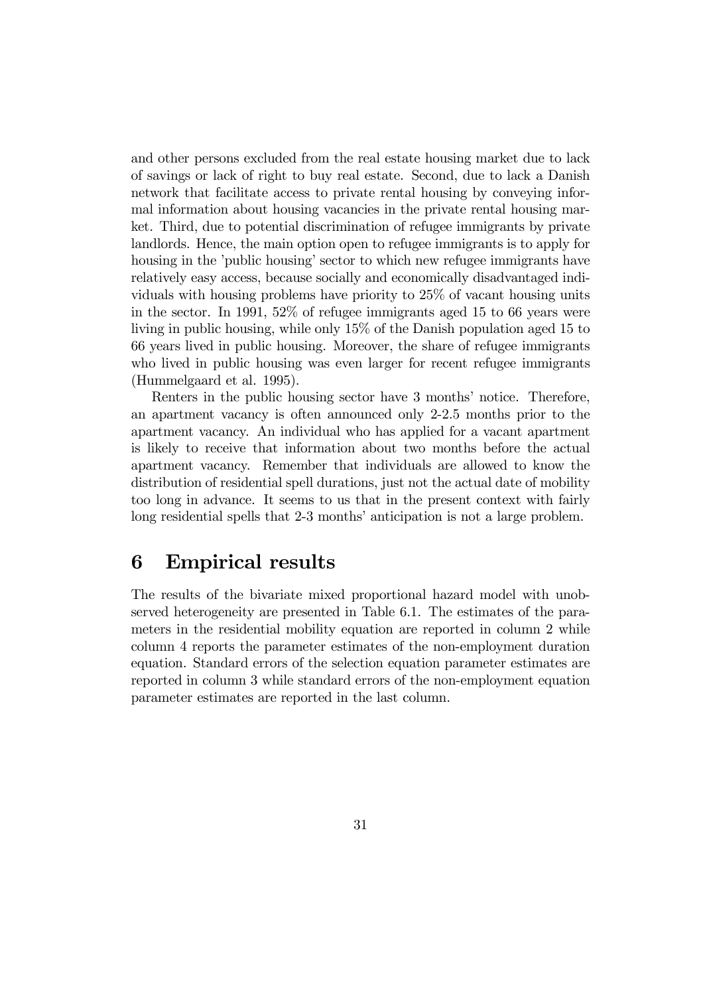and other persons excluded from the real estate housing market due to lack of savings or lack of right to buy real estate. Second, due to lack a Danish network that facilitate access to private rental housing by conveying informal information about housing vacancies in the private rental housing market. Third, due to potential discrimination of refugee immigrants by private landlords. Hence, the main option open to refugee immigrants is to apply for housing in the 'public housing' sector to which new refugee immigrants have relatively easy access, because socially and economically disadvantaged individuals with housing problems have priority to 25% of vacant housing units in the sector. In 1991, 52% of refugee immigrants aged 15 to 66 years were living in public housing, while only 15% of the Danish population aged 15 to 66 years lived in public housing. Moreover, the share of refugee immigrants who lived in public housing was even larger for recent refugee immigrants (Hummelgaard et al. 1995).

Renters in the public housing sector have 3 months' notice. Therefore, an apartment vacancy is often announced only 2-2.5 months prior to the apartment vacancy. An individual who has applied for a vacant apartment is likely to receive that information about two months before the actual apartment vacancy. Remember that individuals are allowed to know the distribution of residential spell durations, just not the actual date of mobility too long in advance. It seems to us that in the present context with fairly long residential spells that 2-3 months' anticipation is not a large problem.

## 6 Empirical results

The results of the bivariate mixed proportional hazard model with unobserved heterogeneity are presented in Table 6.1. The estimates of the parameters in the residential mobility equation are reported in column 2 while column 4 reports the parameter estimates of the non-employment duration equation. Standard errors of the selection equation parameter estimates are reported in column 3 while standard errors of the non-employment equation parameter estimates are reported in the last column.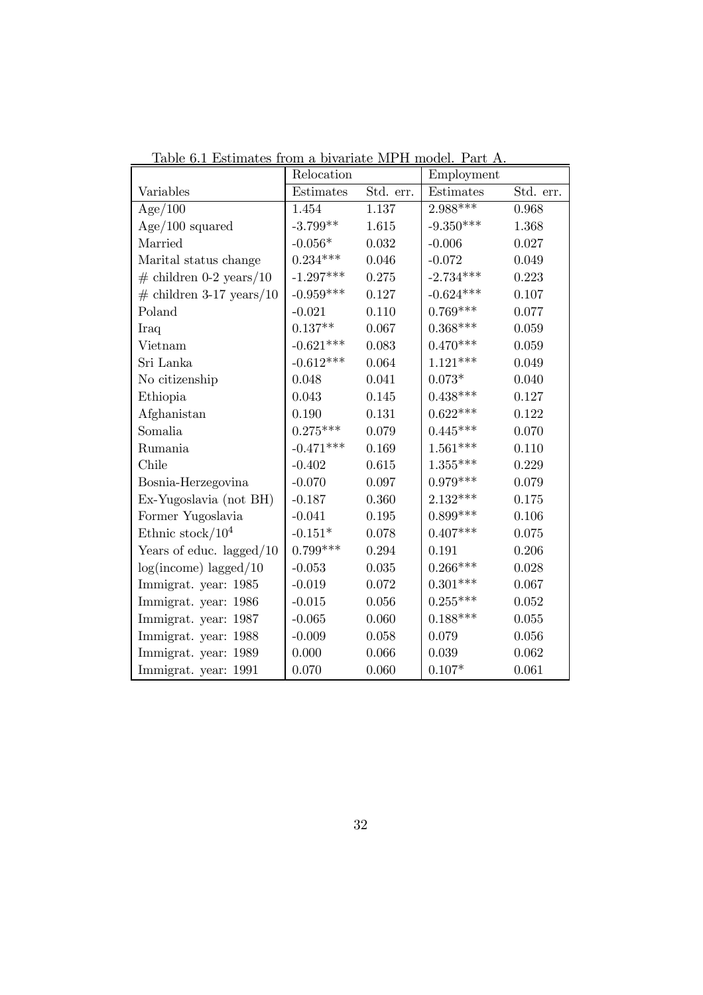|                             | Relocation         |           | Employment     |           |
|-----------------------------|--------------------|-----------|----------------|-----------|
| Variables                   | Estimates          | Std. err. | Estimates      | Std. err. |
| Age/100                     | 1.454              | 1.137     | $2.988***$     | 0.968     |
| $Age/100$ squared           | $-3.799**$         | 1.615     | $-9.350***$    | 1.368     |
| Married                     | $-0.056*$          | 0.032     | $-0.006$       | 0.027     |
| Marital status change       | $0.234***$         | 0.046     | $-0.072$       | 0.049     |
| $\#$ children 0-2 years/10  | $-1.297***$        | 0.275     | $-2.734***$    | 0.223     |
| $\#$ children 3-17 years/10 | $-0.959***$        | 0.127     | $-0.624***$    | 0.107     |
| Poland                      | $-0.021$           | 0.110     | $0.769***$     | 0.077     |
| Iraq                        | $0.137^{\ast\ast}$ | 0.067     | $0.368***$     | 0.059     |
| Vietnam                     | $-0.621***$        | 0.083     | $0.470***$     | 0.059     |
| Sri Lanka                   | $-0.612***$        | 0.064     | $1.121***$     | 0.049     |
| No citizenship              | 0.048              | 0.041     | $0.073^{\ast}$ | 0.040     |
| Ethiopia                    | 0.043              | 0.145     | $0.438***$     | 0.127     |
| Afghanistan                 | 0.190              | 0.131     | $0.622***$     | 0.122     |
| Somalia                     | $0.275***$         | 0.079     | $0.445***$     | 0.070     |
| Rumania                     | $-0.471***$        | 0.169     | $1.561***$     | 0.110     |
| Chile                       | $-0.402$           | 0.615     | $1.355***$     | 0.229     |
| Bosnia-Herzegovina          | $-0.070$           | 0.097     | $0.979***$     | 0.079     |
| Ex-Yugoslavia (not BH)      | $-0.187$           | 0.360     | $2.132***$     | 0.175     |
| Former Yugoslavia           | $-0.041$           | 0.195     | $0.899***$     | 0.106     |
| Ethnic stock/ $10^4$        | $-0.151*$          | 0.078     | $0.407***$     | 0.075     |
| Years of educ. lagged $/10$ | $0.799***$         | 0.294     | 0.191          | 0.206     |
| $log(income)$ lagged/10     | $-0.053$           | 0.035     | $0.266***$     | 0.028     |
| Immigrat. year: 1985        | $-0.019$           | 0.072     | $0.301***$     | 0.067     |
| Immigrat. year: 1986        | $-0.015$           | 0.056     | $0.255***$     | 0.052     |
| Immigrat. year: 1987        | $-0.065$           | 0.060     | $0.188***$     | 0.055     |
| Immigrat. year: 1988        | $-0.009$           | 0.058     | 0.079          | 0.056     |
| Immigrat. year: 1989        | 0.000              | 0.066     | 0.039          | 0.062     |
| Immigrat. year: 1991        | 0.070              | 0.060     | $0.107*$       | 0.061     |

Table 6.1 Estimates from a bivariate MPH model. Part A.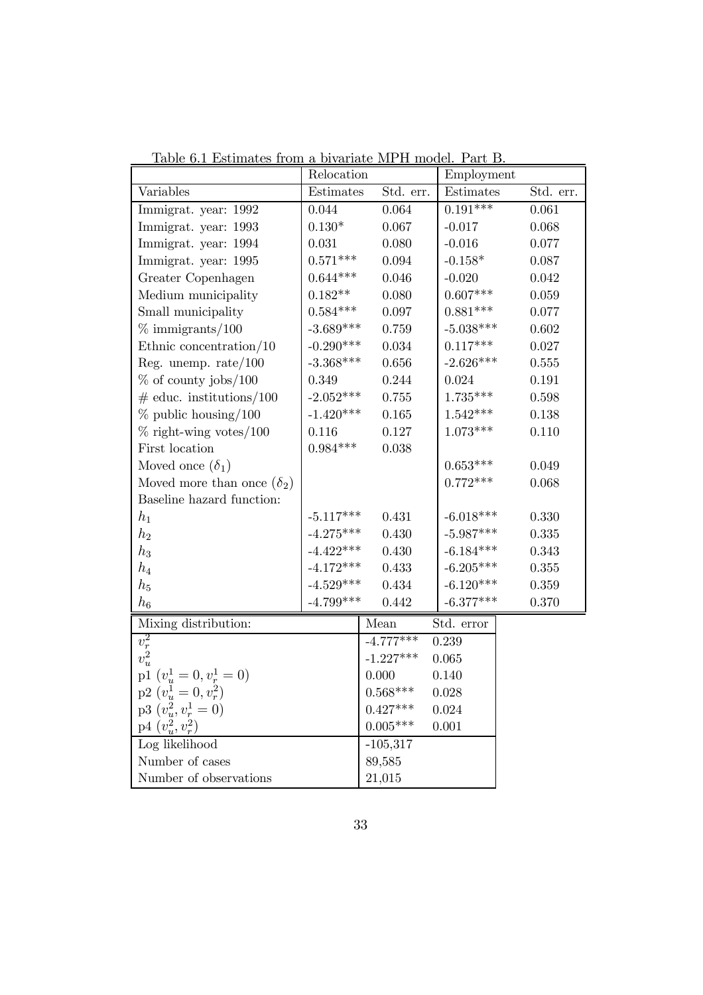|                                                  | Relocation         |             | Employment      |           |
|--------------------------------------------------|--------------------|-------------|-----------------|-----------|
| Variables                                        | Estimates          | Std. err.   | Estimates       | Std. err. |
| Immigrat. year: 1992                             | $0.044\,$          | 0.064       | $0.191***$      | 0.061     |
| Immigrat. year: 1993                             | $0.130*$           | 0.067       | $-0.017$        | 0.068     |
| Immigrat. year: 1994                             | 0.031              | 0.080       | $-0.016$        | 0.077     |
| Immigrat. year: 1995                             | $0.571***$         | 0.094       | $-0.158*$       | 0.087     |
| Greater Copenhagen                               | $0.644***$         | 0.046       | $-0.020$        | 0.042     |
| Medium municipality                              | $0.182^{\ast\ast}$ | 0.080       | $0.607^{***}\;$ | 0.059     |
| Small municipality                               | $0.584^{***}\,$    | 0.097       | $0.881***$      | 0.077     |
| $\%$ immigrants/100                              | $-3.689***$        | 0.759       | $-5.038***$     | 0.602     |
| Ethnic concentration/ $10$                       | $-0.290***$        | 0.034       | $0.117***$      | 0.027     |
| Reg. unemp. $rate/100$                           | $-3.368***$        | 0.656       | $-2.626***$     | 0.555     |
| $\%$ of county jobs/100                          | 0.349              | 0.244       | 0.024           | 0.191     |
| $\#$ educ. institutions/100                      | $-2.052***$        | 0.755       | $1.735***$      | 0.598     |
| $\%$ public housing/100                          | $-1.420***$        | 0.165       | $1.542***$      | 0.138     |
| $\%$ right-wing votes/100                        | 0.116              | 0.127       | $1.073***$      | 0.110     |
| First location                                   | $0.984***$         | 0.038       |                 |           |
| Moved once $(\delta_1)$                          |                    |             | $0.653***$      | 0.049     |
| Moved more than once $(\delta_2)$                |                    |             | $0.772***$      | 0.068     |
| Baseline hazard function:                        |                    |             |                 |           |
| $h_1$                                            | $-5.117***$        | 0.431       | $-6.018***$     | 0.330     |
| $h_2$                                            | $-4.275***$        | 0.430       | $-5.987***$     | 0.335     |
| $h_3$                                            | $-4.422***$        | 0.430       | $-6.184***$     | 0.343     |
| $h_4$                                            | $-4.172***$        | 0.433       | $-6.205***$     | 0.355     |
| $h_5$                                            | $-4.529***$        | 0.434       | $-6.120***$     | 0.359     |
| $h_{\rm 6}$                                      | $-4.799***$        | 0.442       | $-6.377***$     | 0.370     |
| Mixing distribution:                             |                    | Mean        | Std. error      |           |
|                                                  |                    | $-4.777***$ | 0.239           |           |
| $\overline{v_{r}^{2}}$<br>$\overline{v_{u}^{2}}$ |                    | $-1.227***$ | 0.065           |           |
| p1 $(v_u^1 = 0, v_r^1 = 0)$                      |                    | 0.000       | 0.140           |           |
| $p2\ (v_u^1 = 0, v_r^2)$                         |                    | $0.568***$  | 0.028           |           |
| $p3(v_u^2, v_r^1 = 0)$                           |                    | $0.427***$  | 0.024           |           |
| $p4(v_u^2, v_r^2)$                               |                    | $0.005***$  | 0.001           |           |
| Log likelihood                                   |                    | $-105,317$  |                 |           |
| Number of cases                                  |                    | 89,585      |                 |           |
| Number of observations                           |                    | 21,015      |                 |           |

Table 6.1 Estimates from a bivariate MPH model. Part B.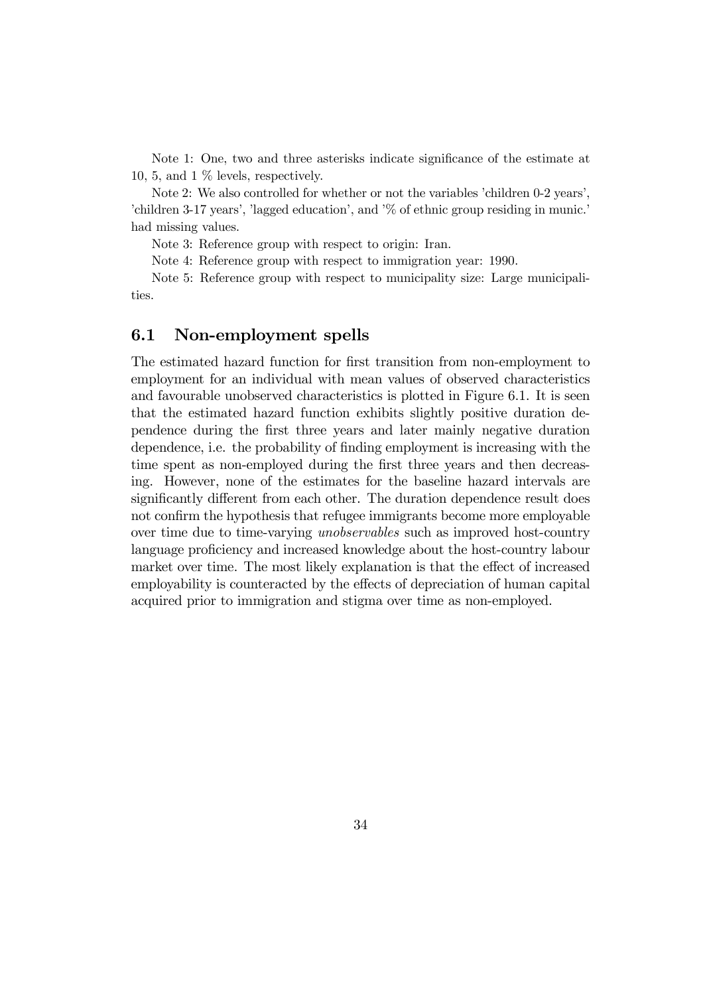Note 1: One, two and three asterisks indicate significance of the estimate at 10, 5, and 1 % levels, respectively.

Note 2: We also controlled for whether or not the variables 'children 0-2 years', 'children 3-17 years', 'lagged education', and '% of ethnic group residing in munic.' had missing values.

Note 3: Reference group with respect to origin: Iran.

Note 4: Reference group with respect to immigration year: 1990.

Note 5: Reference group with respect to municipality size: Large municipalities.

#### 6.1 Non-employment spells

The estimated hazard function for first transition from non-employment to employment for an individual with mean values of observed characteristics and favourable unobserved characteristics is plotted in Figure 6.1. It is seen that the estimated hazard function exhibits slightly positive duration dependence during the first three years and later mainly negative duration dependence, i.e. the probability of finding employment is increasing with the time spent as non-employed during the first three years and then decreasing. However, none of the estimates for the baseline hazard intervals are significantly different from each other. The duration dependence result does not confirm the hypothesis that refugee immigrants become more employable over time due to time-varying unobservables such as improved host-country language proficiency and increased knowledge about the host-country labour market over time. The most likely explanation is that the effect of increased employability is counteracted by the effects of depreciation of human capital acquired prior to immigration and stigma over time as non-employed.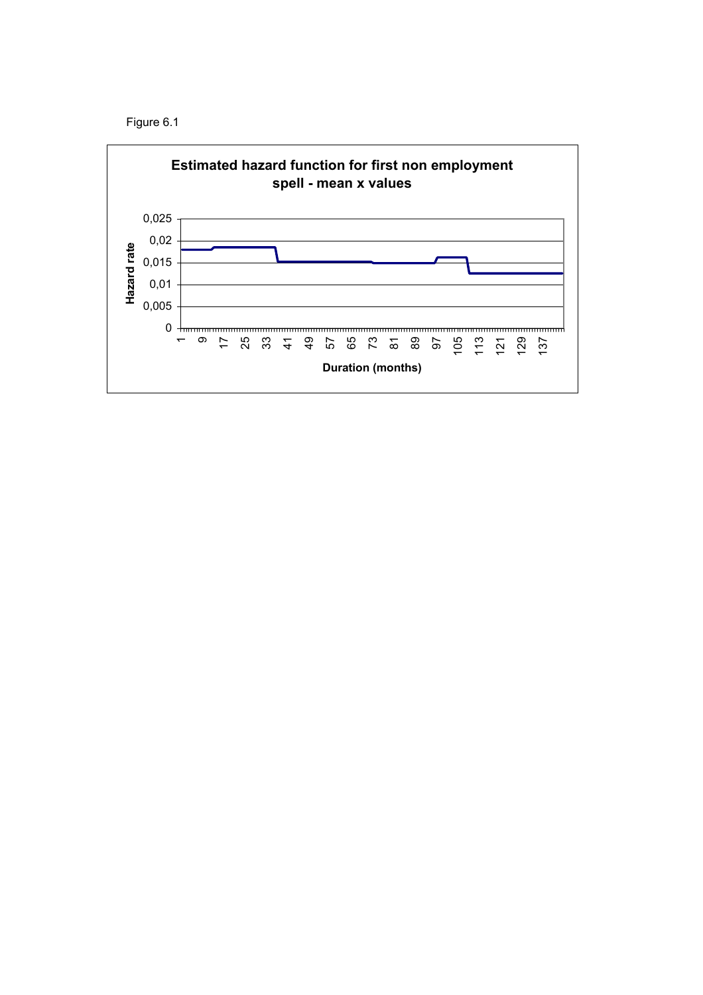

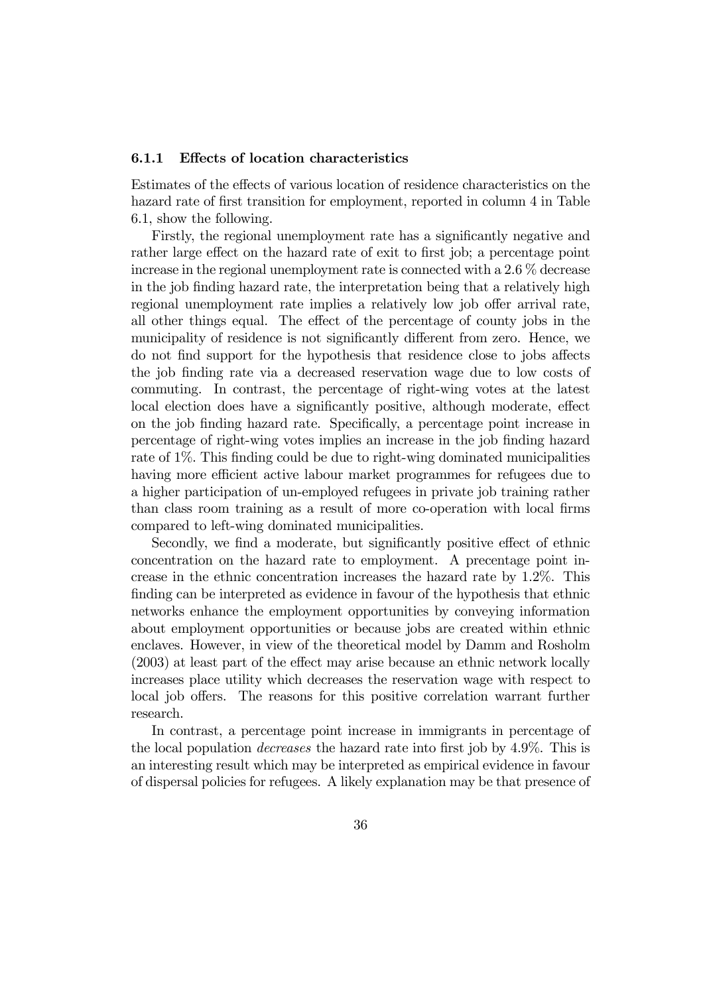#### 6.1.1 Effects of location characteristics

Estimates of the effects of various location of residence characteristics on the hazard rate of first transition for employment, reported in column 4 in Table 6.1, show the following.

Firstly, the regional unemployment rate has a significantly negative and rather large effect on the hazard rate of exit to first job; a percentage point increase in the regional unemployment rate is connected with a 2.6 % decrease in the job finding hazard rate, the interpretation being that a relatively high regional unemployment rate implies a relatively low job offer arrival rate, all other things equal. The effect of the percentage of county jobs in the municipality of residence is not significantly different from zero. Hence, we do not find support for the hypothesis that residence close to jobs affects the job finding rate via a decreased reservation wage due to low costs of commuting. In contrast, the percentage of right-wing votes at the latest local election does have a significantly positive, although moderate, effect on the job finding hazard rate. Specifically, a percentage point increase in percentage of right-wing votes implies an increase in the job finding hazard rate of 1%. This finding could be due to right-wing dominated municipalities having more efficient active labour market programmes for refugees due to a higher participation of un-employed refugees in private job training rather than class room training as a result of more co-operation with local firms compared to left-wing dominated municipalities.

Secondly, we find a moderate, but significantly positive effect of ethnic concentration on the hazard rate to employment. A precentage point increase in the ethnic concentration increases the hazard rate by 1.2%. This finding can be interpreted as evidence in favour of the hypothesis that ethnic networks enhance the employment opportunities by conveying information about employment opportunities or because jobs are created within ethnic enclaves. However, in view of the theoretical model by Damm and Rosholm (2003) at least part of the effect may arise because an ethnic network locally increases place utility which decreases the reservation wage with respect to local job offers. The reasons for this positive correlation warrant further research.

In contrast, a percentage point increase in immigrants in percentage of the local population decreases the hazard rate into first job by 4.9%. This is an interesting result which may be interpreted as empirical evidence in favour of dispersal policies for refugees. A likely explanation may be that presence of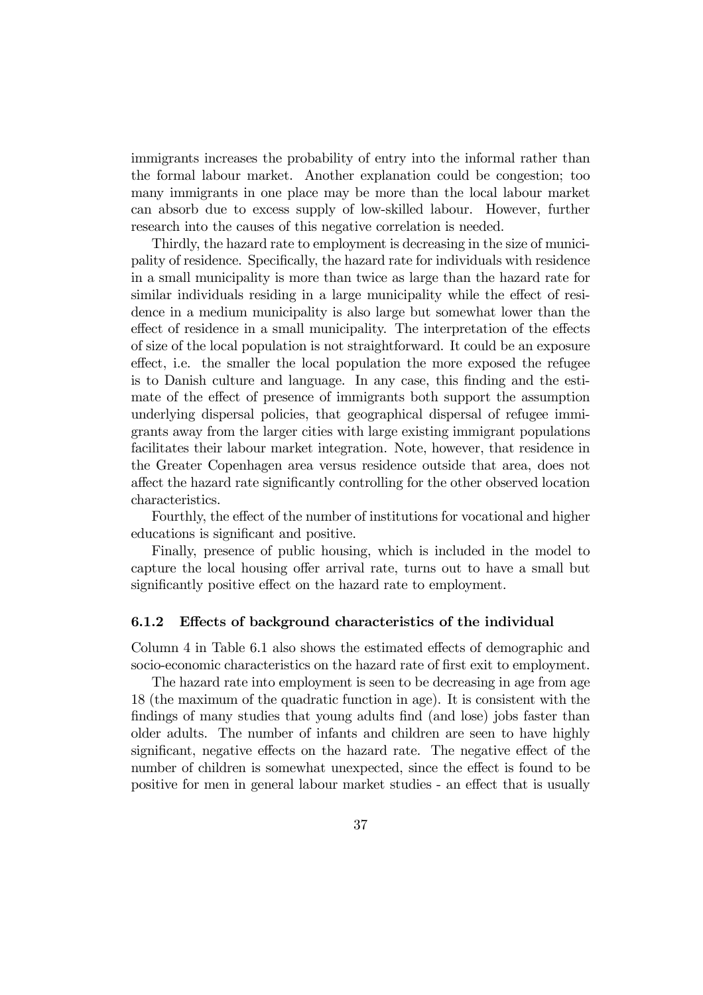immigrants increases the probability of entry into the informal rather than the formal labour market. Another explanation could be congestion; too many immigrants in one place may be more than the local labour market can absorb due to excess supply of low-skilled labour. However, further research into the causes of this negative correlation is needed.

Thirdly, the hazard rate to employment is decreasing in the size of municipality of residence. Specifically, the hazard rate for individuals with residence in a small municipality is more than twice as large than the hazard rate for similar individuals residing in a large municipality while the effect of residence in a medium municipality is also large but somewhat lower than the effect of residence in a small municipality. The interpretation of the effects of size of the local population is not straightforward. It could be an exposure effect, i.e. the smaller the local population the more exposed the refugee is to Danish culture and language. In any case, this finding and the estimate of the effect of presence of immigrants both support the assumption underlying dispersal policies, that geographical dispersal of refugee immigrants away from the larger cities with large existing immigrant populations facilitates their labour market integration. Note, however, that residence in the Greater Copenhagen area versus residence outside that area, does not affect the hazard rate significantly controlling for the other observed location characteristics.

Fourthly, the effect of the number of institutions for vocational and higher educations is significant and positive.

Finally, presence of public housing, which is included in the model to capture the local housing offer arrival rate, turns out to have a small but significantly positive effect on the hazard rate to employment.

#### 6.1.2 Effects of background characteristics of the individual

Column 4 in Table 6.1 also shows the estimated effects of demographic and socio-economic characteristics on the hazard rate of first exit to employment.

The hazard rate into employment is seen to be decreasing in age from age 18 (the maximum of the quadratic function in age). It is consistent with the findings of many studies that young adults find (and lose) jobs faster than older adults. The number of infants and children are seen to have highly significant, negative effects on the hazard rate. The negative effect of the number of children is somewhat unexpected, since the effect is found to be positive for men in general labour market studies - an effect that is usually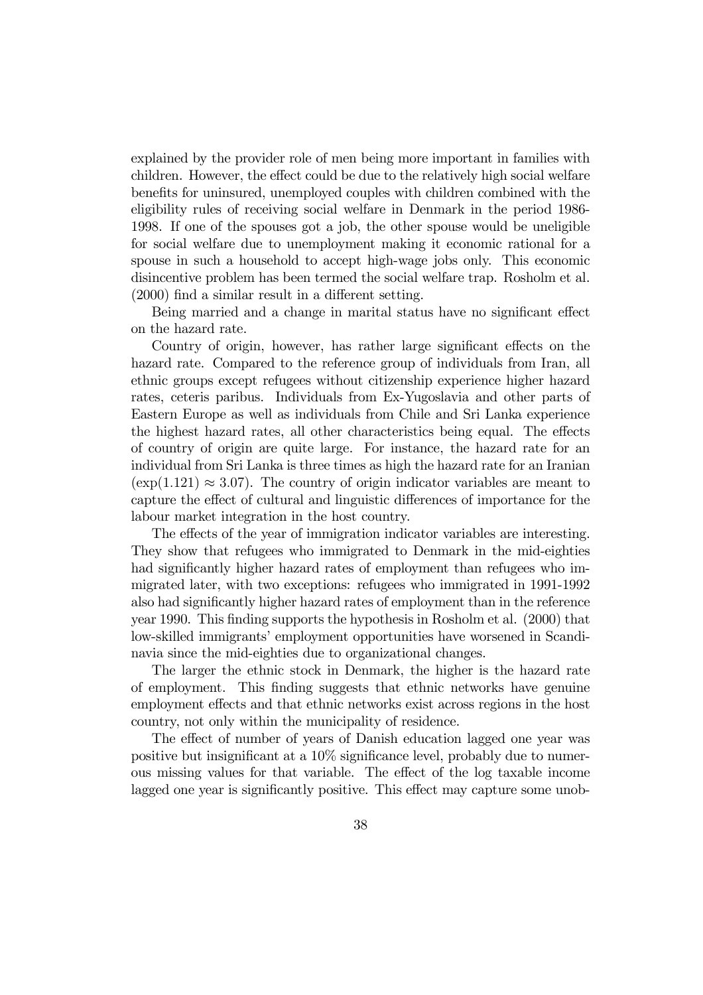explained by the provider role of men being more important in families with children. However, the effect could be due to the relatively high social welfare benefits for uninsured, unemployed couples with children combined with the eligibility rules of receiving social welfare in Denmark in the period 1986- 1998. If one of the spouses got a job, the other spouse would be uneligible for social welfare due to unemployment making it economic rational for a spouse in such a household to accept high-wage jobs only. This economic disincentive problem has been termed the social welfare trap. Rosholm et al. (2000) find a similar result in a different setting.

Being married and a change in marital status have no significant effect on the hazard rate.

Country of origin, however, has rather large significant effects on the hazard rate. Compared to the reference group of individuals from Iran, all ethnic groups except refugees without citizenship experience higher hazard rates, ceteris paribus. Individuals from Ex-Yugoslavia and other parts of Eastern Europe as well as individuals from Chile and Sri Lanka experience the highest hazard rates, all other characteristics being equal. The effects of country of origin are quite large. For instance, the hazard rate for an individual from Sri Lanka is three times as high the hazard rate for an Iranian  $(\exp(1.121) \approx 3.07)$ . The country of origin indicator variables are meant to capture the effect of cultural and linguistic differences of importance for the labour market integration in the host country.

The effects of the year of immigration indicator variables are interesting. They show that refugees who immigrated to Denmark in the mid-eighties had significantly higher hazard rates of employment than refugees who immigrated later, with two exceptions: refugees who immigrated in 1991-1992 also had significantly higher hazard rates of employment than in the reference year 1990. This finding supports the hypothesis in Rosholm et al. (2000) that low-skilled immigrants' employment opportunities have worsened in Scandinavia since the mid-eighties due to organizational changes.

The larger the ethnic stock in Denmark, the higher is the hazard rate of employment. This finding suggests that ethnic networks have genuine employment effects and that ethnic networks exist across regions in the host country, not only within the municipality of residence.

The effect of number of years of Danish education lagged one year was positive but insignificant at a 10% significance level, probably due to numerous missing values for that variable. The effect of the log taxable income lagged one year is significantly positive. This effect may capture some unob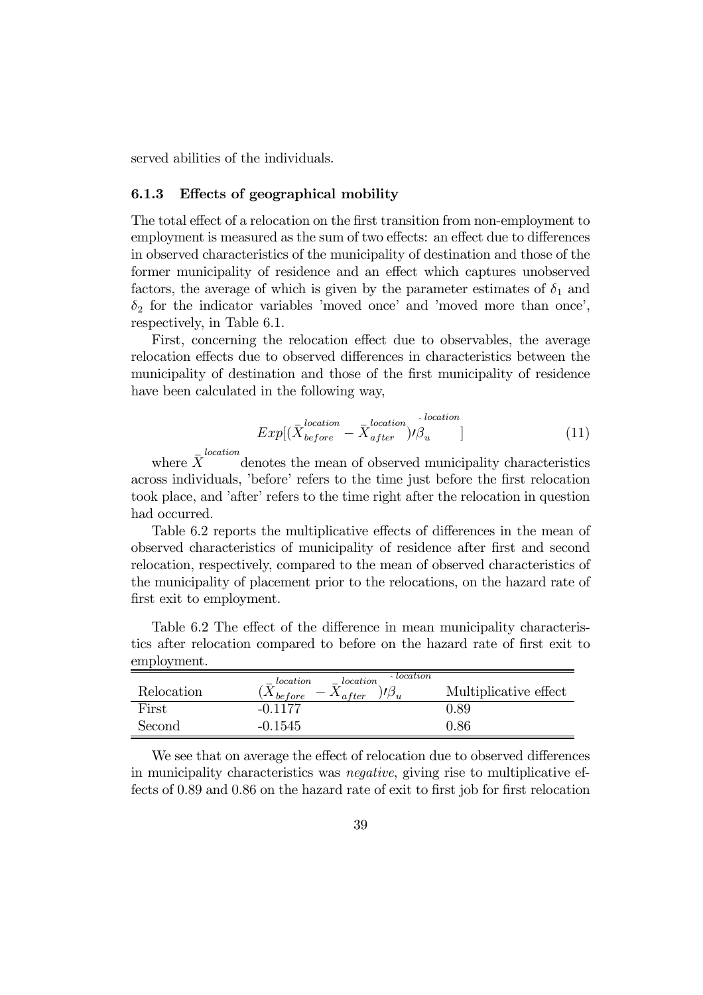served abilities of the individuals.

#### 6.1.3 Effects of geographical mobility

The total effect of a relocation on the first transition from non-employment to employment is measured as the sum of two effects: an effect due to differences in observed characteristics of the municipality of destination and those of the former municipality of residence and an effect which captures unobserved factors, the average of which is given by the parameter estimates of  $\delta_1$  and  $\delta_2$  for the indicator variables 'moved once' and 'moved more than once', respectively, in Table 6.1.

First, concerning the relocation effect due to observables, the average relocation effects due to observed differences in characteristics between the municipality of destination and those of the first municipality of residence have been calculated in the following way,

$$
Exp[(\bar{X}_{before}^{location} - \bar{X}_{after}^{location})/\hat{\beta}_{u}]
$$
\n(11)

where  $\bar{X}^{location}$  denotes the mean of observed municipality characteristics across individuals, 'before' refers to the time just before the first relocation took place, and 'after' refers to the time right after the relocation in question had occurred.

Table 6.2 reports the multiplicative effects of differences in the mean of observed characteristics of municipality of residence after first and second relocation, respectively, compared to the mean of observed characteristics of the municipality of placement prior to the relocations, on the hazard rate of first exit to employment.

Table 6.2 The effect of the difference in mean municipality characteristics after relocation compared to before on the hazard rate of first exit to employment.

|            | $\lambda$ location<br>$- location$<br>$= location$ |                       |
|------------|----------------------------------------------------|-----------------------|
| Relocation | $\Lambda$ be fore<br>$-\Lambda_{after}$            | Multiplicative effect |
| First      | $-0.1177$                                          | 0.89                  |
| Second     | $-0.1545$                                          | $\rm 0.86$            |

We see that on average the effect of relocation due to observed differences in municipality characteristics was negative, giving rise to multiplicative effects of 0.89 and 0.86 on the hazard rate of exit to first job for first relocation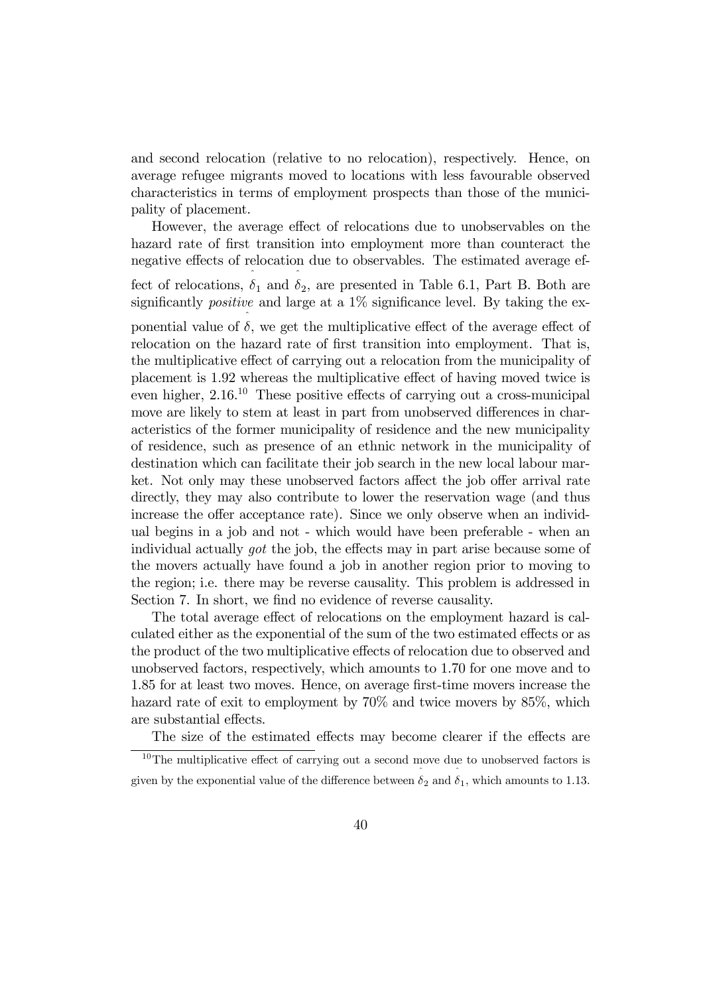and second relocation (relative to no relocation), respectively. Hence, on average refugee migrants moved to locations with less favourable observed characteristics in terms of employment prospects than those of the municipality of placement.

However, the average effect of relocations due to unobservables on the hazard rate of first transition into employment more than counteract the negative effects of relocation due to observables. The estimated average effect of relocations,  $\hat{\delta}_1$  and  $\hat{\delta}_2$ , are presented in Table 6.1, Part B. Both are significantly *positive* and large at a  $1\%$  significance level. By taking the exponential value of  $\hat{\delta}$ , we get the multiplicative effect of the average effect of relocation on the hazard rate of first transition into employment. That is, the multiplicative effect of carrying out a relocation from the municipality of placement is 1.92 whereas the multiplicative effect of having moved twice is even higher,  $2.16<sup>10</sup>$  These positive effects of carrying out a cross-municipal move are likely to stem at least in part from unobserved differences in characteristics of the former municipality of residence and the new municipality of residence, such as presence of an ethnic network in the municipality of destination which can facilitate their job search in the new local labour market. Not only may these unobserved factors affect the job offer arrival rate directly, they may also contribute to lower the reservation wage (and thus increase the offer acceptance rate). Since we only observe when an individual begins in a job and not - which would have been preferable - when an individual actually got the job, the effects may in part arise because some of the movers actually have found a job in another region prior to moving to the region; i.e. there may be reverse causality. This problem is addressed in Section 7. In short, we find no evidence of reverse causality.

The total average effect of relocations on the employment hazard is calculated either as the exponential of the sum of the two estimated effects or as the product of the two multiplicative effects of relocation due to observed and unobserved factors, respectively, which amounts to 1.70 for one move and to 1.85 for at least two moves. Hence, on average first-time movers increase the hazard rate of exit to employment by  $70\%$  and twice movers by  $85\%$ , which are substantial effects.

The size of the estimated effects may become clearer if the effects are

 $10$ The multiplicative effect of carrying out a second move due to unobserved factors is given by the exponential value of the difference between  $\hat{\delta}_2$  and  $\hat{\delta}_1$ , which amounts to 1.13.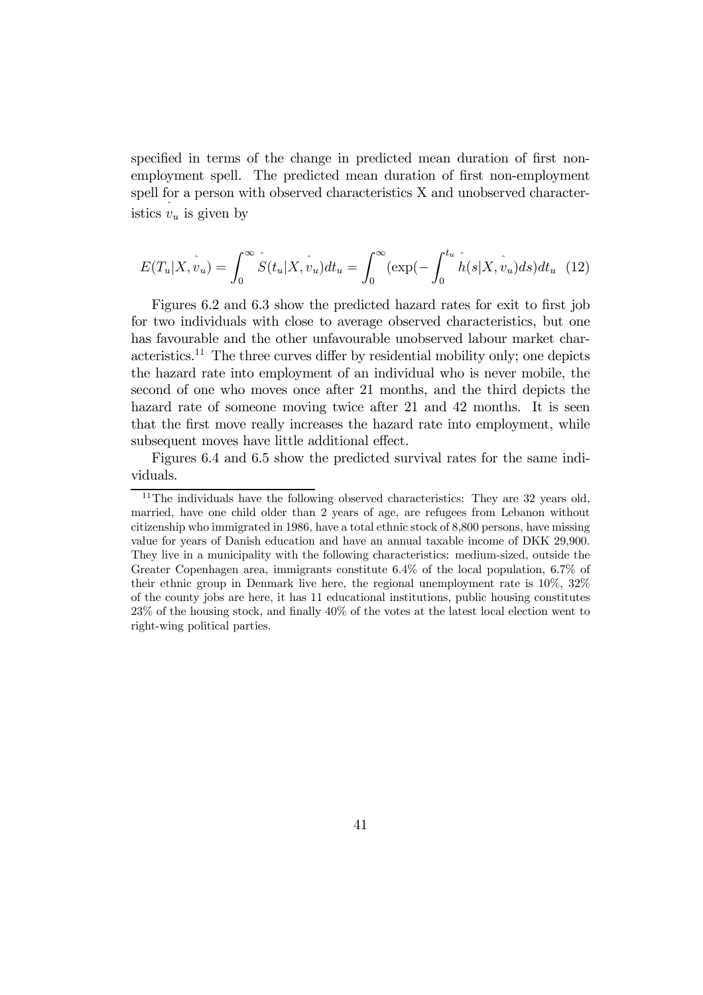specified in terms of the change in predicted mean duration of first nonemployment spell. The predicted mean duration of first non-employment spell for a person with observed characteristics X and unobserved characteristics  $v_u$  is given by

$$
E(T_u|X,\hat{v}_u) = \int_0^\infty \hat{S}(t_u|X,\hat{v}_u)dt_u = \int_0^\infty (\exp(-\int_0^{t_u} \hat{h}(s|X,\hat{v}_u)ds)dt_u \tag{12}
$$

Figures 6.2 and 6.3 show the predicted hazard rates for exit to first job for two individuals with close to average observed characteristics, but one has favourable and the other unfavourable unobserved labour market characteristics.<sup>11</sup> The three curves differ by residential mobility only; one depicts the hazard rate into employment of an individual who is never mobile, the second of one who moves once after 21 months, and the third depicts the hazard rate of someone moving twice after 21 and 42 months. It is seen that the first move really increases the hazard rate into employment, while subsequent moves have little additional effect.

Figures 6.4 and 6.5 show the predicted survival rates for the same individuals.

 $11$ The individuals have the following observed characteristics: They are 32 years old, married, have one child older than 2 years of age, are refugees from Lebanon without citizenship who immigrated in 1986, have a total ethnic stock of 8,800 persons, have missing value for years of Danish education and have an annual taxable income of DKK 29,900. They live in a municipality with the following characteristics: medium-sized, outside the Greater Copenhagen area, immigrants constitute 6.4% of the local population, 6.7% of their ethnic group in Denmark live here, the regional unemployment rate is 10%, 32% of the county jobs are here, it has 11 educational institutions, public housing constitutes 23% of the housing stock, and finally 40% of the votes at the latest local election went to right-wing political parties.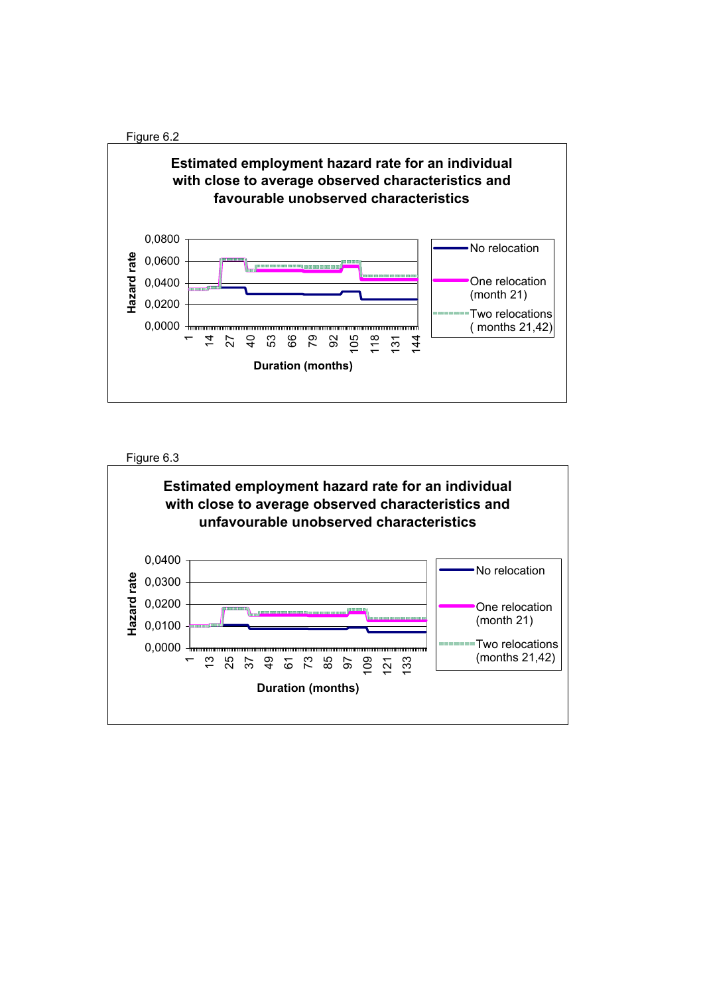



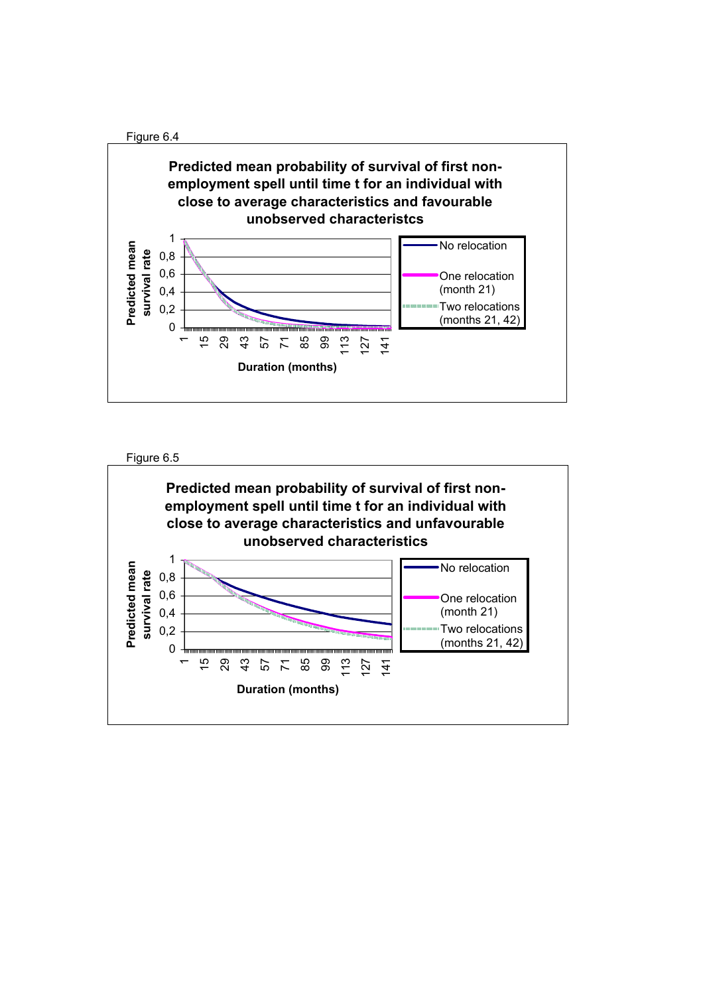



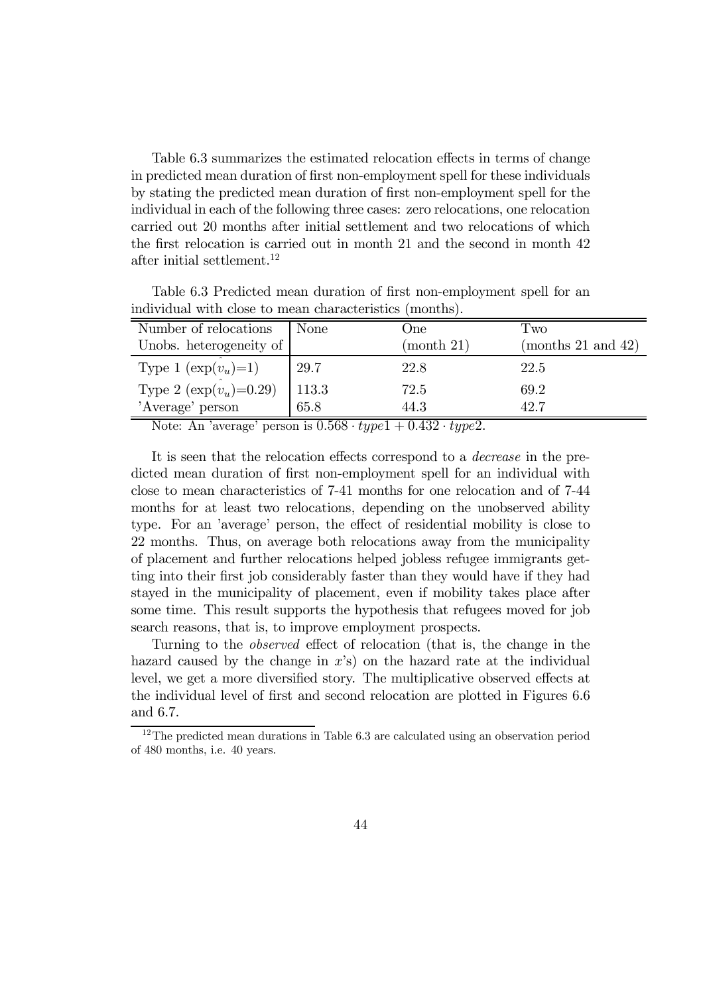Table 6.3 summarizes the estimated relocation effects in terms of change in predicted mean duration of first non-employment spell for these individuals by stating the predicted mean duration of first non-employment spell for the individual in each of the following three cases: zero relocations, one relocation carried out 20 months after initial settlement and two relocations of which the first relocation is carried out in month 21 and the second in month 42 after initial settlement.<sup>12</sup>

| Number of relocations         | None  | One        | Tw0                |
|-------------------------------|-------|------------|--------------------|
| Unobs. heterogeneity of       |       | (month 21) | (months 21 and 42) |
| Type 1 $(\exp(v_u)=1)$        | 29.7  | 22.8       | 22.5               |
| Type 2 ( $\exp(v_u) = 0.29$ ) | 113.3 | 72.5       | 69.2               |
| 'Average' person              | 65.8  | 44.3       | 42.7               |

Table 6.3 Predicted mean duration of first non-employment spell for an individual with close to mean characteristics (months).

Note: An 'average' person is  $0.568 \cdot type1 + 0.432 \cdot type2$ .

It is seen that the relocation effects correspond to a decrease in the predicted mean duration of first non-employment spell for an individual with close to mean characteristics of 7-41 months for one relocation and of 7-44 months for at least two relocations, depending on the unobserved ability type. For an 'average' person, the effect of residential mobility is close to 22 months. Thus, on average both relocations away from the municipality of placement and further relocations helped jobless refugee immigrants getting into their first job considerably faster than they would have if they had stayed in the municipality of placement, even if mobility takes place after some time. This result supports the hypothesis that refugees moved for job search reasons, that is, to improve employment prospects.

Turning to the observed effect of relocation (that is, the change in the hazard caused by the change in  $x$ 's) on the hazard rate at the individual level, we get a more diversified story. The multiplicative observed effects at the individual level of first and second relocation are plotted in Figures 6.6 and 6.7.

<sup>&</sup>lt;sup>12</sup>The predicted mean durations in Table 6.3 are calculated using an observation period of 480 months, i.e. 40 years.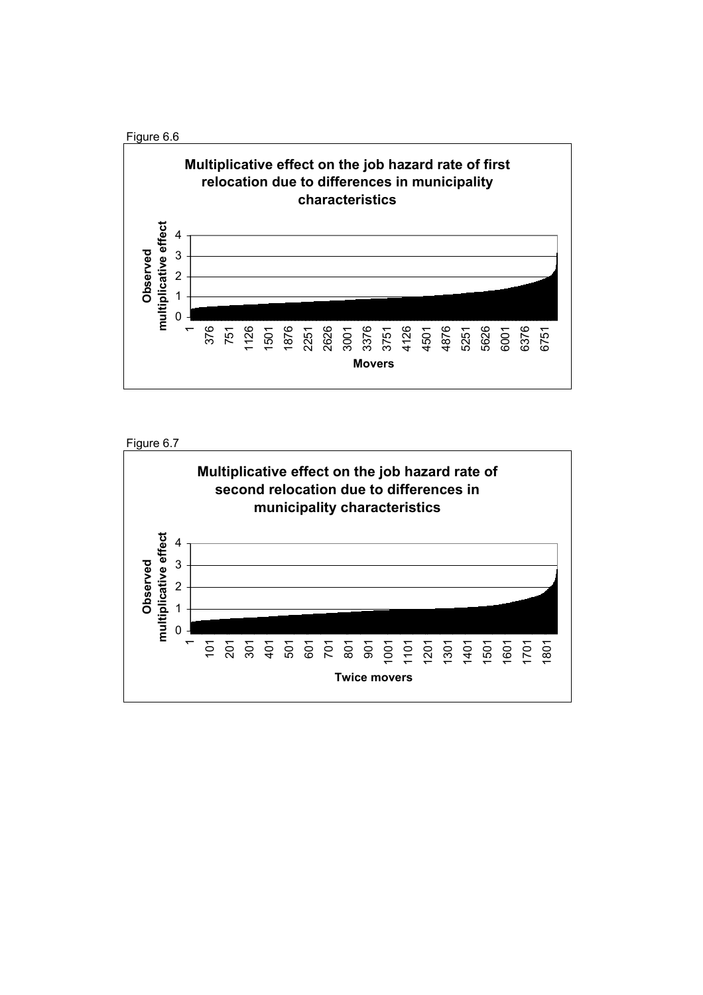

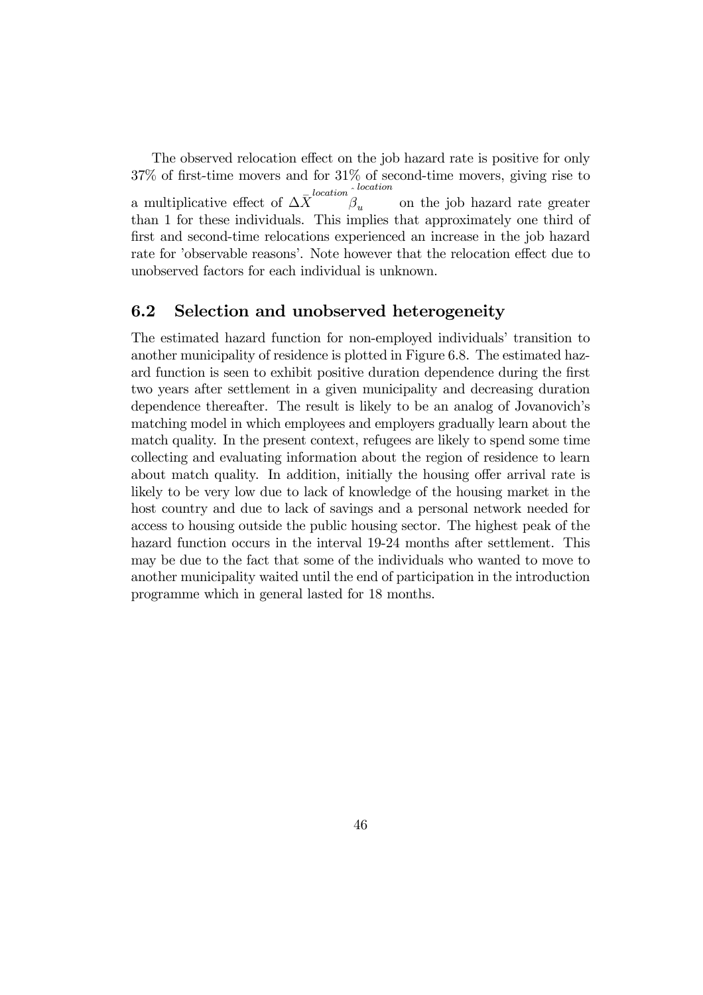The observed relocation effect on the job hazard rate is positive for only 37% of first-time movers and for 31% of second-time movers, giving rise to a multiplicative effect of  $\Delta \bar{X}^{location}$ location on the job hazard rate greater than 1 for these individuals. This implies that approximately one third of first and second-time relocations experienced an increase in the job hazard rate for 'observable reasons'. Note however that the relocation effect due to unobserved factors for each individual is unknown.

#### 6.2 Selection and unobserved heterogeneity

The estimated hazard function for non-employed individuals' transition to another municipality of residence is plotted in Figure 6.8. The estimated hazard function is seen to exhibit positive duration dependence during the first two years after settlement in a given municipality and decreasing duration dependence thereafter. The result is likely to be an analog of Jovanovich's matching model in which employees and employers gradually learn about the match quality. In the present context, refugees are likely to spend some time collecting and evaluating information about the region of residence to learn about match quality. In addition, initially the housing offer arrival rate is likely to be very low due to lack of knowledge of the housing market in the host country and due to lack of savings and a personal network needed for access to housing outside the public housing sector. The highest peak of the hazard function occurs in the interval 19-24 months after settlement. This may be due to the fact that some of the individuals who wanted to move to another municipality waited until the end of participation in the introduction programme which in general lasted for 18 months.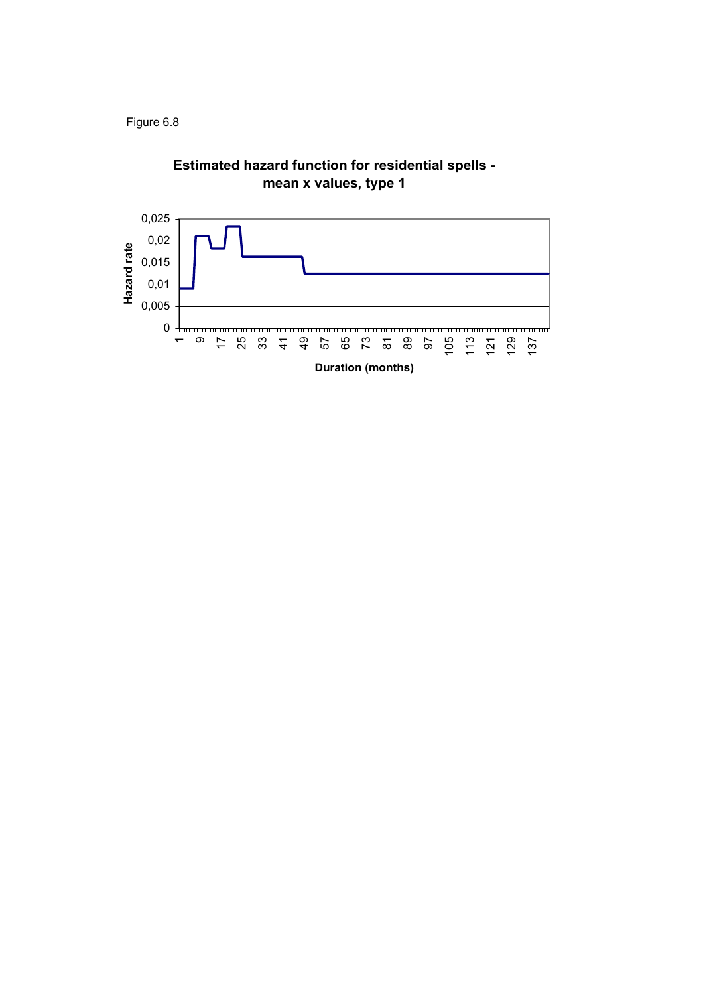

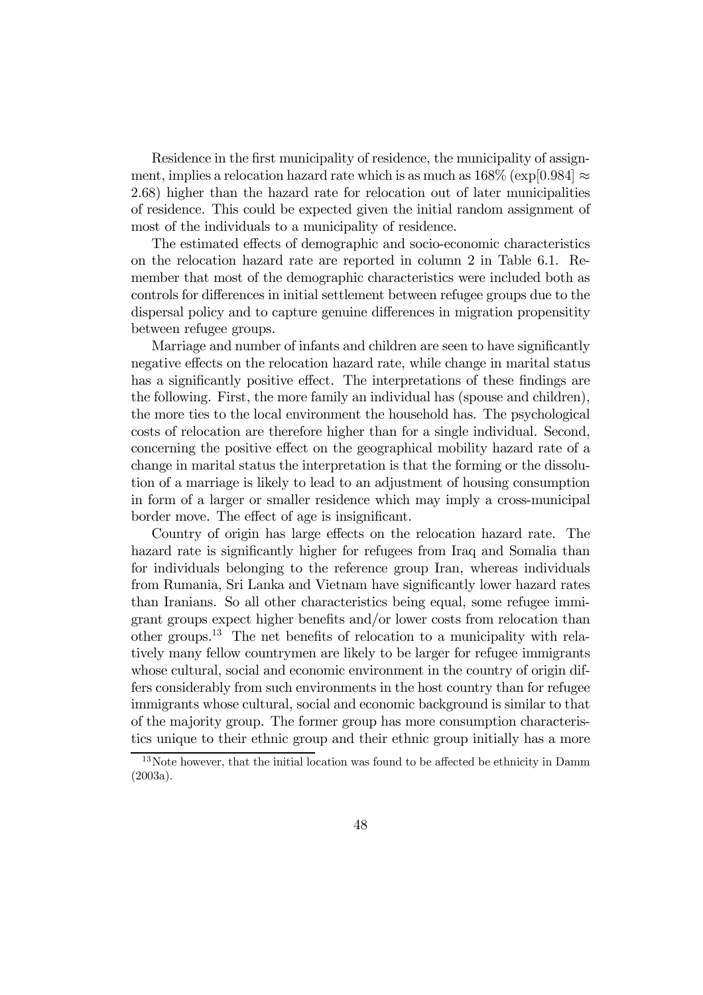Residence in the first municipality of residence, the municipality of assignment, implies a relocation hazard rate which is as much as  $168\%$  (exp[0.984]  $\approx$ 2.68) higher than the hazard rate for relocation out of later municipalities of residence. This could be expected given the initial random assignment of most of the individuals to a municipality of residence.

The estimated effects of demographic and socio-economic characteristics on the relocation hazard rate are reported in column 2 in Table 6.1. Remember that most of the demographic characteristics were included both as controls for differences in initial settlement between refugee groups due to the dispersal policy and to capture genuine differences in migration propensitity between refugee groups.

Marriage and number of infants and children are seen to have significantly negative effects on the relocation hazard rate, while change in marital status has a significantly positive effect. The interpretations of these findings are the following. First, the more family an individual has (spouse and children), the more ties to the local environment the household has. The psychological costs of relocation are therefore higher than for a single individual. Second, concerning the positive effect on the geographical mobility hazard rate of a change in marital status the interpretation is that the forming or the dissolution of a marriage is likely to lead to an adjustment of housing consumption in form of a larger or smaller residence which may imply a cross-municipal border move. The effect of age is insignificant.

Country of origin has large effects on the relocation hazard rate. The hazard rate is significantly higher for refugees from Iraq and Somalia than for individuals belonging to the reference group Iran, whereas individuals from Rumania, Sri Lanka and Vietnam have significantly lower hazard rates than Iranians. So all other characteristics being equal, some refugee immigrant groups expect higher benefits and/or lower costs from relocation than other groups.13 The net benefits of relocation to a municipality with relatively many fellow countrymen are likely to be larger for refugee immigrants whose cultural, social and economic environment in the country of origin differs considerably from such environments in the host country than for refugee immigrants whose cultural, social and economic background is similar to that of the majority group. The former group has more consumption characteristics unique to their ethnic group and their ethnic group initially has a more

<sup>&</sup>lt;sup>13</sup>Note however, that the initial location was found to be affected be ethnicity in Damm (2003a).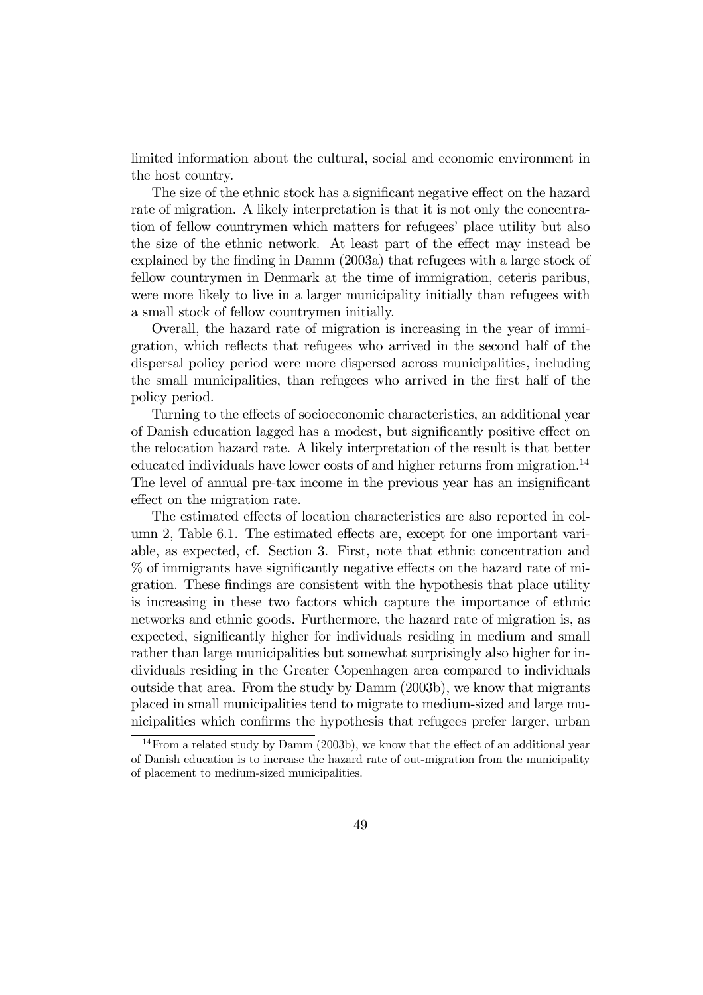limited information about the cultural, social and economic environment in the host country.

The size of the ethnic stock has a significant negative effect on the hazard rate of migration. A likely interpretation is that it is not only the concentration of fellow countrymen which matters for refugees' place utility but also the size of the ethnic network. At least part of the effect may instead be explained by the finding in Damm (2003a) that refugees with a large stock of fellow countrymen in Denmark at the time of immigration, ceteris paribus, were more likely to live in a larger municipality initially than refugees with a small stock of fellow countrymen initially.

Overall, the hazard rate of migration is increasing in the year of immigration, which reflects that refugees who arrived in the second half of the dispersal policy period were more dispersed across municipalities, including the small municipalities, than refugees who arrived in the first half of the policy period.

Turning to the effects of socioeconomic characteristics, an additional year of Danish education lagged has a modest, but significantly positive effect on the relocation hazard rate. A likely interpretation of the result is that better educated individuals have lower costs of and higher returns from migration.<sup>14</sup> The level of annual pre-tax income in the previous year has an insignificant effect on the migration rate.

The estimated effects of location characteristics are also reported in column 2, Table 6.1. The estimated effects are, except for one important variable, as expected, cf. Section 3. First, note that ethnic concentration and % of immigrants have significantly negative effects on the hazard rate of migration. These findings are consistent with the hypothesis that place utility is increasing in these two factors which capture the importance of ethnic networks and ethnic goods. Furthermore, the hazard rate of migration is, as expected, significantly higher for individuals residing in medium and small rather than large municipalities but somewhat surprisingly also higher for individuals residing in the Greater Copenhagen area compared to individuals outside that area. From the study by Damm (2003b), we know that migrants placed in small municipalities tend to migrate to medium-sized and large municipalities which confirms the hypothesis that refugees prefer larger, urban

<sup>&</sup>lt;sup>14</sup>From a related study by Damm (2003b), we know that the effect of an additional year of Danish education is to increase the hazard rate of out-migration from the municipality of placement to medium-sized municipalities.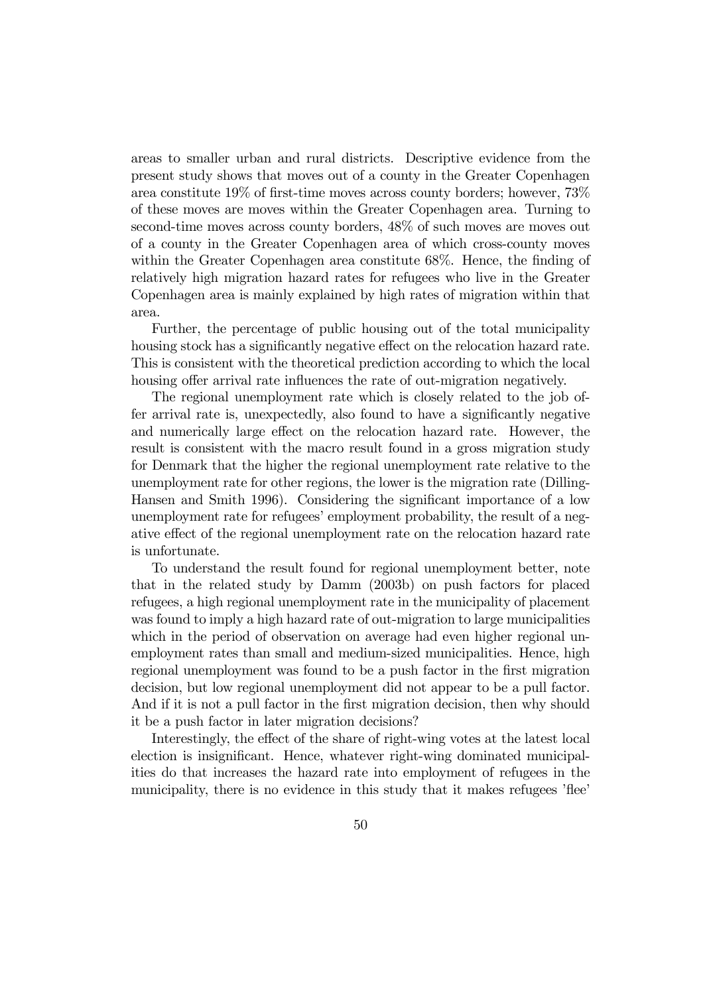areas to smaller urban and rural districts. Descriptive evidence from the present study shows that moves out of a county in the Greater Copenhagen area constitute 19% of first-time moves across county borders; however, 73% of these moves are moves within the Greater Copenhagen area. Turning to second-time moves across county borders, 48% of such moves are moves out of a county in the Greater Copenhagen area of which cross-county moves within the Greater Copenhagen area constitute 68%. Hence, the finding of relatively high migration hazard rates for refugees who live in the Greater Copenhagen area is mainly explained by high rates of migration within that area.

Further, the percentage of public housing out of the total municipality housing stock has a significantly negative effect on the relocation hazard rate. This is consistent with the theoretical prediction according to which the local housing offer arrival rate influences the rate of out-migration negatively.

The regional unemployment rate which is closely related to the job offer arrival rate is, unexpectedly, also found to have a significantly negative and numerically large effect on the relocation hazard rate. However, the result is consistent with the macro result found in a gross migration study for Denmark that the higher the regional unemployment rate relative to the unemployment rate for other regions, the lower is the migration rate (Dilling-Hansen and Smith 1996). Considering the significant importance of a low unemployment rate for refugees' employment probability, the result of a negative effect of the regional unemployment rate on the relocation hazard rate is unfortunate.

To understand the result found for regional unemployment better, note that in the related study by Damm (2003b) on push factors for placed refugees, a high regional unemployment rate in the municipality of placement was found to imply a high hazard rate of out-migration to large municipalities which in the period of observation on average had even higher regional unemployment rates than small and medium-sized municipalities. Hence, high regional unemployment was found to be a push factor in the first migration decision, but low regional unemployment did not appear to be a pull factor. And if it is not a pull factor in the first migration decision, then why should it be a push factor in later migration decisions?

Interestingly, the effect of the share of right-wing votes at the latest local election is insignificant. Hence, whatever right-wing dominated municipalities do that increases the hazard rate into employment of refugees in the municipality, there is no evidence in this study that it makes refugees 'flee'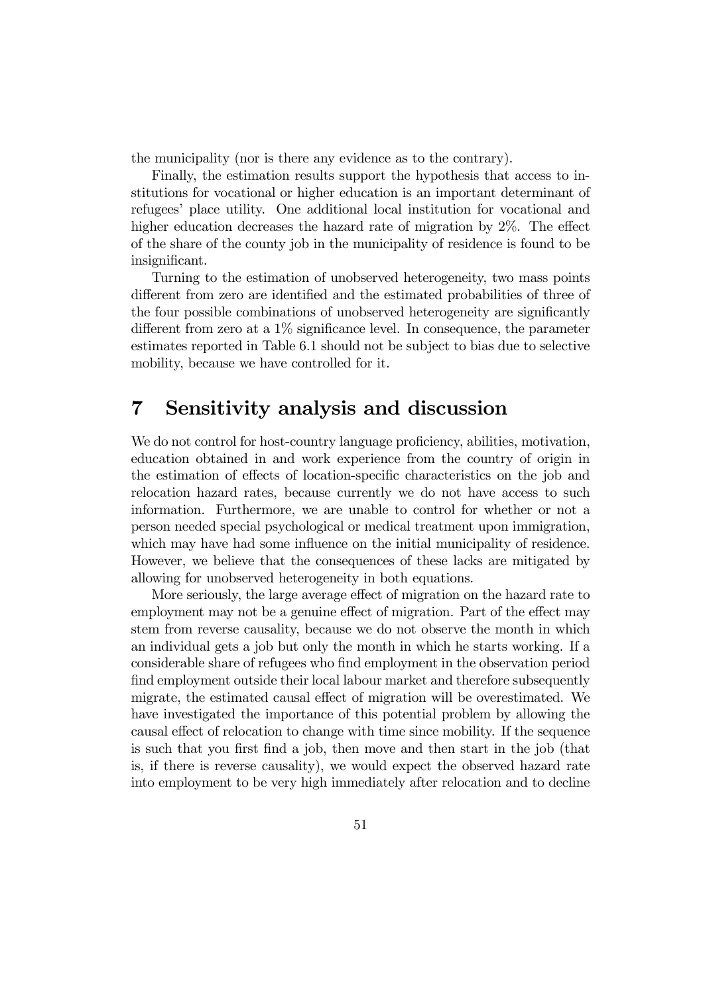the municipality (nor is there any evidence as to the contrary).

Finally, the estimation results support the hypothesis that access to institutions for vocational or higher education is an important determinant of refugees' place utility. One additional local institution for vocational and higher education decreases the hazard rate of migration by 2\%. The effect of the share of the county job in the municipality of residence is found to be insignificant.

Turning to the estimation of unobserved heterogeneity, two mass points different from zero are identified and the estimated probabilities of three of the four possible combinations of unobserved heterogeneity are significantly different from zero at a 1% significance level. In consequence, the parameter estimates reported in Table 6.1 should not be subject to bias due to selective mobility, because we have controlled for it.

## 7 Sensitivity analysis and discussion

We do not control for host-country language proficiency, abilities, motivation, education obtained in and work experience from the country of origin in the estimation of effects of location-specific characteristics on the job and relocation hazard rates, because currently we do not have access to such information. Furthermore, we are unable to control for whether or not a person needed special psychological or medical treatment upon immigration, which may have had some influence on the initial municipality of residence. However, we believe that the consequences of these lacks are mitigated by allowing for unobserved heterogeneity in both equations.

More seriously, the large average effect of migration on the hazard rate to employment may not be a genuine effect of migration. Part of the effect may stem from reverse causality, because we do not observe the month in which an individual gets a job but only the month in which he starts working. If a considerable share of refugees who find employment in the observation period find employment outside their local labour market and therefore subsequently migrate, the estimated causal effect of migration will be overestimated. We have investigated the importance of this potential problem by allowing the causal effect of relocation to change with time since mobility. If the sequence is such that you first find a job, then move and then start in the job (that is, if there is reverse causality), we would expect the observed hazard rate into employment to be very high immediately after relocation and to decline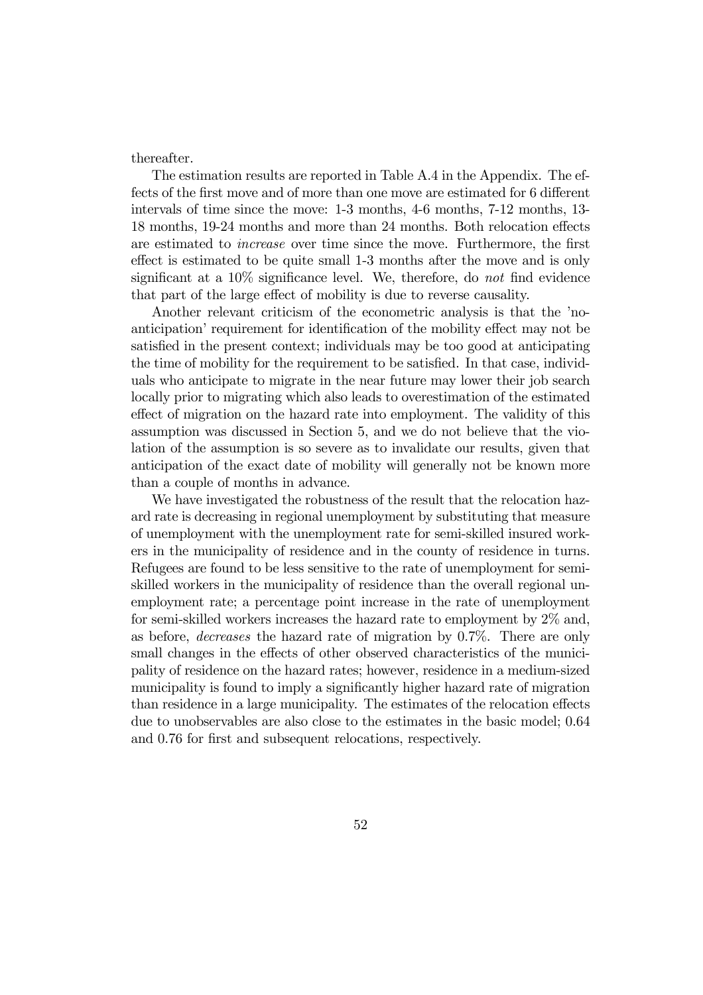thereafter.

The estimation results are reported in Table A.4 in the Appendix. The effects of the first move and of more than one move are estimated for 6 different intervals of time since the move: 1-3 months, 4-6 months, 7-12 months, 13- 18 months, 19-24 months and more than 24 months. Both relocation effects are estimated to increase over time since the move. Furthermore, the first effect is estimated to be quite small 1-3 months after the move and is only significant at a 10% significance level. We, therefore, do not find evidence that part of the large effect of mobility is due to reverse causality.

Another relevant criticism of the econometric analysis is that the 'noanticipation' requirement for identification of the mobility effect may not be satisfied in the present context; individuals may be too good at anticipating the time of mobility for the requirement to be satisfied. In that case, individuals who anticipate to migrate in the near future may lower their job search locally prior to migrating which also leads to overestimation of the estimated effect of migration on the hazard rate into employment. The validity of this assumption was discussed in Section 5, and we do not believe that the violation of the assumption is so severe as to invalidate our results, given that anticipation of the exact date of mobility will generally not be known more than a couple of months in advance.

We have investigated the robustness of the result that the relocation hazard rate is decreasing in regional unemployment by substituting that measure of unemployment with the unemployment rate for semi-skilled insured workers in the municipality of residence and in the county of residence in turns. Refugees are found to be less sensitive to the rate of unemployment for semiskilled workers in the municipality of residence than the overall regional unemployment rate; a percentage point increase in the rate of unemployment for semi-skilled workers increases the hazard rate to employment by 2% and, as before, decreases the hazard rate of migration by 0.7%. There are only small changes in the effects of other observed characteristics of the municipality of residence on the hazard rates; however, residence in a medium-sized municipality is found to imply a significantly higher hazard rate of migration than residence in a large municipality. The estimates of the relocation effects due to unobservables are also close to the estimates in the basic model; 0.64 and 0.76 for first and subsequent relocations, respectively.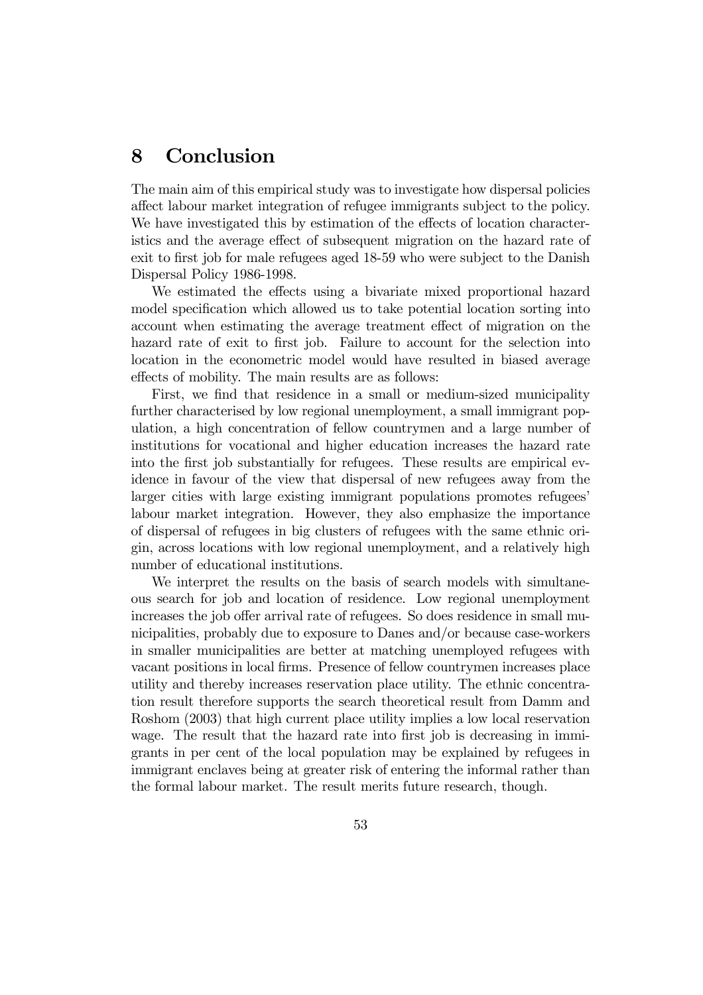## 8 Conclusion

The main aim of this empirical study was to investigate how dispersal policies affect labour market integration of refugee immigrants subject to the policy. We have investigated this by estimation of the effects of location characteristics and the average effect of subsequent migration on the hazard rate of exit to first job for male refugees aged 18-59 who were subject to the Danish Dispersal Policy 1986-1998.

We estimated the effects using a bivariate mixed proportional hazard model specification which allowed us to take potential location sorting into account when estimating the average treatment effect of migration on the hazard rate of exit to first job. Failure to account for the selection into location in the econometric model would have resulted in biased average effects of mobility. The main results are as follows:

First, we find that residence in a small or medium-sized municipality further characterised by low regional unemployment, a small immigrant population, a high concentration of fellow countrymen and a large number of institutions for vocational and higher education increases the hazard rate into the first job substantially for refugees. These results are empirical evidence in favour of the view that dispersal of new refugees away from the larger cities with large existing immigrant populations promotes refugees' labour market integration. However, they also emphasize the importance of dispersal of refugees in big clusters of refugees with the same ethnic origin, across locations with low regional unemployment, and a relatively high number of educational institutions.

We interpret the results on the basis of search models with simultaneous search for job and location of residence. Low regional unemployment increases the job offer arrival rate of refugees. So does residence in small municipalities, probably due to exposure to Danes and/or because case-workers in smaller municipalities are better at matching unemployed refugees with vacant positions in local firms. Presence of fellow countrymen increases place utility and thereby increases reservation place utility. The ethnic concentration result therefore supports the search theoretical result from Damm and Roshom (2003) that high current place utility implies a low local reservation wage. The result that the hazard rate into first job is decreasing in immigrants in per cent of the local population may be explained by refugees in immigrant enclaves being at greater risk of entering the informal rather than the formal labour market. The result merits future research, though.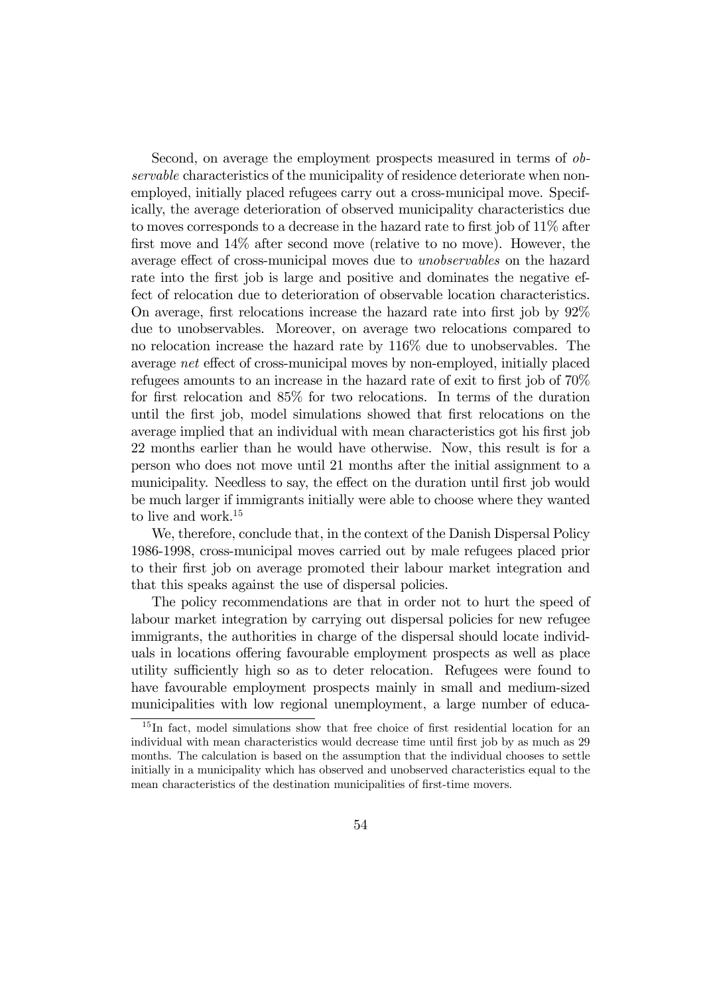Second, on average the employment prospects measured in terms of observable characteristics of the municipality of residence deteriorate when nonemployed, initially placed refugees carry out a cross-municipal move. Specifically, the average deterioration of observed municipality characteristics due to moves corresponds to a decrease in the hazard rate to first job of 11% after first move and 14% after second move (relative to no move). However, the average effect of cross-municipal moves due to unobservables on the hazard rate into the first job is large and positive and dominates the negative effect of relocation due to deterioration of observable location characteristics. On average, first relocations increase the hazard rate into first job by 92% due to unobservables. Moreover, on average two relocations compared to no relocation increase the hazard rate by 116% due to unobservables. The average net effect of cross-municipal moves by non-employed, initially placed refugees amounts to an increase in the hazard rate of exit to first job of 70% for first relocation and 85% for two relocations. In terms of the duration until the first job, model simulations showed that first relocations on the average implied that an individual with mean characteristics got his first job 22 months earlier than he would have otherwise. Now, this result is for a person who does not move until 21 months after the initial assignment to a municipality. Needless to say, the effect on the duration until first job would be much larger if immigrants initially were able to choose where they wanted to live and work.<sup>15</sup>

We, therefore, conclude that, in the context of the Danish Dispersal Policy 1986-1998, cross-municipal moves carried out by male refugees placed prior to their first job on average promoted their labour market integration and that this speaks against the use of dispersal policies.

The policy recommendations are that in order not to hurt the speed of labour market integration by carrying out dispersal policies for new refugee immigrants, the authorities in charge of the dispersal should locate individuals in locations offering favourable employment prospects as well as place utility sufficiently high so as to deter relocation. Refugees were found to have favourable employment prospects mainly in small and medium-sized municipalities with low regional unemployment, a large number of educa-

<sup>&</sup>lt;sup>15</sup>In fact, model simulations show that free choice of first residential location for an individual with mean characteristics would decrease time until first job by as much as 29 months. The calculation is based on the assumption that the individual chooses to settle initially in a municipality which has observed and unobserved characteristics equal to the mean characteristics of the destination municipalities of first-time movers.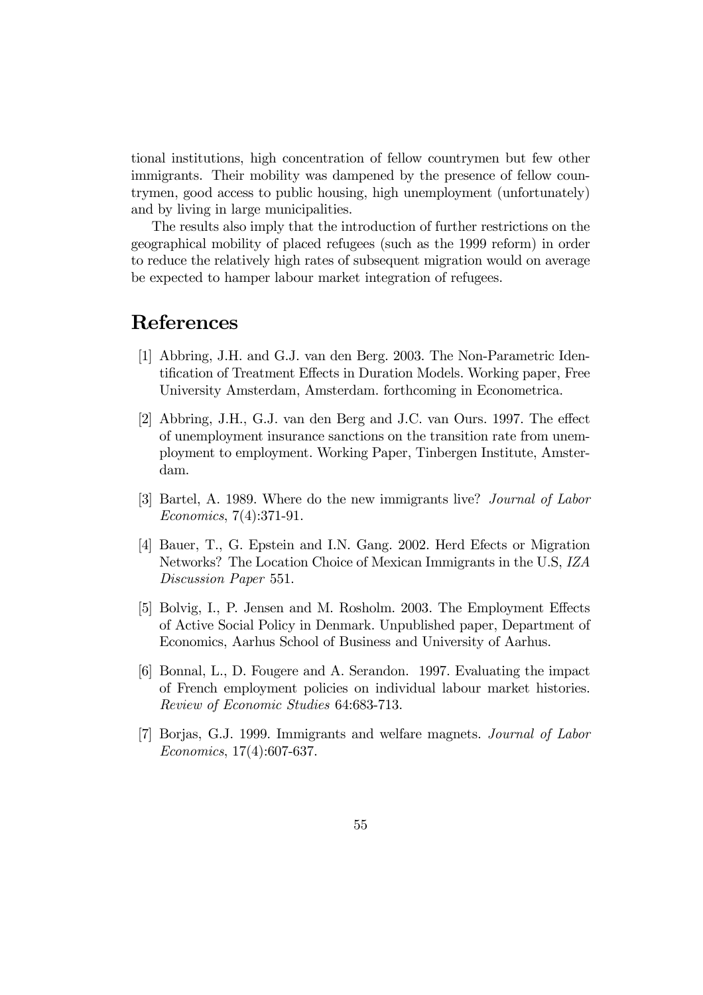tional institutions, high concentration of fellow countrymen but few other immigrants. Their mobility was dampened by the presence of fellow countrymen, good access to public housing, high unemployment (unfortunately) and by living in large municipalities.

The results also imply that the introduction of further restrictions on the geographical mobility of placed refugees (such as the 1999 reform) in order to reduce the relatively high rates of subsequent migration would on average be expected to hamper labour market integration of refugees.

## References

- [1] Abbring, J.H. and G.J. van den Berg. 2003. The Non-Parametric Identification of Treatment Effects in Duration Models. Working paper, Free University Amsterdam, Amsterdam. forthcoming in Econometrica.
- [2] Abbring, J.H., G.J. van den Berg and J.C. van Ours. 1997. The effect of unemployment insurance sanctions on the transition rate from unemployment to employment. Working Paper, Tinbergen Institute, Amsterdam.
- [3] Bartel, A. 1989. Where do the new immigrants live? Journal of Labor Economics, 7(4):371-91.
- [4] Bauer, T., G. Epstein and I.N. Gang. 2002. Herd Efects or Migration Networks? The Location Choice of Mexican Immigrants in the U.S, IZA Discussion Paper 551.
- [5] Bolvig, I., P. Jensen and M. Rosholm. 2003. The Employment Effects of Active Social Policy in Denmark. Unpublished paper, Department of Economics, Aarhus School of Business and University of Aarhus.
- [6] Bonnal, L., D. Fougere and A. Serandon. 1997. Evaluating the impact of French employment policies on individual labour market histories. Review of Economic Studies 64:683-713.
- [7] Borjas, G.J. 1999. Immigrants and welfare magnets. Journal of Labor Economics, 17(4):607-637.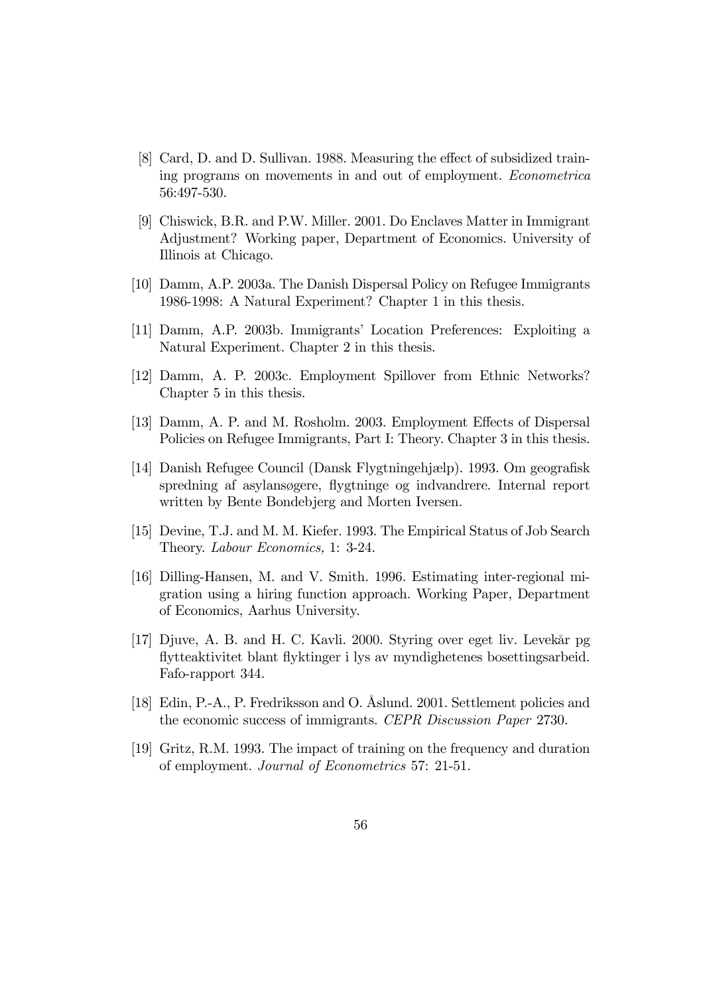- [8] Card, D. and D. Sullivan. 1988. Measuring the effect of subsidized training programs on movements in and out of employment. Econometrica 56:497-530.
- [9] Chiswick, B.R. and P.W. Miller. 2001. Do Enclaves Matter in Immigrant Adjustment? Working paper, Department of Economics. University of Illinois at Chicago.
- [10] Damm, A.P. 2003a. The Danish Dispersal Policy on Refugee Immigrants 1986-1998: A Natural Experiment? Chapter 1 in this thesis.
- [11] Damm, A.P. 2003b. Immigrants' Location Preferences: Exploiting a Natural Experiment. Chapter 2 in this thesis.
- [12] Damm, A. P. 2003c. Employment Spillover from Ethnic Networks? Chapter 5 in this thesis.
- [13] Damm, A. P. and M. Rosholm. 2003. Employment Effects of Dispersal Policies on Refugee Immigrants, Part I: Theory. Chapter 3 in this thesis.
- [14] Danish Refugee Council (Dansk Flygtningehjælp). 1993. Om geografisk spredning af asylansøgere, flygtninge og indvandrere. Internal report written by Bente Bondebjerg and Morten Iversen.
- [15] Devine, T.J. and M. M. Kiefer. 1993. The Empirical Status of Job Search Theory. Labour Economics, 1: 3-24.
- [16] Dilling-Hansen, M. and V. Smith. 1996. Estimating inter-regional migration using a hiring function approach. Working Paper, Department of Economics, Aarhus University.
- [17] Djuve, A. B. and H. C. Kavli. 2000. Styring over eget liv. Levekår pg flytteaktivitet blant flyktinger i lys av myndighetenes bosettingsarbeid. Fafo-rapport 344.
- [18] Edin, P.-A., P. Fredriksson and O. Åslund. 2001. Settlement policies and the economic success of immigrants. CEPR Discussion Paper 2730.
- [19] Gritz, R.M. 1993. The impact of training on the frequency and duration of employment. Journal of Econometrics 57: 21-51.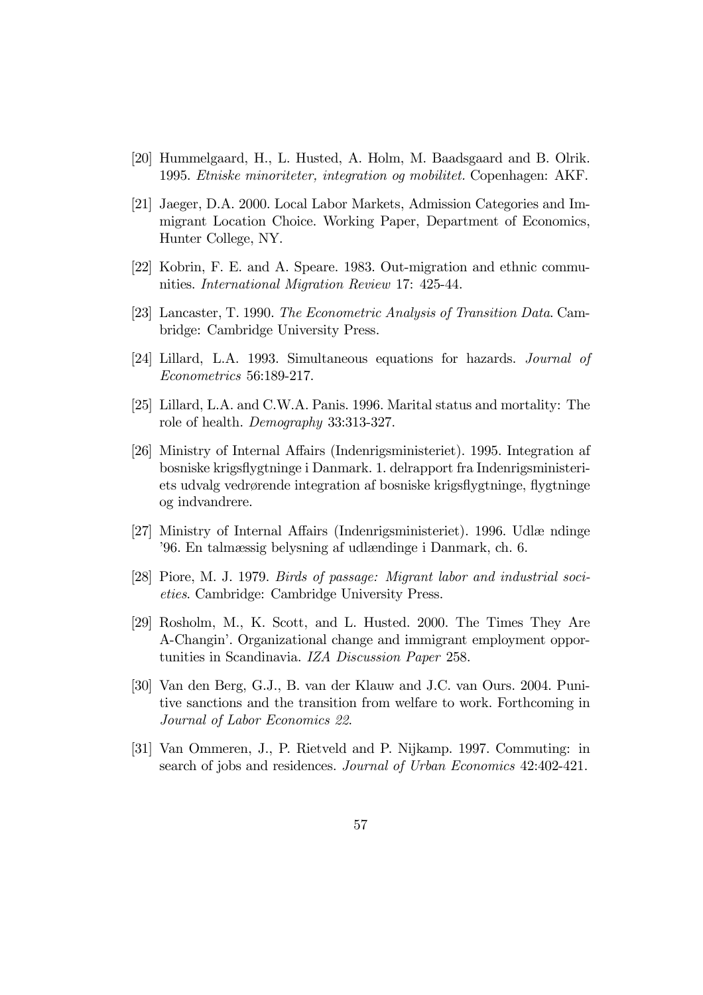- [20] Hummelgaard, H., L. Husted, A. Holm, M. Baadsgaard and B. Olrik. 1995. Etniske minoriteter, integration og mobilitet. Copenhagen: AKF.
- [21] Jaeger, D.A. 2000. Local Labor Markets, Admission Categories and Immigrant Location Choice. Working Paper, Department of Economics, Hunter College, NY.
- [22] Kobrin, F. E. and A. Speare. 1983. Out-migration and ethnic communities. International Migration Review 17: 425-44.
- [23] Lancaster, T. 1990. The Econometric Analysis of Transition Data. Cambridge: Cambridge University Press.
- [24] Lillard, L.A. 1993. Simultaneous equations for hazards. Journal of Econometrics 56:189-217.
- [25] Lillard, L.A. and C.W.A. Panis. 1996. Marital status and mortality: The role of health. Demography 33:313-327.
- [26] Ministry of Internal Affairs (Indenrigsministeriet). 1995. Integration af bosniske krigsflygtninge i Danmark. 1. delrapport fra Indenrigsministeriets udvalg vedrørende integration af bosniske krigsflygtninge, flygtninge og indvandrere.
- [27] Ministry of Internal Affairs (Indenrigsministeriet). 1996. Udlæ ndinge '96. En talmæssig belysning af udlændinge i Danmark, ch. 6.
- [28] Piore, M. J. 1979. Birds of passage: Migrant labor and industrial societies. Cambridge: Cambridge University Press.
- [29] Rosholm, M., K. Scott, and L. Husted. 2000. The Times They Are A-Changin'. Organizational change and immigrant employment opportunities in Scandinavia. IZA Discussion Paper 258.
- [30] Van den Berg, G.J., B. van der Klauw and J.C. van Ours. 2004. Punitive sanctions and the transition from welfare to work. Forthcoming in Journal of Labor Economics 22.
- [31] Van Ommeren, J., P. Rietveld and P. Nijkamp. 1997. Commuting: in search of jobs and residences. Journal of Urban Economics 42:402-421.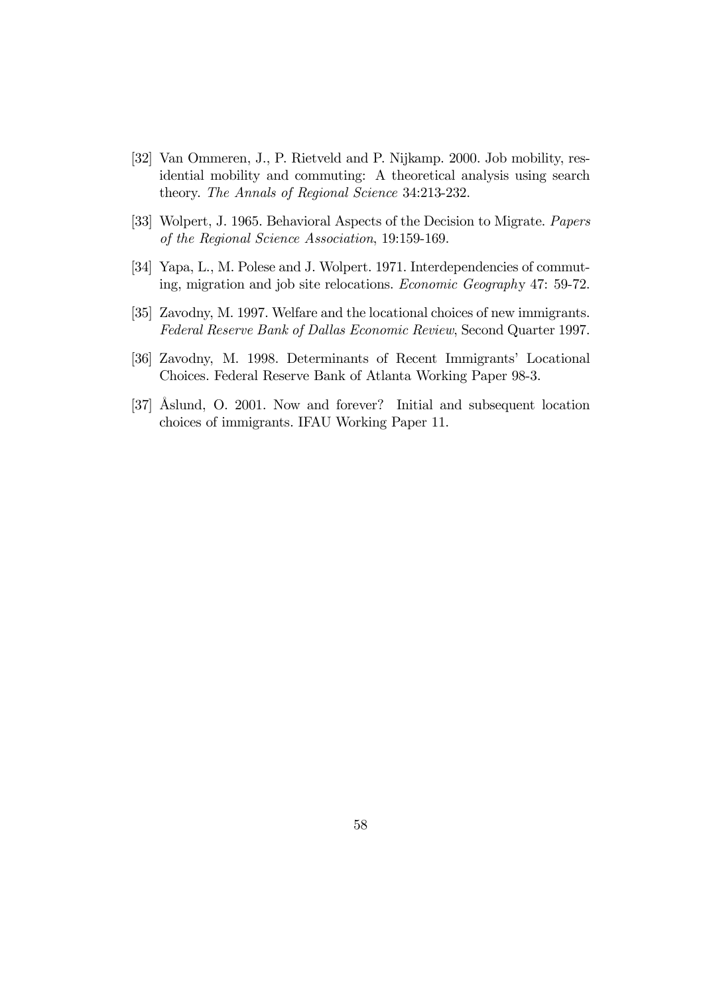- [32] Van Ommeren, J., P. Rietveld and P. Nijkamp. 2000. Job mobility, residential mobility and commuting: A theoretical analysis using search theory. The Annals of Regional Science 34:213-232.
- [33] Wolpert, J. 1965. Behavioral Aspects of the Decision to Migrate. Papers of the Regional Science Association, 19:159-169.
- [34] Yapa, L., M. Polese and J. Wolpert. 1971. Interdependencies of commuting, migration and job site relocations. Economic Geography 47: 59-72.
- [35] Zavodny, M. 1997. Welfare and the locational choices of new immigrants. Federal Reserve Bank of Dallas Economic Review, Second Quarter 1997.
- [36] Zavodny, M. 1998. Determinants of Recent Immigrants' Locational Choices. Federal Reserve Bank of Atlanta Working Paper 98-3.
- [37] Åslund, O. 2001. Now and forever? Initial and subsequent location choices of immigrants. IFAU Working Paper 11.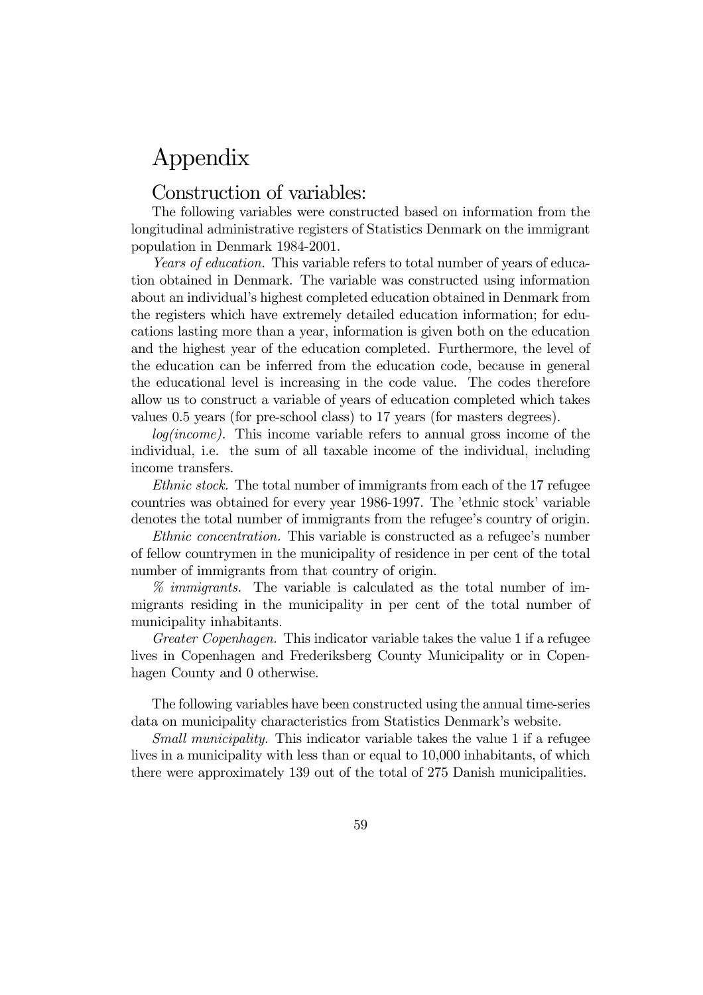## Appendix

### Construction of variables:

The following variables were constructed based on information from the longitudinal administrative registers of Statistics Denmark on the immigrant population in Denmark 1984-2001.

Years of education. This variable refers to total number of years of education obtained in Denmark. The variable was constructed using information about an individual's highest completed education obtained in Denmark from the registers which have extremely detailed education information; for educations lasting more than a year, information is given both on the education and the highest year of the education completed. Furthermore, the level of the education can be inferred from the education code, because in general the educational level is increasing in the code value. The codes therefore allow us to construct a variable of years of education completed which takes values 0.5 years (for pre-school class) to 17 years (for masters degrees).

log(income). This income variable refers to annual gross income of the individual, i.e. the sum of all taxable income of the individual, including income transfers.

Ethnic stock. The total number of immigrants from each of the 17 refugee countries was obtained for every year 1986-1997. The 'ethnic stock' variable denotes the total number of immigrants from the refugee's country of origin.

Ethnic concentration. This variable is constructed as a refugee's number of fellow countrymen in the municipality of residence in per cent of the total number of immigrants from that country of origin.

% immigrants. The variable is calculated as the total number of immigrants residing in the municipality in per cent of the total number of municipality inhabitants.

Greater Copenhagen. This indicator variable takes the value 1 if a refugee lives in Copenhagen and Frederiksberg County Municipality or in Copenhagen County and 0 otherwise.

The following variables have been constructed using the annual time-series data on municipality characteristics from Statistics Denmark's website.

Small municipality. This indicator variable takes the value 1 if a refugee lives in a municipality with less than or equal to 10,000 inhabitants, of which there were approximately 139 out of the total of 275 Danish municipalities.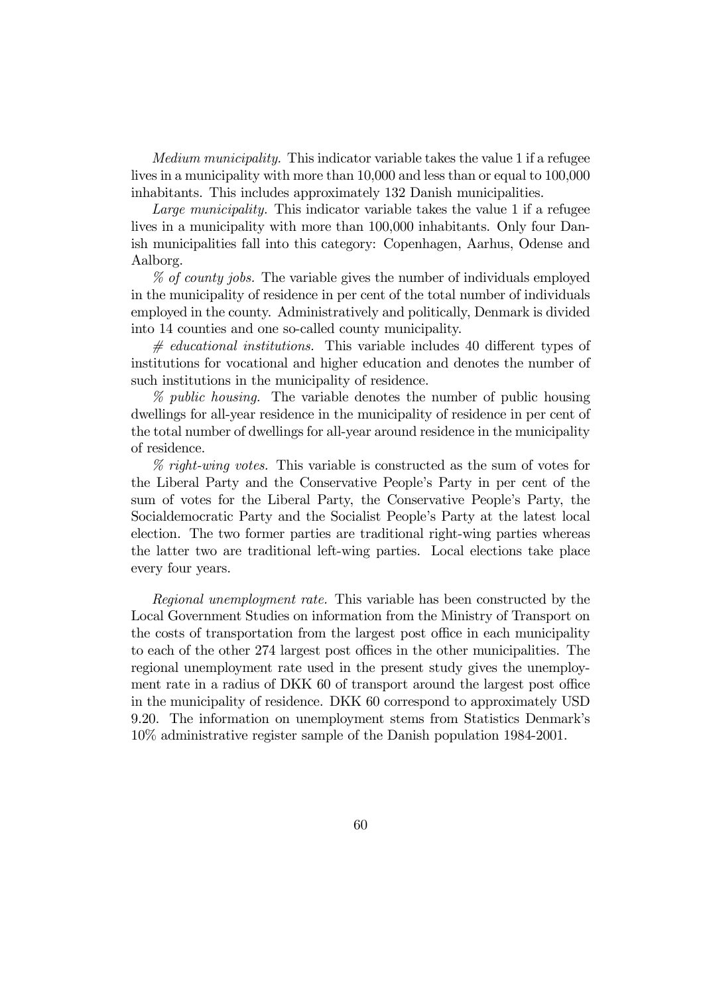Medium municipality. This indicator variable takes the value 1 if a refugee lives in a municipality with more than 10,000 and less than or equal to 100,000 inhabitants. This includes approximately 132 Danish municipalities.

Large municipality. This indicator variable takes the value 1 if a refugee lives in a municipality with more than 100,000 inhabitants. Only four Danish municipalities fall into this category: Copenhagen, Aarhus, Odense and Aalborg.

% of county jobs. The variable gives the number of individuals employed in the municipality of residence in per cent of the total number of individuals employed in the county. Administratively and politically, Denmark is divided into 14 counties and one so-called county municipality.

 $\#$  educational institutions. This variable includes 40 different types of institutions for vocational and higher education and denotes the number of such institutions in the municipality of residence.

% public housing. The variable denotes the number of public housing dwellings for all-year residence in the municipality of residence in per cent of the total number of dwellings for all-year around residence in the municipality of residence.

% right-wing votes. This variable is constructed as the sum of votes for the Liberal Party and the Conservative People's Party in per cent of the sum of votes for the Liberal Party, the Conservative People's Party, the Socialdemocratic Party and the Socialist People's Party at the latest local election. The two former parties are traditional right-wing parties whereas the latter two are traditional left-wing parties. Local elections take place every four years.

Regional unemployment rate. This variable has been constructed by the Local Government Studies on information from the Ministry of Transport on the costs of transportation from the largest post office in each municipality to each of the other 274 largest post offices in the other municipalities. The regional unemployment rate used in the present study gives the unemployment rate in a radius of DKK 60 of transport around the largest post office in the municipality of residence. DKK 60 correspond to approximately USD 9.20. The information on unemployment stems from Statistics Denmark's 10% administrative register sample of the Danish population 1984-2001.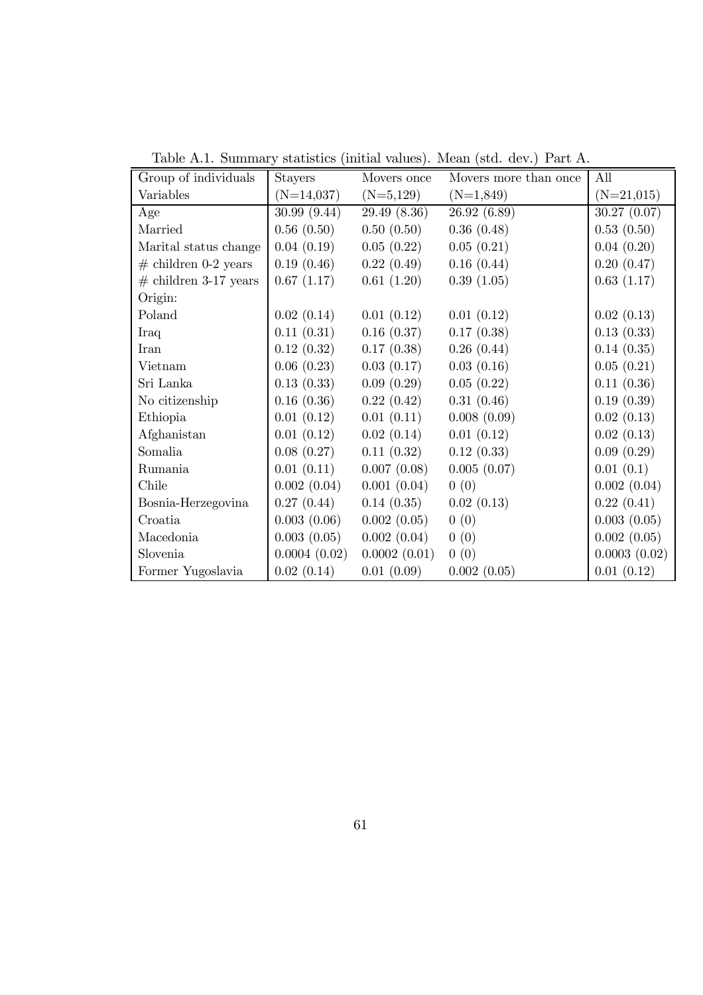| Group of individuals    | <b>Stayers</b> | Movers once  | Movers more than once | All          |
|-------------------------|----------------|--------------|-----------------------|--------------|
| Variables               | $(N=14,037)$   | $(N=5,129)$  | $(N=1,849)$           | $(N=21,015)$ |
| Age                     | 30.99 (9.44)   | 29.49 (8.36) | 26.92 (6.89)          | 30.27 (0.07) |
| Married                 | 0.56(0.50)     | 0.50(0.50)   | 0.36(0.48)            | 0.53(0.50)   |
| Marital status change   | 0.04(0.19)     | 0.05(0.22)   | 0.05(0.21)            | 0.04(0.20)   |
| $#$ children 0-2 years  | 0.19(0.46)     | 0.22(0.49)   | 0.16(0.44)            | 0.20(0.47)   |
| $#$ children 3-17 years | 0.67(1.17)     | 0.61(1.20)   | 0.39(1.05)            | 0.63(1.17)   |
| Origin:                 |                |              |                       |              |
| Poland                  | 0.02(0.14)     | 0.01(0.12)   | 0.01(0.12)            | 0.02(0.13)   |
| Iraq                    | 0.11(0.31)     | 0.16(0.37)   | 0.17(0.38)            | 0.13(0.33)   |
| Iran                    | 0.12(0.32)     | 0.17(0.38)   | 0.26(0.44)            | 0.14(0.35)   |
| Vietnam                 | 0.06(0.23)     | 0.03(0.17)   | 0.03(0.16)            | 0.05(0.21)   |
| Sri Lanka               | 0.13(0.33)     | 0.09(0.29)   | 0.05(0.22)            | 0.11(0.36)   |
| No citizenship          | 0.16(0.36)     | 0.22(0.42)   | 0.31(0.46)            | 0.19(0.39)   |
| Ethiopia                | 0.01(0.12)     | 0.01(0.11)   | 0.008(0.09)           | 0.02(0.13)   |
| Afghanistan             | 0.01(0.12)     | 0.02(0.14)   | 0.01(0.12)            | 0.02(0.13)   |
| Somalia                 | 0.08(0.27)     | 0.11(0.32)   | 0.12(0.33)            | 0.09(0.29)   |
| Rumania                 | 0.01(0.11)     | 0.007(0.08)  | 0.005(0.07)           | 0.01(0.1)    |
| Chile                   | 0.002(0.04)    | 0.001(0.04)  | 0(0)                  | 0.002(0.04)  |
| Bosnia-Herzegovina      | 0.27(0.44)     | 0.14(0.35)   | 0.02(0.13)            | 0.22(0.41)   |
| Croatia                 | 0.003(0.06)    | 0.002(0.05)  | 0(0)                  | 0.003(0.05)  |
| Macedonia               | 0.003(0.05)    | 0.002(0.04)  | 0(0)                  | 0.002(0.05)  |
| Slovenia                | 0.0004(0.02)   | 0.0002(0.01) | 0(0)                  | 0.0003(0.02) |
| Former Yugoslavia       | 0.02(0.14)     | 0.01(0.09)   | 0.002(0.05)           | 0.01(0.12)   |

Table A.1. Summary statistics (initial values). Mean (std. dev.) Part A.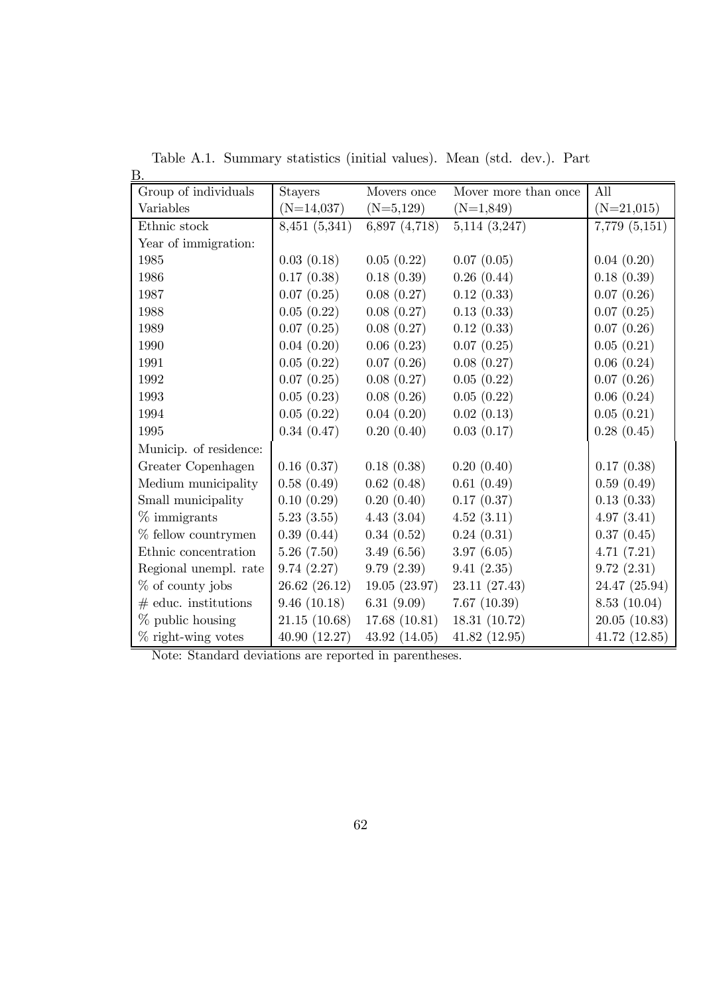| В.                     |                |               |                      |                   |
|------------------------|----------------|---------------|----------------------|-------------------|
| Group of individuals   | <b>Stayers</b> | Movers once   | Mover more than once | All               |
| Variables              | $(N=14,037)$   | $(N=5,129)$   | $(N=1,849)$          | $(N=21,015)$      |
| Ethnic stock           | 8,451 (5,341)  | 6,897 (4,718) | $5,114$ $(3,247)$    | $7,779$ $(5,151)$ |
| Year of immigration:   |                |               |                      |                   |
| 1985                   | 0.03(0.18)     | 0.05(0.22)    | 0.07(0.05)           | 0.04(0.20)        |
| 1986                   | 0.17(0.38)     | 0.18(0.39)    | 0.26(0.44)           | 0.18(0.39)        |
| 1987                   | 0.07(0.25)     | 0.08(0.27)    | 0.12(0.33)           | 0.07(0.26)        |
| 1988                   | 0.05(0.22)     | 0.08(0.27)    | 0.13(0.33)           | 0.07(0.25)        |
| 1989                   | 0.07(0.25)     | 0.08(0.27)    | 0.12(0.33)           | 0.07(0.26)        |
| 1990                   | 0.04(0.20)     | 0.06(0.23)    | 0.07(0.25)           | 0.05(0.21)        |
| 1991                   | 0.05(0.22)     | 0.07(0.26)    | 0.08(0.27)           | 0.06(0.24)        |
| 1992                   | 0.07(0.25)     | 0.08(0.27)    | 0.05(0.22)           | 0.07(0.26)        |
| 1993                   | 0.05(0.23)     | 0.08(0.26)    | 0.05(0.22)           | 0.06(0.24)        |
| 1994                   | 0.05(0.22)     | 0.04(0.20)    | 0.02(0.13)           | 0.05(0.21)        |
| 1995                   | 0.34(0.47)     | 0.20(0.40)    | 0.03(0.17)           | 0.28(0.45)        |
| Municip. of residence: |                |               |                      |                   |
| Greater Copenhagen     | 0.16(0.37)     | 0.18(0.38)    | 0.20(0.40)           | 0.17(0.38)        |
| Medium municipality    | 0.58(0.49)     | 0.62(0.48)    | 0.61(0.49)           | 0.59(0.49)        |
| Small municipality     | 0.10(0.29)     | 0.20(0.40)    | 0.17(0.37)           | 0.13(0.33)        |
| $\%$ immigrants        | 5.23(3.55)     | 4.43(3.04)    | 4.52(3.11)           | 4.97(3.41)        |
| $%$ fellow countrymen  | 0.39(0.44)     | 0.34(0.52)    | 0.24(0.31)           | 0.37(0.45)        |
| Ethnic concentration   | 5.26(7.50)     | 3.49(6.56)    | 3.97(6.05)           | 4.71(7.21)        |
| Regional unempl. rate  | 9.74(2.27)     | 9.79(2.39)    | 9.41(2.35)           | 9.72(2.31)        |
| $%$ of county jobs     | 26.62 (26.12)  | 19.05(23.97)  | 23.11 (27.43)        | 24.47 (25.94)     |
| $#$ educ. institutions | 9.46(10.18)    | 6.31 $(9.09)$ | 7.67(10.39)          | 8.53(10.04)       |
| $\%$ public housing    | 21.15(10.68)   | 17.68(10.81)  | 18.31 (10.72)        | 20.05(10.83)      |
| $\%$ right-wing votes  | 40.90 (12.27)  | 43.92 (14.05) | 41.82(12.95)         | 41.72(12.85)      |

Table A.1. Summary statistics (initial values). Mean (std. dev.). Part

Note: Standard deviations are reported in parentheses.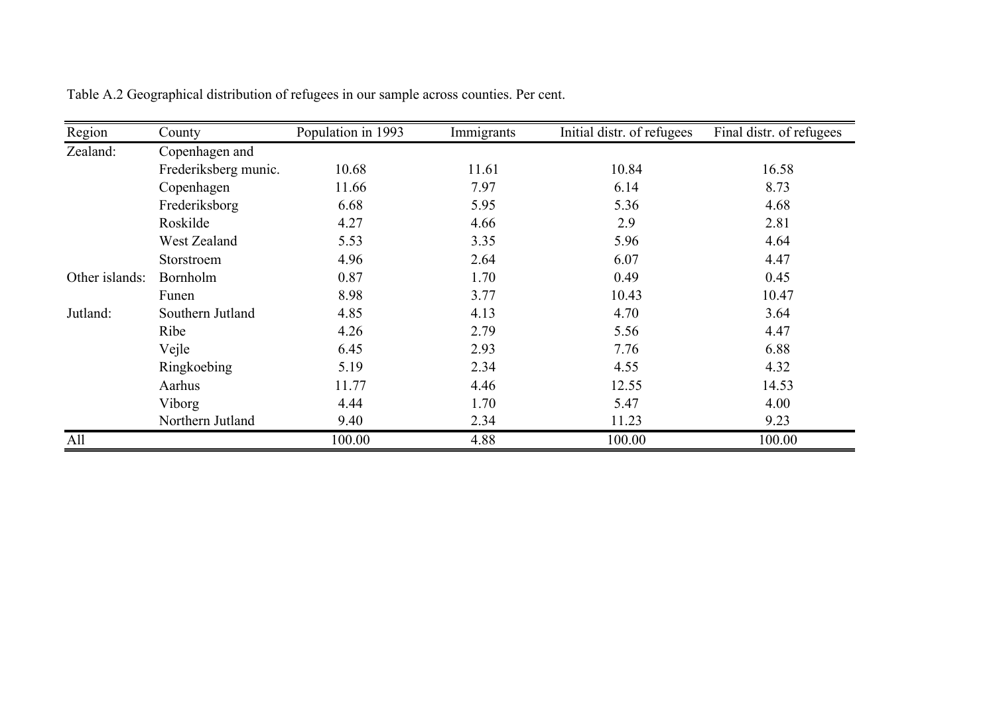| Region         | County               | Population in 1993 | Immigrants | Initial distr. of refugees | Final distr. of refugees |
|----------------|----------------------|--------------------|------------|----------------------------|--------------------------|
| Zealand:       | Copenhagen and       |                    |            |                            |                          |
|                | Frederiksberg munic. | 10.68              | 11.61      | 10.84                      | 16.58                    |
|                | Copenhagen           | 11.66              | 7.97       | 6.14                       | 8.73                     |
|                | Frederiksborg        | 6.68               | 5.95       | 5.36                       | 4.68                     |
|                | Roskilde             | 4.27               | 4.66       | 2.9                        | 2.81                     |
|                | West Zealand         | 5.53               | 3.35       | 5.96                       | 4.64                     |
|                | Storstroem           | 4.96               | 2.64       | 6.07                       | 4.47                     |
| Other islands: | <b>Bornholm</b>      | 0.87               | 1.70       | 0.49                       | 0.45                     |
|                | Funen                | 8.98               | 3.77       | 10.43                      | 10.47                    |
| Jutland:       | Southern Jutland     | 4.85               | 4.13       | 4.70                       | 3.64                     |
|                | Ribe                 | 4.26               | 2.79       | 5.56                       | 4.47                     |
|                | Vejle                | 6.45               | 2.93       | 7.76                       | 6.88                     |
|                | Ringkoebing          | 5.19               | 2.34       | 4.55                       | 4.32                     |
|                | Aarhus               | 11.77              | 4.46       | 12.55                      | 14.53                    |
|                | Viborg               | 4.44               | 1.70       | 5.47                       | 4.00                     |
|                | Northern Jutland     | 9.40               | 2.34       | 11.23                      | 9.23                     |
| All            |                      | 100.00             | 4.88       | 100.00                     | 100.00                   |

Table A.2 Geographical distribution of refugees in our sample across counties. Per cent.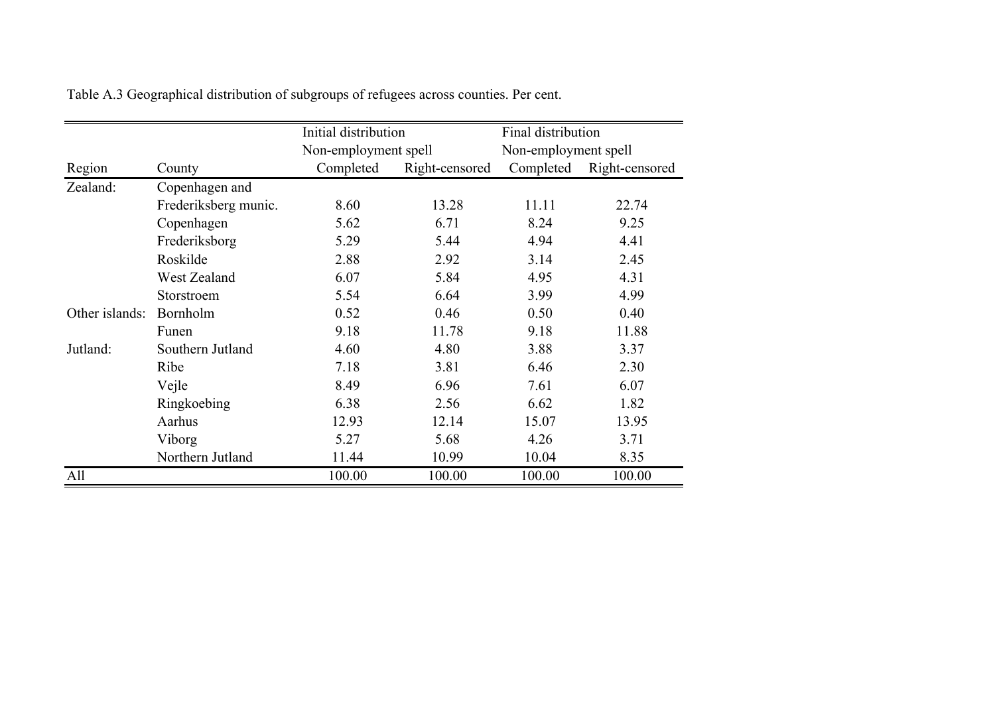|                |                      | Initial distribution |                | Final distribution   |                |
|----------------|----------------------|----------------------|----------------|----------------------|----------------|
|                |                      | Non-employment spell |                | Non-employment spell |                |
| Region         | County               | Completed            | Right-censored | Completed            | Right-censored |
| Zealand:       | Copenhagen and       |                      |                |                      |                |
|                | Frederiksberg munic. | 8.60                 | 13.28          | 11.11                | 22.74          |
|                | Copenhagen           | 5.62                 | 6.71           | 8.24                 | 9.25           |
|                | Frederiksborg        | 5.29                 | 5.44           | 4.94                 | 4.41           |
|                | Roskilde             | 2.88                 | 2.92           | 3.14                 | 2.45           |
|                | West Zealand         | 6.07                 | 5.84           | 4.95                 | 4.31           |
|                | Storstroem           | 5.54                 | 6.64           | 3.99                 | 4.99           |
| Other islands: | Bornholm             | 0.52                 | 0.46           | 0.50                 | 0.40           |
|                | Funen                | 9.18                 | 11.78          | 9.18                 | 11.88          |
| Jutland:       | Southern Jutland     | 4.60                 | 4.80           | 3.88                 | 3.37           |
|                | Ribe                 | 7.18                 | 3.81           | 6.46                 | 2.30           |
|                | Vejle                | 8.49                 | 6.96           | 7.61                 | 6.07           |
|                | Ringkoebing          | 6.38                 | 2.56           | 6.62                 | 1.82           |
|                | Aarhus               | 12.93                | 12.14          | 15.07                | 13.95          |
|                | Viborg               | 5.27                 | 5.68           | 4.26                 | 3.71           |
|                | Northern Jutland     | 11.44                | 10.99          | 10.04                | 8.35           |
| All            |                      | 100.00               | 100.00         | 100.00               | 100.00         |

Table A.3 Geographical distribution of subgroups of refugees across counties. Per cent.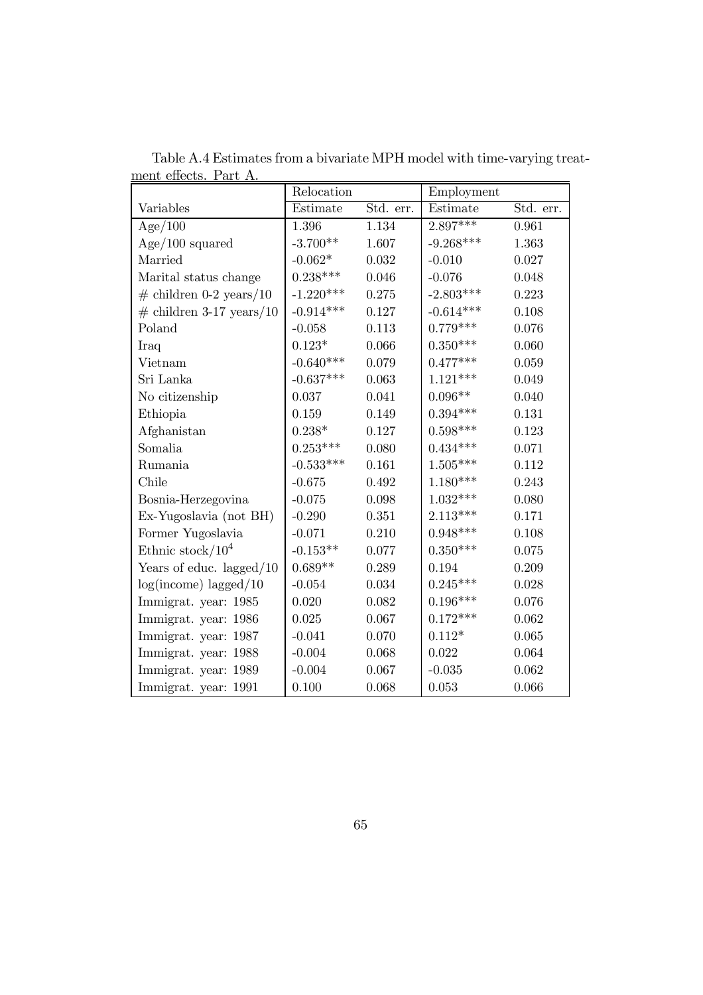|                             | Relocation  |           | Employment  |           |
|-----------------------------|-------------|-----------|-------------|-----------|
| Variables                   | Estimate    | Std. err. | Estimate    | Std. err. |
| Age/100                     | 1.396       | 1.134     | $2.897***$  | 0.961     |
| $Age/100$ squared           | $-3.700**$  | 1.607     | $-9.268***$ | 1.363     |
| Married                     | $-0.062*$   | 0.032     | $-0.010$    | 0.027     |
| Marital status change       | $0.238***$  | 0.046     | $-0.076$    | 0.048     |
| $\#$ children 0-2 years/10  | $-1.220***$ | 0.275     | $-2.803***$ | 0.223     |
| $\#$ children 3-17 years/10 | $-0.914***$ | 0.127     | $-0.614***$ | 0.108     |
| Poland                      | $-0.058$    | 0.113     | $0.779***$  | 0.076     |
| Iraq                        | $0.123*$    | 0.066     | $0.350***$  | 0.060     |
| Vietnam                     | $-0.640***$ | 0.079     | $0.477***$  | 0.059     |
| Sri Lanka                   | $-0.637***$ | 0.063     | $1.121***$  | 0.049     |
| No citizenship              | 0.037       | 0.041     | $0.096**$   | 0.040     |
| Ethiopia                    | 0.159       | 0.149     | $0.394***$  | 0.131     |
| Afghanistan                 | $0.238*$    | 0.127     | $0.598***$  | 0.123     |
| Somalia                     | $0.253***$  | 0.080     | $0.434***$  | 0.071     |
| Rumania                     | $-0.533***$ | 0.161     | $1.505***$  | 0.112     |
| Chile                       | $-0.675$    | 0.492     | $1.180***$  | 0.243     |
| Bosnia-Herzegovina          | $-0.075$    | 0.098     | $1.032***$  | 0.080     |
| Ex-Yugoslavia (not BH)      | $-0.290$    | 0.351     | $2.113***$  | 0.171     |
| Former Yugoslavia           | $-0.071$    | 0.210     | $0.948***$  | 0.108     |
| Ethnic stock/ $10^4$        | $-0.153**$  | 0.077     | $0.350***$  | 0.075     |
| Years of educ. lagged $/10$ | $0.689**$   | 0.289     | 0.194       | 0.209     |
| $log(income)$ lagged/10     | $-0.054$    | 0.034     | $0.245***$  | 0.028     |
| Immigrat. year: 1985        | 0.020       | 0.082     | $0.196***$  | 0.076     |
| Immigrat. year: 1986        | 0.025       | 0.067     | $0.172***$  | 0.062     |
| Immigrat. year: 1987        | $-0.041$    | 0.070     | $0.112*$    | 0.065     |
| Immigrat. year: 1988        | $-0.004$    | 0.068     | 0.022       | 0.064     |
| Immigrat. year: 1989        | $-0.004$    | 0.067     | $-0.035$    | 0.062     |
| Immigrat. year: 1991        | 0.100       | 0.068     | 0.053       | 0.066     |

Table A.4 Estimates from a bivariate MPH model with time-varying treatment effects. Part A.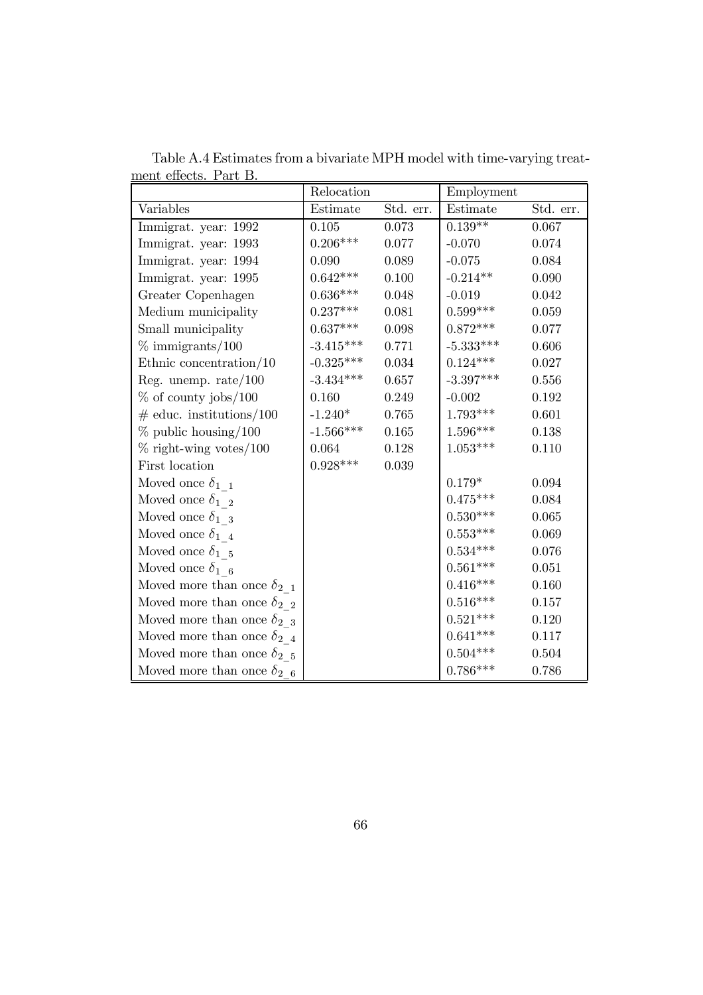|                                     | Relocation                   |           | Employment             |           |
|-------------------------------------|------------------------------|-----------|------------------------|-----------|
| Variables                           | Estimate                     | Std. err. | Estimate               | Std. err. |
| Immigrat. year: 1992                | 0.105                        | 0.073     | $0.139**$              | $0.067\,$ |
| Immigrat. year: 1993                | $0.206***$                   | 0.077     | $-0.070$               | 0.074     |
| Immigrat. year: 1994                | 0.090                        | 0.089     | $-0.075$               | 0.084     |
| Immigrat. year: 1995                | $0.642^{***}\,$              | 0.100     | $-0.214**$             | 0.090     |
| Greater Copenhagen                  | $0.636***$                   | 0.048     | $-0.019$               | 0.042     |
| Medium municipality                 | $0.237***$                   | 0.081     | $0.599***$             | 0.059     |
| Small municipality                  | $0.637***$                   | 0.098     | $0.872***$             | 0.077     |
| $\%$ immigrants/100                 | $-3.415***$                  | 0.771     | $-5.333***$            | 0.606     |
| Ethnic concentration/ $10$          | $-0.325***$                  | 0.034     | $0.124***$             | 0.027     |
| Reg. unemp. $rate/100$              | $-3.434***$                  | 0.657     | $-3.397***$            | 0.556     |
| $\%$ of county jobs/100             | 0.160                        | 0.249     | $-0.002$               | 0.192     |
| $\#$ educ. institutions/100         | $-1.240*$                    | 0.765     | $1.793***$             | 0.601     |
| $%$ public housing/100              | $\text{-}1.566^{\text{***}}$ | 0.165     | $1.596^{\ast\ast\ast}$ | 0.138     |
| $\%$ right-wing votes/100           | 0.064                        | 0.128     | $1.053***$             | 0.110     |
| First location                      | $0.928***$                   | 0.039     |                        |           |
| Moved once $\delta_{1-1}$           |                              |           | $0.179^{\ast}$         | 0.094     |
| Moved once $\delta_{1,2}$           |                              |           | $0.475***$             | 0.084     |
| Moved once $\delta_{1-3}$           |                              |           | $0.530***$             | 0.065     |
| Moved once $\delta_{1/4}$           |                              |           | $0.553^{***}\,$        | 0.069     |
| Moved once $\delta_{1}$ 5           |                              |           | $0.534^{***}\,$        | 0.076     |
| Moved once $\delta_{1-6}$           |                              |           | $0.561***$             | 0.051     |
| Moved more than once $\delta_{2-1}$ |                              |           | $0.416***$             | 0.160     |
| Moved more than once $\delta_{2,2}$ |                              |           | $0.516***$             | 0.157     |
| Moved more than once $\delta_{2,3}$ |                              |           | $0.521***$             | 0.120     |
| Moved more than once $\delta_{2-4}$ |                              |           | $0.641***$             | 0.117     |
| Moved more than once $\delta_{2,5}$ |                              |           | $0.504***$             | 0.504     |
| Moved more than once $\delta_{2-6}$ |                              |           | $0.786***$             | 0.786     |

Table A.4 Estimates from a bivariate MPH model with time-varying treatment effects. Part B.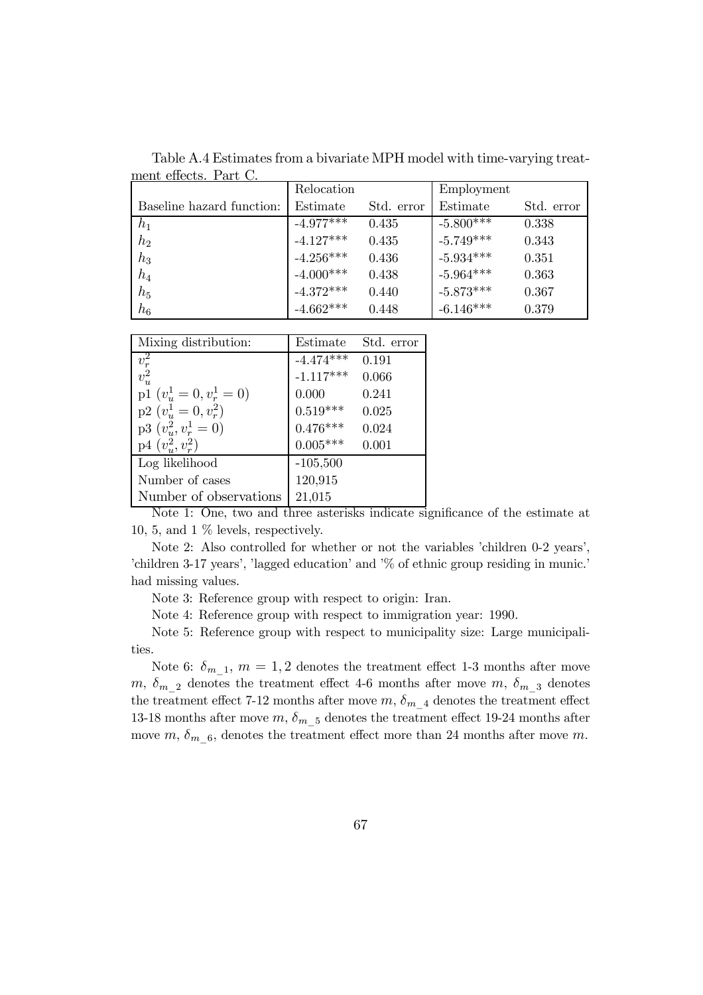Table A.4 Estimates from a bivariate MPH model with time-varying treatment effects. Part C.

|                           | Relocation  |            | Employment  |            |
|---------------------------|-------------|------------|-------------|------------|
| Baseline hazard function: | Estimate    | Std. error | Estimate    | Std. error |
| $h_1$                     | $-4.977***$ | 0.435      | $-5.800***$ | 0.338      |
| $h_2$                     | $-4.127***$ | 0.435      | $-5.749***$ | 0.343      |
| $h_3$                     | $-4.256***$ | 0.436      | $-5.934***$ | 0.351      |
| $h_4$                     | $-4.000***$ | 0.438      | $-5.964***$ | 0.363      |
| $h_5$                     | $-4.372***$ | 0.440      | $-5.873***$ | 0.367      |
| $h_6$                     | $-4.662***$ | 0.448      | $-6.146***$ | 0.379      |

| Mixing distribution:        | Estimate                 | Std. error |
|-----------------------------|--------------------------|------------|
| $\overline{v_r^2}$          | $-4.474***$              | 0.191      |
| $v_u^2$                     | $-1.117***$              | 0.066      |
| p1 $(v_u^1 = 0, v_r^1 = 0)$ | 0.000                    | 0.241      |
| $p2(v_u^1=0, v_r^2)$        | $0.519***$<br>$0.476***$ | 0.025      |
| $p3(v_u^2, v_r^1 = 0)$      |                          | 0.024      |
| $p4(v_u^2, v_r^2)$          | $0.005***$               | 0.001      |
| Log likelihood              | $-105,500$               |            |
| Number of cases             | 120,915                  |            |
| Number of observations      | 21,015                   |            |

Note 1: One, two and three asterisks indicate significance of the estimate at 10, 5, and 1 % levels, respectively.

Note 2: Also controlled for whether or not the variables 'children 0-2 years', 'children 3-17 years', 'lagged education' and '% of ethnic group residing in munic.' had missing values.

Note 3: Reference group with respect to origin: Iran.

Note 4: Reference group with respect to immigration year: 1990.

Note 5: Reference group with respect to municipality size: Large municipalities.

Note 6:  $\delta_{m-1}$ ,  $m = 1, 2$  denotes the treatment effect 1-3 months after move m,  $\delta_{m-2}$  denotes the treatment effect 4-6 months after move m,  $\delta_{m-3}$  denotes the treatment effect 7-12 months after move  $m,$   $\delta_{m\_4}$  denotes the treatment effect 13-18 months after move  $m, \delta_m$  <sub>5</sub> denotes the treatment effect 19-24 months after move  $m, \delta_{m-6}$ , denotes the treatment effect more than 24 months after move m.